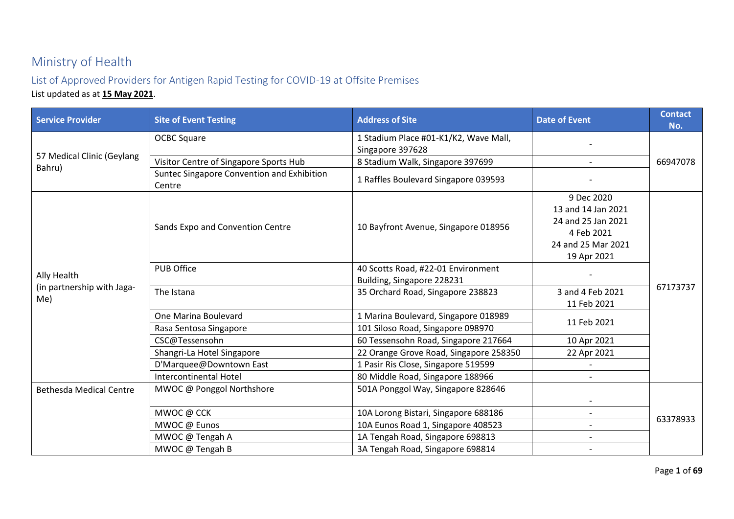## Ministry of Health

## List of Approved Providers for Antigen Rapid Testing for COVID-19 at Offsite Premises List updated as at **15 May 2021**.

| <b>Service Provider</b>           | <b>Site of Event Testing</b>                                                    | <b>Address of Site</b>                                                                   | <b>Date of Event</b>                                                                                      | <b>Contact</b><br>No. |  |
|-----------------------------------|---------------------------------------------------------------------------------|------------------------------------------------------------------------------------------|-----------------------------------------------------------------------------------------------------------|-----------------------|--|
|                                   | <b>OCBC Square</b><br>1 Stadium Place #01-K1/K2, Wave Mall,<br>Singapore 397628 |                                                                                          |                                                                                                           |                       |  |
| 57 Medical Clinic (Geylang        | Visitor Centre of Singapore Sports Hub<br>8 Stadium Walk, Singapore 397699      |                                                                                          | $\overline{\phantom{0}}$                                                                                  | 66947078              |  |
| Bahru)                            | Suntec Singapore Convention and Exhibition<br>Centre                            | 1 Raffles Boulevard Singapore 039593                                                     |                                                                                                           |                       |  |
|                                   | Sands Expo and Convention Centre                                                | 10 Bayfront Avenue, Singapore 018956                                                     | 9 Dec 2020<br>13 and 14 Jan 2021<br>24 and 25 Jan 2021<br>4 Feb 2021<br>24 and 25 Mar 2021<br>19 Apr 2021 |                       |  |
| Ally Health                       | <b>PUB Office</b>                                                               | 40 Scotts Road, #22-01 Environment<br>Building, Singapore 228231                         |                                                                                                           |                       |  |
| (in partnership with Jaga-<br>Me) | The Istana                                                                      | 35 Orchard Road, Singapore 238823                                                        | 3 and 4 Feb 2021<br>11 Feb 2021                                                                           | 67173737              |  |
|                                   | One Marina Boulevard<br>Rasa Sentosa Singapore                                  | 1 Marina Boulevard, Singapore 018989<br>11 Feb 2021<br>101 Siloso Road, Singapore 098970 |                                                                                                           |                       |  |
|                                   | CSC@Tessensohn                                                                  | 60 Tessensohn Road, Singapore 217664                                                     | 10 Apr 2021                                                                                               |                       |  |
|                                   | Shangri-La Hotel Singapore                                                      | 22 Orange Grove Road, Singapore 258350                                                   | 22 Apr 2021                                                                                               |                       |  |
|                                   | D'Marquee@Downtown East                                                         | 1 Pasir Ris Close, Singapore 519599                                                      |                                                                                                           |                       |  |
|                                   | Intercontinental Hotel                                                          | 80 Middle Road, Singapore 188966                                                         |                                                                                                           |                       |  |
| <b>Bethesda Medical Centre</b>    | MWOC @ Ponggol Northshore                                                       | 501A Ponggol Way, Singapore 828646                                                       |                                                                                                           |                       |  |
|                                   | MWOC @ CCK                                                                      | 10A Lorong Bistari, Singapore 688186                                                     | $\blacksquare$                                                                                            |                       |  |
|                                   | MWOC @ Eunos                                                                    | 10A Eunos Road 1, Singapore 408523                                                       | $\overline{\phantom{0}}$                                                                                  | 63378933              |  |
|                                   | MWOC @ Tengah A                                                                 | 1A Tengah Road, Singapore 698813                                                         | $\overline{a}$                                                                                            |                       |  |
|                                   | MWOC @ Tengah B                                                                 | 3A Tengah Road, Singapore 698814                                                         | $\blacksquare$                                                                                            |                       |  |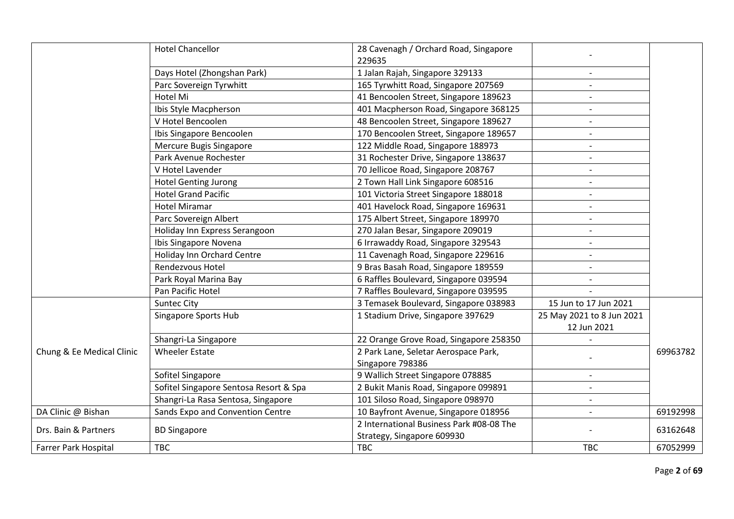|                           | <b>Hotel Chancellor</b>                | 28 Cavenagh / Orchard Road, Singapore<br>229635          |                           |          |
|---------------------------|----------------------------------------|----------------------------------------------------------|---------------------------|----------|
|                           | Days Hotel (Zhongshan Park)            | 1 Jalan Rajah, Singapore 329133                          |                           |          |
|                           | Parc Sovereign Tyrwhitt                | 165 Tyrwhitt Road, Singapore 207569                      | $\overline{\phantom{a}}$  |          |
|                           | Hotel Mi                               | 41 Bencoolen Street, Singapore 189623                    | $\overline{\phantom{a}}$  |          |
|                           | Ibis Style Macpherson                  | 401 Macpherson Road, Singapore 368125                    |                           |          |
|                           | V Hotel Bencoolen                      | 48 Bencoolen Street, Singapore 189627                    |                           |          |
|                           | Ibis Singapore Bencoolen               | 170 Bencoolen Street, Singapore 189657                   |                           |          |
|                           | Mercure Bugis Singapore                | 122 Middle Road, Singapore 188973                        |                           |          |
|                           | Park Avenue Rochester                  | 31 Rochester Drive, Singapore 138637                     | $\overline{\phantom{a}}$  |          |
|                           | V Hotel Lavender                       | 70 Jellicoe Road, Singapore 208767                       |                           |          |
|                           | <b>Hotel Genting Jurong</b>            | 2 Town Hall Link Singapore 608516                        |                           |          |
|                           | <b>Hotel Grand Pacific</b>             | 101 Victoria Street Singapore 188018                     | $\blacksquare$            |          |
|                           | <b>Hotel Miramar</b>                   | 401 Havelock Road, Singapore 169631                      |                           |          |
|                           | Parc Sovereign Albert                  | 175 Albert Street, Singapore 189970                      | $\overline{\phantom{a}}$  |          |
|                           | Holiday Inn Express Serangoon          | 270 Jalan Besar, Singapore 209019                        |                           |          |
|                           | Ibis Singapore Novena                  | 6 Irrawaddy Road, Singapore 329543                       |                           |          |
|                           | Holiday Inn Orchard Centre             | 11 Cavenagh Road, Singapore 229616                       |                           |          |
|                           | Rendezvous Hotel                       | 9 Bras Basah Road, Singapore 189559                      |                           |          |
|                           | Park Royal Marina Bay                  | 6 Raffles Boulevard, Singapore 039594                    | $\overline{\phantom{a}}$  |          |
|                           | Pan Pacific Hotel                      | 7 Raffles Boulevard, Singapore 039595                    |                           |          |
|                           | <b>Suntec City</b>                     | 3 Temasek Boulevard, Singapore 038983                    | 15 Jun to 17 Jun 2021     |          |
|                           | Singapore Sports Hub                   | 1 Stadium Drive, Singapore 397629                        | 25 May 2021 to 8 Jun 2021 |          |
|                           |                                        |                                                          | 12 Jun 2021               |          |
|                           | Shangri-La Singapore                   | 22 Orange Grove Road, Singapore 258350                   |                           |          |
| Chung & Ee Medical Clinic | <b>Wheeler Estate</b>                  | 2 Park Lane, Seletar Aerospace Park,<br>Singapore 798386 |                           | 69963782 |
|                           | Sofitel Singapore                      | 9 Wallich Street Singapore 078885                        |                           |          |
|                           | Sofitel Singapore Sentosa Resort & Spa | 2 Bukit Manis Road, Singapore 099891                     |                           |          |
|                           | Shangri-La Rasa Sentosa, Singapore     | 101 Siloso Road, Singapore 098970                        |                           |          |
| DA Clinic @ Bishan        | Sands Expo and Convention Centre       | 10 Bayfront Avenue, Singapore 018956                     | $\overline{\phantom{a}}$  | 69192998 |
|                           |                                        | 2 International Business Park #08-08 The                 |                           |          |
| Drs. Bain & Partners      | <b>BD Singapore</b>                    | Strategy, Singapore 609930                               |                           | 63162648 |
| Farrer Park Hospital      | <b>TBC</b>                             | <b>TBC</b>                                               | <b>TBC</b>                | 67052999 |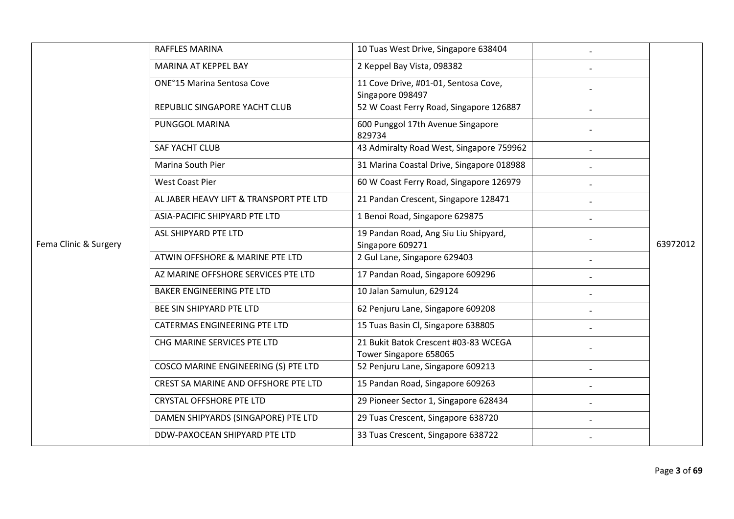|                       | RAFFLES MARINA                          | 10 Tuas West Drive, Singapore 638404                           |                |          |
|-----------------------|-----------------------------------------|----------------------------------------------------------------|----------------|----------|
|                       | MARINA AT KEPPEL BAY                    | 2 Keppel Bay Vista, 098382                                     |                |          |
|                       | <b>ONE°15 Marina Sentosa Cove</b>       | 11 Cove Drive, #01-01, Sentosa Cove,<br>Singapore 098497       |                |          |
|                       | REPUBLIC SINGAPORE YACHT CLUB           | 52 W Coast Ferry Road, Singapore 126887                        |                |          |
|                       | PUNGGOL MARINA                          | 600 Punggol 17th Avenue Singapore<br>829734                    |                |          |
|                       | SAF YACHT CLUB                          | 43 Admiralty Road West, Singapore 759962                       | $\overline{a}$ |          |
|                       | Marina South Pier                       | 31 Marina Coastal Drive, Singapore 018988                      |                |          |
|                       | <b>West Coast Pier</b>                  | 60 W Coast Ferry Road, Singapore 126979                        |                |          |
|                       | AL JABER HEAVY LIFT & TRANSPORT PTE LTD | 21 Pandan Crescent, Singapore 128471                           |                |          |
|                       | ASIA-PACIFIC SHIPYARD PTE LTD           | 1 Benoi Road, Singapore 629875                                 |                |          |
| Fema Clinic & Surgery | ASL SHIPYARD PTE LTD                    | 19 Pandan Road, Ang Siu Liu Shipyard,<br>Singapore 609271      |                | 63972012 |
|                       | ATWIN OFFSHORE & MARINE PTE LTD         | 2 Gul Lane, Singapore 629403                                   |                |          |
|                       | AZ MARINE OFFSHORE SERVICES PTE LTD     | 17 Pandan Road, Singapore 609296                               |                |          |
|                       | <b>BAKER ENGINEERING PTE LTD</b>        | 10 Jalan Samulun, 629124                                       |                |          |
|                       | BEE SIN SHIPYARD PTE LTD                | 62 Penjuru Lane, Singapore 609208                              |                |          |
|                       | CATERMAS ENGINEERING PTE LTD            | 15 Tuas Basin Cl, Singapore 638805                             |                |          |
|                       | CHG MARINE SERVICES PTE LTD             | 21 Bukit Batok Crescent #03-83 WCEGA<br>Tower Singapore 658065 |                |          |
|                       | COSCO MARINE ENGINEERING (S) PTE LTD    | 52 Penjuru Lane, Singapore 609213                              |                |          |
|                       | CREST SA MARINE AND OFFSHORE PTE LTD    | 15 Pandan Road, Singapore 609263                               |                |          |
|                       | <b>CRYSTAL OFFSHORE PTE LTD</b>         | 29 Pioneer Sector 1, Singapore 628434                          |                |          |
|                       | DAMEN SHIPYARDS (SINGAPORE) PTE LTD     | 29 Tuas Crescent, Singapore 638720                             |                |          |
|                       | DDW-PAXOCEAN SHIPYARD PTE LTD           | 33 Tuas Crescent, Singapore 638722                             |                |          |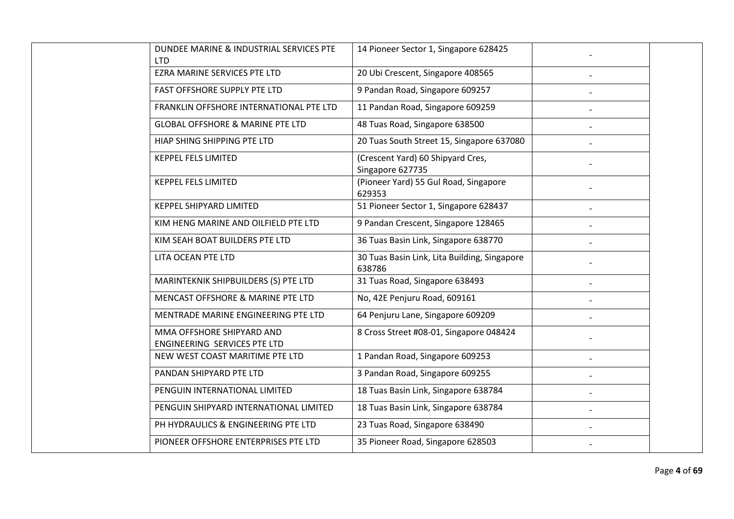| DUNDEE MARINE & INDUSTRIAL SERVICES PTE<br><b>LTD</b>     | 14 Pioneer Sector 1, Singapore 628425                  |  |
|-----------------------------------------------------------|--------------------------------------------------------|--|
| <b>EZRA MARINE SERVICES PTE LTD</b>                       | 20 Ubi Crescent, Singapore 408565                      |  |
| FAST OFFSHORE SUPPLY PTE LTD                              | 9 Pandan Road, Singapore 609257                        |  |
| FRANKLIN OFFSHORE INTERNATIONAL PTE LTD                   | 11 Pandan Road, Singapore 609259                       |  |
| <b>GLOBAL OFFSHORE &amp; MARINE PTE LTD</b>               | 48 Tuas Road, Singapore 638500                         |  |
| HIAP SHING SHIPPING PTE LTD                               | 20 Tuas South Street 15, Singapore 637080              |  |
| <b>KEPPEL FELS LIMITED</b>                                | (Crescent Yard) 60 Shipyard Cres,<br>Singapore 627735  |  |
| <b>KEPPEL FELS LIMITED</b>                                | (Pioneer Yard) 55 Gul Road, Singapore<br>629353        |  |
| <b>KEPPEL SHIPYARD LIMITED</b>                            | 51 Pioneer Sector 1, Singapore 628437                  |  |
| KIM HENG MARINE AND OILFIELD PTE LTD                      | 9 Pandan Crescent, Singapore 128465                    |  |
| KIM SEAH BOAT BUILDERS PTE LTD                            | 36 Tuas Basin Link, Singapore 638770                   |  |
| LITA OCEAN PTE LTD                                        | 30 Tuas Basin Link, Lita Building, Singapore<br>638786 |  |
| MARINTEKNIK SHIPBUILDERS (S) PTE LTD                      | 31 Tuas Road, Singapore 638493                         |  |
| MENCAST OFFSHORE & MARINE PTE LTD                         | No, 42E Penjuru Road, 609161                           |  |
| MENTRADE MARINE ENGINEERING PTE LTD                       | 64 Penjuru Lane, Singapore 609209                      |  |
| MMA OFFSHORE SHIPYARD AND<br>ENGINEERING SERVICES PTE LTD | 8 Cross Street #08-01, Singapore 048424                |  |
| NEW WEST COAST MARITIME PTE LTD                           | 1 Pandan Road, Singapore 609253                        |  |
| PANDAN SHIPYARD PTE LTD                                   | 3 Pandan Road, Singapore 609255                        |  |
| PENGUIN INTERNATIONAL LIMITED                             | 18 Tuas Basin Link, Singapore 638784                   |  |
| PENGUIN SHIPYARD INTERNATIONAL LIMITED                    | 18 Tuas Basin Link, Singapore 638784                   |  |
| PH HYDRAULICS & ENGINEERING PTE LTD                       | 23 Tuas Road, Singapore 638490                         |  |
| PIONEER OFFSHORE ENTERPRISES PTE LTD                      | 35 Pioneer Road, Singapore 628503                      |  |
|                                                           |                                                        |  |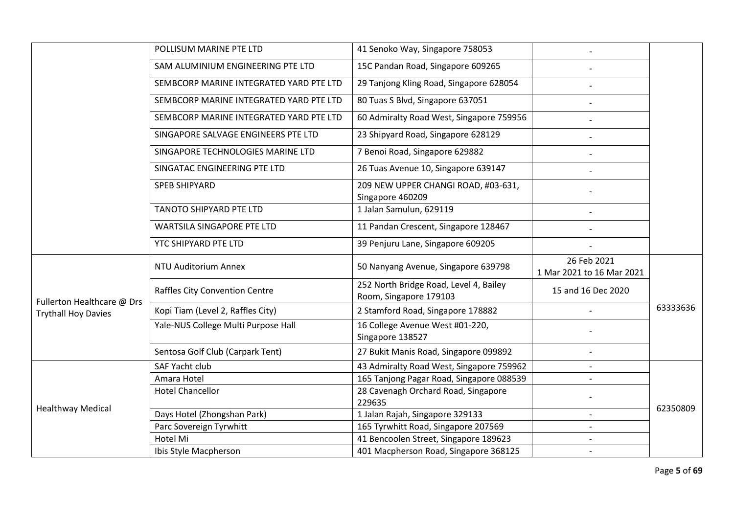|                            | POLLISUM MARINE PTE LTD                 | 41 Senoko Way, Singapore 758053                                  |                                          |          |
|----------------------------|-----------------------------------------|------------------------------------------------------------------|------------------------------------------|----------|
|                            | SAM ALUMINIUM ENGINEERING PTE LTD       | 15C Pandan Road, Singapore 609265                                |                                          |          |
|                            | SEMBCORP MARINE INTEGRATED YARD PTE LTD | 29 Tanjong Kling Road, Singapore 628054                          |                                          |          |
|                            | SEMBCORP MARINE INTEGRATED YARD PTE LTD | 80 Tuas S Blvd, Singapore 637051                                 |                                          |          |
|                            | SEMBCORP MARINE INTEGRATED YARD PTE LTD | 60 Admiralty Road West, Singapore 759956                         |                                          |          |
|                            | SINGAPORE SALVAGE ENGINEERS PTE LTD     | 23 Shipyard Road, Singapore 628129                               |                                          |          |
|                            | SINGAPORE TECHNOLOGIES MARINE LTD       | 7 Benoi Road, Singapore 629882                                   |                                          |          |
|                            | SINGATAC ENGINEERING PTE LTD            | 26 Tuas Avenue 10, Singapore 639147                              |                                          |          |
|                            | <b>SPEB SHIPYARD</b>                    | 209 NEW UPPER CHANGI ROAD, #03-631,<br>Singapore 460209          |                                          |          |
|                            | TANOTO SHIPYARD PTE LTD                 | 1 Jalan Samulun, 629119                                          |                                          |          |
|                            | WARTSILA SINGAPORE PTE LTD              | 11 Pandan Crescent, Singapore 128467                             |                                          |          |
|                            | YTC SHIPYARD PTE LTD                    | 39 Penjuru Lane, Singapore 609205                                |                                          |          |
|                            | NTU Auditorium Annex                    | 50 Nanyang Avenue, Singapore 639798                              | 26 Feb 2021<br>1 Mar 2021 to 16 Mar 2021 |          |
| Fullerton Healthcare @ Drs | Raffles City Convention Centre          | 252 North Bridge Road, Level 4, Bailey<br>Room, Singapore 179103 | 15 and 16 Dec 2020                       |          |
| <b>Trythall Hoy Davies</b> | Kopi Tiam (Level 2, Raffles City)       | 2 Stamford Road, Singapore 178882                                |                                          | 63333636 |
|                            | Yale-NUS College Multi Purpose Hall     | 16 College Avenue West #01-220,<br>Singapore 138527              |                                          |          |
|                            | Sentosa Golf Club (Carpark Tent)        | 27 Bukit Manis Road, Singapore 099892                            |                                          |          |
|                            | <b>SAF Yacht club</b>                   | 43 Admiralty Road West, Singapore 759962                         |                                          |          |
|                            | Amara Hotel                             | 165 Tanjong Pagar Road, Singapore 088539                         |                                          |          |
|                            | <b>Hotel Chancellor</b>                 | 28 Cavenagh Orchard Road, Singapore<br>229635                    |                                          |          |
| <b>Healthway Medical</b>   | Days Hotel (Zhongshan Park)             | 1 Jalan Rajah, Singapore 329133                                  | $\overline{\phantom{a}}$                 | 62350809 |
|                            | Parc Sovereign Tyrwhitt                 | 165 Tyrwhitt Road, Singapore 207569                              |                                          |          |
|                            | Hotel Mi                                | 41 Bencoolen Street, Singapore 189623                            |                                          |          |
|                            | Ibis Style Macpherson                   | 401 Macpherson Road, Singapore 368125                            |                                          |          |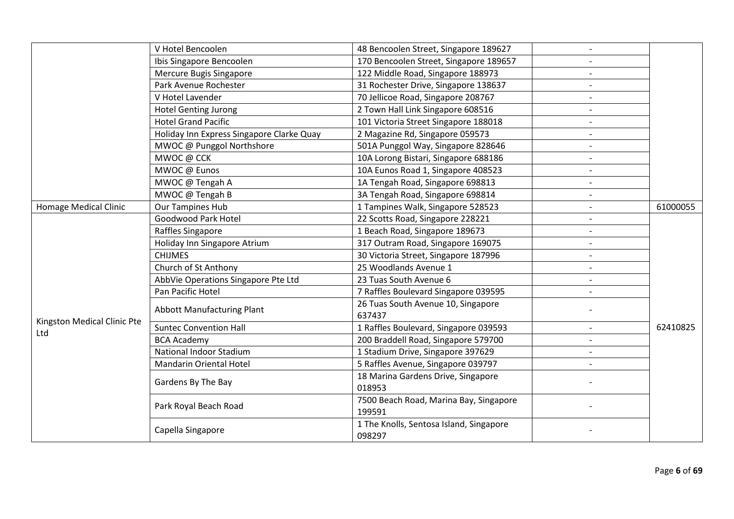|  |                              | V Hotel Bencoolen                         | 48 Bencoolen Street, Singapore 189627                                                                 |                          |          |
|--|------------------------------|-------------------------------------------|-------------------------------------------------------------------------------------------------------|--------------------------|----------|
|  |                              | Ibis Singapore Bencoolen                  | 170 Bencoolen Street, Singapore 189657                                                                |                          |          |
|  |                              | Mercure Bugis Singapore                   | 122 Middle Road, Singapore 188973                                                                     |                          |          |
|  |                              | Park Avenue Rochester                     | 31 Rochester Drive, Singapore 138637                                                                  | $\overline{\phantom{a}}$ |          |
|  |                              | V Hotel Lavender                          | 70 Jellicoe Road, Singapore 208767                                                                    |                          |          |
|  |                              | <b>Hotel Genting Jurong</b>               | 2 Town Hall Link Singapore 608516                                                                     |                          |          |
|  |                              | <b>Hotel Grand Pacific</b>                | 101 Victoria Street Singapore 188018                                                                  |                          |          |
|  |                              | Holiday Inn Express Singapore Clarke Quay | 2 Magazine Rd, Singapore 059573                                                                       | $\overline{\phantom{a}}$ |          |
|  |                              | MWOC @ Punggol Northshore                 | 501A Punggol Way, Singapore 828646                                                                    |                          |          |
|  |                              | MWOC @ CCK                                | 10A Lorong Bistari, Singapore 688186                                                                  |                          |          |
|  |                              | MWOC @ Eunos                              | 10A Eunos Road 1, Singapore 408523                                                                    |                          |          |
|  |                              | MWOC @ Tengah A                           | 1A Tengah Road, Singapore 698813                                                                      | $\overline{\phantom{a}}$ |          |
|  |                              | MWOC @ Tengah B                           | 3A Tengah Road, Singapore 698814                                                                      |                          |          |
|  | <b>Homage Medical Clinic</b> | <b>Our Tampines Hub</b>                   | 1 Tampines Walk, Singapore 528523                                                                     |                          | 61000055 |
|  |                              | Goodwood Park Hotel                       | 22 Scotts Road, Singapore 228221                                                                      | $\overline{\phantom{a}}$ |          |
|  |                              | Raffles Singapore                         | 1 Beach Road, Singapore 189673                                                                        |                          |          |
|  |                              | Holiday Inn Singapore Atrium              | 317 Outram Road, Singapore 169075                                                                     |                          |          |
|  |                              | <b>CHIJMES</b>                            | 30 Victoria Street, Singapore 187996                                                                  | $\blacksquare$           |          |
|  |                              | Church of St Anthony                      | 25 Woodlands Avenue 1                                                                                 | $\overline{\phantom{a}}$ |          |
|  |                              | AbbVie Operations Singapore Pte Ltd       | 23 Tuas South Avenue 6                                                                                |                          |          |
|  |                              | Pan Pacific Hotel                         | 7 Raffles Boulevard Singapore 039595                                                                  |                          |          |
|  |                              | <b>Abbott Manufacturing Plant</b>         | 26 Tuas South Avenue 10, Singapore                                                                    |                          |          |
|  | Kingston Medical Clinic Pte  |                                           | 637437                                                                                                |                          |          |
|  | Ltd                          | <b>Suntec Convention Hall</b>             | 1 Raffles Boulevard, Singapore 039593                                                                 |                          | 62410825 |
|  |                              | <b>BCA Academy</b>                        | 200 Braddell Road, Singapore 579700                                                                   | $\overline{\phantom{a}}$ |          |
|  |                              | National Indoor Stadium                   | 1 Stadium Drive, Singapore 397629                                                                     |                          |          |
|  |                              | Mandarin Oriental Hotel                   | 5 Raffles Avenue, Singapore 039797                                                                    | $\overline{\phantom{a}}$ |          |
|  |                              | 18 Marina Gardens Drive, Singapore        |                                                                                                       |                          |          |
|  |                              |                                           |                                                                                                       |                          |          |
|  | Park Royal Beach Road        |                                           |                                                                                                       |                          |          |
|  |                              |                                           |                                                                                                       |                          |          |
|  | Capella Singapore            | 098297                                    |                                                                                                       |                          |          |
|  |                              | Gardens By The Bay                        | 018953<br>7500 Beach Road, Marina Bay, Singapore<br>199591<br>1 The Knolls, Sentosa Island, Singapore |                          |          |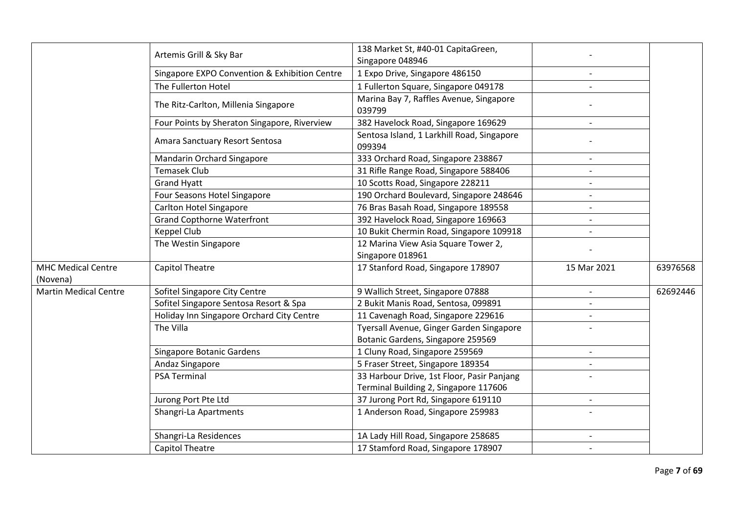|                                       | Artemis Grill & Sky Bar                       | 138 Market St, #40-01 CapitaGreen,<br>Singapore 048946 |                          |          |
|---------------------------------------|-----------------------------------------------|--------------------------------------------------------|--------------------------|----------|
|                                       | Singapore EXPO Convention & Exhibition Centre | 1 Expo Drive, Singapore 486150                         |                          |          |
|                                       | The Fullerton Hotel                           | 1 Fullerton Square, Singapore 049178                   | $\frac{1}{2}$            |          |
|                                       | The Ritz-Carlton, Millenia Singapore          | Marina Bay 7, Raffles Avenue, Singapore<br>039799      |                          |          |
|                                       | Four Points by Sheraton Singapore, Riverview  | 382 Havelock Road, Singapore 169629                    |                          |          |
|                                       | Amara Sanctuary Resort Sentosa                | Sentosa Island, 1 Larkhill Road, Singapore<br>099394   |                          |          |
|                                       | Mandarin Orchard Singapore                    | 333 Orchard Road, Singapore 238867                     | $\frac{1}{2}$            |          |
|                                       | <b>Temasek Club</b>                           | 31 Rifle Range Road, Singapore 588406                  |                          |          |
|                                       | <b>Grand Hyatt</b>                            | 10 Scotts Road, Singapore 228211                       |                          |          |
|                                       | Four Seasons Hotel Singapore                  | 190 Orchard Boulevard, Singapore 248646                | $\overline{a}$           |          |
|                                       | <b>Carlton Hotel Singapore</b>                | 76 Bras Basah Road, Singapore 189558                   | $\blacksquare$           |          |
|                                       | <b>Grand Copthorne Waterfront</b>             | 392 Havelock Road, Singapore 169663                    | $\overline{\phantom{a}}$ |          |
|                                       | <b>Keppel Club</b>                            | 10 Bukit Chermin Road, Singapore 109918                |                          |          |
|                                       | The Westin Singapore                          | 12 Marina View Asia Square Tower 2,                    |                          |          |
|                                       |                                               | Singapore 018961                                       |                          |          |
| <b>MHC Medical Centre</b><br>(Novena) | <b>Capitol Theatre</b>                        | 17 Stanford Road, Singapore 178907                     | 15 Mar 2021              | 63976568 |
| <b>Martin Medical Centre</b>          | Sofitel Singapore City Centre                 | 9 Wallich Street, Singapore 07888                      | $\overline{\phantom{a}}$ | 62692446 |
|                                       | Sofitel Singapore Sentosa Resort & Spa        | 2 Bukit Manis Road, Sentosa, 099891                    |                          |          |
|                                       | Holiday Inn Singapore Orchard City Centre     | 11 Cavenagh Road, Singapore 229616                     |                          |          |
|                                       | The Villa                                     | Tyersall Avenue, Ginger Garden Singapore               |                          |          |
|                                       |                                               | Botanic Gardens, Singapore 259569                      |                          |          |
|                                       | <b>Singapore Botanic Gardens</b>              | 1 Cluny Road, Singapore 259569                         | $\overline{\phantom{a}}$ |          |
|                                       | Andaz Singapore                               | 5 Fraser Street, Singapore 189354                      |                          |          |
|                                       | <b>PSA Terminal</b>                           | 33 Harbour Drive, 1st Floor, Pasir Panjang             |                          |          |
|                                       |                                               | Terminal Building 2, Singapore 117606                  |                          |          |
|                                       | Jurong Port Pte Ltd                           | 37 Jurong Port Rd, Singapore 619110                    |                          |          |
|                                       | Shangri-La Apartments                         | 1 Anderson Road, Singapore 259983                      |                          |          |
|                                       | Shangri-La Residences                         | 1A Lady Hill Road, Singapore 258685                    | $\overline{a}$           |          |
|                                       | <b>Capitol Theatre</b>                        | 17 Stamford Road, Singapore 178907                     |                          |          |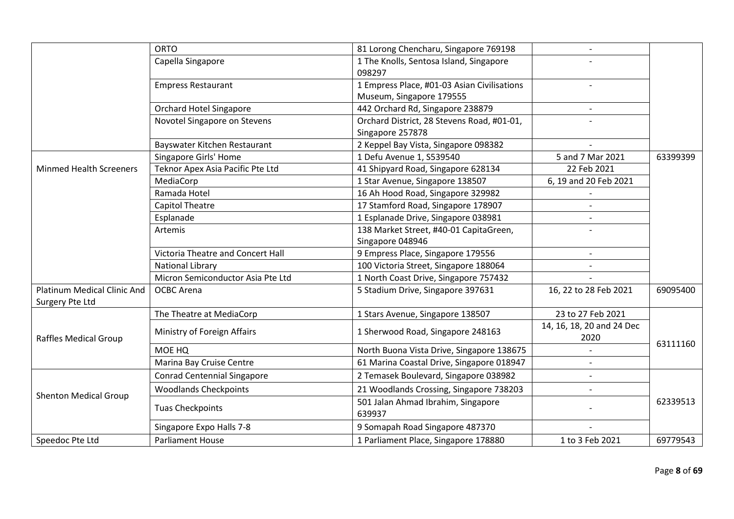|                                                       | <b>ORTO</b><br>81 Lorong Chencharu, Singapore 769198 |                                                                         | $\overline{\phantom{a}}$          |          |  |
|-------------------------------------------------------|------------------------------------------------------|-------------------------------------------------------------------------|-----------------------------------|----------|--|
|                                                       | Capella Singapore                                    | 1 The Knolls, Sentosa Island, Singapore<br>098297                       |                                   |          |  |
|                                                       | <b>Empress Restaurant</b>                            | 1 Empress Place, #01-03 Asian Civilisations<br>Museum, Singapore 179555 |                                   |          |  |
|                                                       | <b>Orchard Hotel Singapore</b>                       | 442 Orchard Rd, Singapore 238879                                        | $\overline{\phantom{a}}$          |          |  |
|                                                       | Novotel Singapore on Stevens                         | Orchard District, 28 Stevens Road, #01-01,<br>Singapore 257878          |                                   |          |  |
|                                                       | Bayswater Kitchen Restaurant                         | 2 Keppel Bay Vista, Singapore 098382                                    |                                   |          |  |
|                                                       | Singapore Girls' Home                                | 1 Defu Avenue 1, S539540                                                | 5 and 7 Mar 2021                  | 63399399 |  |
| <b>Minmed Health Screeners</b>                        | Teknor Apex Asia Pacific Pte Ltd                     | 41 Shipyard Road, Singapore 628134                                      | 22 Feb 2021                       |          |  |
|                                                       | MediaCorp                                            | 1 Star Avenue, Singapore 138507                                         | 6, 19 and 20 Feb 2021             |          |  |
|                                                       | Ramada Hotel                                         | 16 Ah Hood Road, Singapore 329982                                       |                                   |          |  |
|                                                       | Capitol Theatre                                      | 17 Stamford Road, Singapore 178907                                      | $\overline{\phantom{a}}$          |          |  |
|                                                       | Esplanade                                            | 1 Esplanade Drive, Singapore 038981                                     |                                   |          |  |
|                                                       | Artemis                                              | 138 Market Street, #40-01 CapitaGreen,                                  |                                   |          |  |
|                                                       |                                                      | Singapore 048946                                                        |                                   |          |  |
|                                                       | Victoria Theatre and Concert Hall                    | 9 Empress Place, Singapore 179556                                       | $\overline{\phantom{a}}$          |          |  |
|                                                       | <b>National Library</b>                              | 100 Victoria Street, Singapore 188064                                   |                                   |          |  |
|                                                       | Micron Semiconductor Asia Pte Ltd                    | 1 North Coast Drive, Singapore 757432                                   |                                   |          |  |
| <b>Platinum Medical Clinic And</b><br>Surgery Pte Ltd | <b>OCBC</b> Arena                                    | 5 Stadium Drive, Singapore 397631                                       | 16, 22 to 28 Feb 2021             | 69095400 |  |
|                                                       | The Theatre at MediaCorp                             | 1 Stars Avenue, Singapore 138507                                        | 23 to 27 Feb 2021                 |          |  |
| <b>Raffles Medical Group</b>                          | Ministry of Foreign Affairs                          | 1 Sherwood Road, Singapore 248163                                       | 14, 16, 18, 20 and 24 Dec<br>2020 |          |  |
|                                                       | MOE HQ                                               | North Buona Vista Drive, Singapore 138675                               |                                   | 63111160 |  |
|                                                       | Marina Bay Cruise Centre                             | 61 Marina Coastal Drive, Singapore 018947                               |                                   |          |  |
|                                                       | <b>Conrad Centennial Singapore</b>                   | 2 Temasek Boulevard, Singapore 038982                                   | $\overline{\phantom{a}}$          |          |  |
|                                                       | <b>Woodlands Checkpoints</b>                         | 21 Woodlands Crossing, Singapore 738203                                 | $\overline{\phantom{a}}$          |          |  |
| <b>Shenton Medical Group</b>                          | <b>Tuas Checkpoints</b>                              | 501 Jalan Ahmad Ibrahim, Singapore<br>639937                            |                                   | 62339513 |  |
|                                                       | Singapore Expo Halls 7-8                             | 9 Somapah Road Singapore 487370                                         |                                   |          |  |
| Speedoc Pte Ltd                                       | <b>Parliament House</b>                              | 1 Parliament Place, Singapore 178880                                    | 1 to 3 Feb 2021                   | 69779543 |  |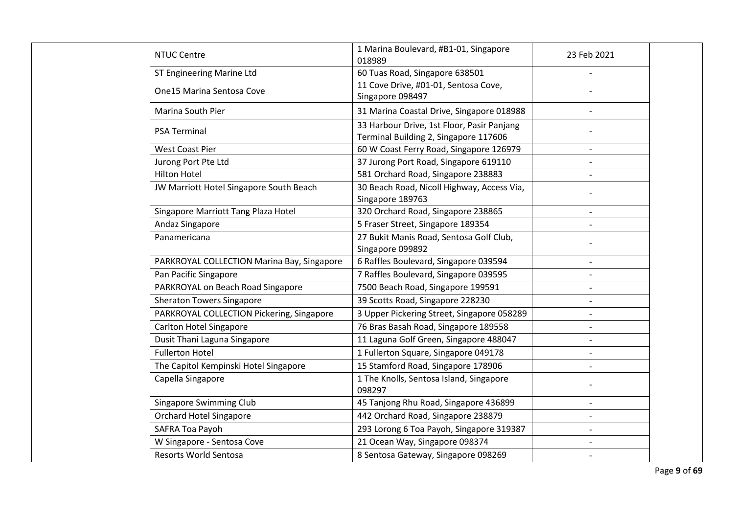| <b>NTUC Centre</b>                         | 1 Marina Boulevard, #B1-01, Singapore<br>018989                                     | 23 Feb 2021              |
|--------------------------------------------|-------------------------------------------------------------------------------------|--------------------------|
| ST Engineering Marine Ltd                  | 60 Tuas Road, Singapore 638501                                                      |                          |
| One15 Marina Sentosa Cove                  | 11 Cove Drive, #01-01, Sentosa Cove,<br>Singapore 098497                            |                          |
| Marina South Pier                          | 31 Marina Coastal Drive, Singapore 018988                                           |                          |
| <b>PSA Terminal</b>                        | 33 Harbour Drive, 1st Floor, Pasir Panjang<br>Terminal Building 2, Singapore 117606 |                          |
| <b>West Coast Pier</b>                     | 60 W Coast Ferry Road, Singapore 126979                                             |                          |
| Jurong Port Pte Ltd                        | 37 Jurong Port Road, Singapore 619110                                               |                          |
| <b>Hilton Hotel</b>                        | 581 Orchard Road, Singapore 238883                                                  |                          |
| JW Marriott Hotel Singapore South Beach    | 30 Beach Road, Nicoll Highway, Access Via,<br>Singapore 189763                      |                          |
| Singapore Marriott Tang Plaza Hotel        | 320 Orchard Road, Singapore 238865                                                  | $\overline{\phantom{a}}$ |
| Andaz Singapore                            | 5 Fraser Street, Singapore 189354                                                   |                          |
| Panamericana                               | 27 Bukit Manis Road, Sentosa Golf Club,<br>Singapore 099892                         |                          |
| PARKROYAL COLLECTION Marina Bay, Singapore | 6 Raffles Boulevard, Singapore 039594                                               |                          |
| Pan Pacific Singapore                      | 7 Raffles Boulevard, Singapore 039595                                               |                          |
| PARKROYAL on Beach Road Singapore          | 7500 Beach Road, Singapore 199591                                                   |                          |
| <b>Sheraton Towers Singapore</b>           | 39 Scotts Road, Singapore 228230                                                    |                          |
| PARKROYAL COLLECTION Pickering, Singapore  | 3 Upper Pickering Street, Singapore 058289                                          |                          |
| <b>Carlton Hotel Singapore</b>             | 76 Bras Basah Road, Singapore 189558                                                |                          |
| Dusit Thani Laguna Singapore               | 11 Laguna Golf Green, Singapore 488047                                              |                          |
| <b>Fullerton Hotel</b>                     | 1 Fullerton Square, Singapore 049178                                                |                          |
| The Capitol Kempinski Hotel Singapore      | 15 Stamford Road, Singapore 178906                                                  |                          |
| Capella Singapore                          | 1 The Knolls, Sentosa Island, Singapore<br>098297                                   |                          |
| <b>Singapore Swimming Club</b>             | 45 Tanjong Rhu Road, Singapore 436899                                               | $\overline{\phantom{a}}$ |
| Orchard Hotel Singapore                    | 442 Orchard Road, Singapore 238879                                                  |                          |
| SAFRA Toa Payoh                            | 293 Lorong 6 Toa Payoh, Singapore 319387                                            |                          |
| W Singapore - Sentosa Cove                 | 21 Ocean Way, Singapore 098374                                                      |                          |
| Resorts World Sentosa                      | 8 Sentosa Gateway, Singapore 098269                                                 |                          |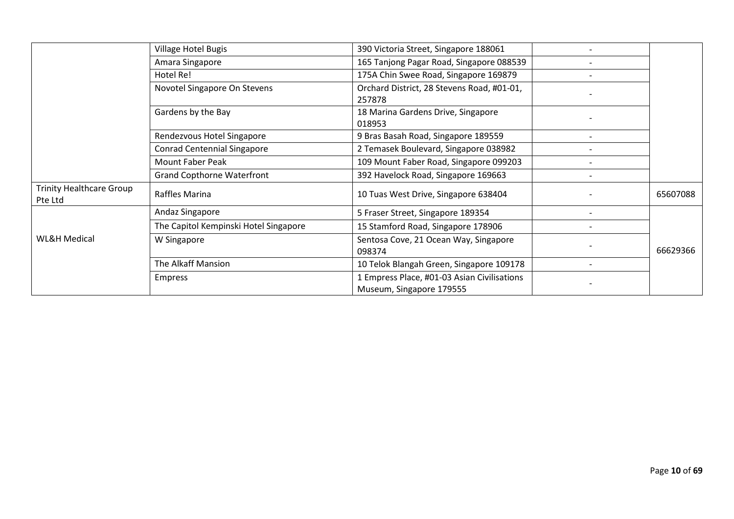|                                            | <b>Village Hotel Bugis</b>            | 390 Victoria Street, Singapore 188061                                   |                          |          |
|--------------------------------------------|---------------------------------------|-------------------------------------------------------------------------|--------------------------|----------|
|                                            | Amara Singapore                       | 165 Tanjong Pagar Road, Singapore 088539                                |                          |          |
|                                            | Hotel Re!                             | 175A Chin Swee Road, Singapore 169879                                   | $\overline{\phantom{a}}$ |          |
|                                            | Novotel Singapore On Stevens          | Orchard District, 28 Stevens Road, #01-01,<br>257878                    |                          |          |
|                                            | Gardens by the Bay                    | 18 Marina Gardens Drive, Singapore<br>018953                            |                          |          |
|                                            | Rendezvous Hotel Singapore            | 9 Bras Basah Road, Singapore 189559                                     |                          |          |
|                                            | <b>Conrad Centennial Singapore</b>    | 2 Temasek Boulevard, Singapore 038982                                   |                          |          |
|                                            | <b>Mount Faber Peak</b>               | 109 Mount Faber Road, Singapore 099203                                  |                          |          |
|                                            | <b>Grand Copthorne Waterfront</b>     | 392 Havelock Road, Singapore 169663                                     |                          |          |
| <b>Trinity Healthcare Group</b><br>Pte Ltd | Raffles Marina                        | 10 Tuas West Drive, Singapore 638404                                    |                          | 65607088 |
|                                            | Andaz Singapore                       | 5 Fraser Street, Singapore 189354                                       |                          |          |
|                                            | The Capitol Kempinski Hotel Singapore | 15 Stamford Road, Singapore 178906                                      |                          |          |
| <b>WL&amp;H Medical</b>                    | W Singapore                           | Sentosa Cove, 21 Ocean Way, Singapore<br>098374                         |                          | 66629366 |
|                                            | The Alkaff Mansion                    | 10 Telok Blangah Green, Singapore 109178                                |                          |          |
|                                            | Empress                               | 1 Empress Place, #01-03 Asian Civilisations<br>Museum, Singapore 179555 |                          |          |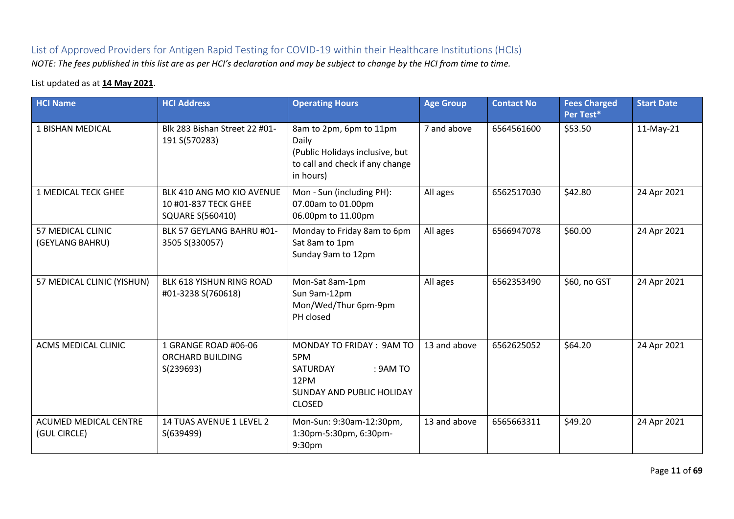## List of Approved Providers for Antigen Rapid Testing for COVID-19 within their Healthcare Institutions (HCIs)

*NOTE: The fees published in this list are as per HCI's declaration and may be subject to change by the HCI from time to time.*

## List updated as at **14 May 2021**.

| <b>HCI Name</b>                       | <b>HCI Address</b>                                                           | <b>Operating Hours</b>                                                                                              | <b>Age Group</b> | <b>Contact No</b> | <b>Fees Charged</b><br>Per Test* | <b>Start Date</b> |
|---------------------------------------|------------------------------------------------------------------------------|---------------------------------------------------------------------------------------------------------------------|------------------|-------------------|----------------------------------|-------------------|
| 1 BISHAN MEDICAL                      | Blk 283 Bishan Street 22 #01-<br>191 S(570283)                               | 8am to 2pm, 6pm to 11pm<br>Daily<br>(Public Holidays inclusive, but<br>to call and check if any change<br>in hours) | 7 and above      | 6564561600        | \$53.50                          | $11-May-21$       |
| 1 MEDICAL TECK GHEE                   | BLK 410 ANG MO KIO AVENUE<br>10 #01-837 TECK GHEE<br><b>SQUARE S(560410)</b> | Mon - Sun (including PH):<br>07.00am to 01.00pm<br>06.00pm to 11.00pm                                               | All ages         | 6562517030        | \$42.80                          | 24 Apr 2021       |
| 57 MEDICAL CLINIC<br>(GEYLANG BAHRU)  | BLK 57 GEYLANG BAHRU #01-<br>3505 S(330057)                                  | Monday to Friday 8am to 6pm<br>Sat 8am to 1pm<br>Sunday 9am to 12pm                                                 | All ages         | 6566947078        | \$60.00                          | 24 Apr 2021       |
| 57 MEDICAL CLINIC (YISHUN)            | BLK 618 YISHUN RING ROAD<br>#01-3238 S(760618)                               | Mon-Sat 8am-1pm<br>Sun 9am-12pm<br>Mon/Wed/Thur 6pm-9pm<br>PH closed                                                | All ages         | 6562353490        | \$60, no GST                     | 24 Apr 2021       |
| <b>ACMS MEDICAL CLINIC</b>            | 1 GRANGE ROAD #06-06<br>ORCHARD BUILDING<br>S(239693)                        | MONDAY TO FRIDAY: 9AM TO<br>5PM<br>: 9AM TO<br>SATURDAY<br>12PM<br>SUNDAY AND PUBLIC HOLIDAY<br><b>CLOSED</b>       | 13 and above     | 6562625052        | \$64.20                          | 24 Apr 2021       |
| ACUMED MEDICAL CENTRE<br>(GUL CIRCLE) | 14 TUAS AVENUE 1 LEVEL 2<br>S(639499)                                        | Mon-Sun: 9:30am-12:30pm,<br>1:30pm-5:30pm, 6:30pm-<br>9:30pm                                                        | 13 and above     | 6565663311        | \$49.20                          | 24 Apr 2021       |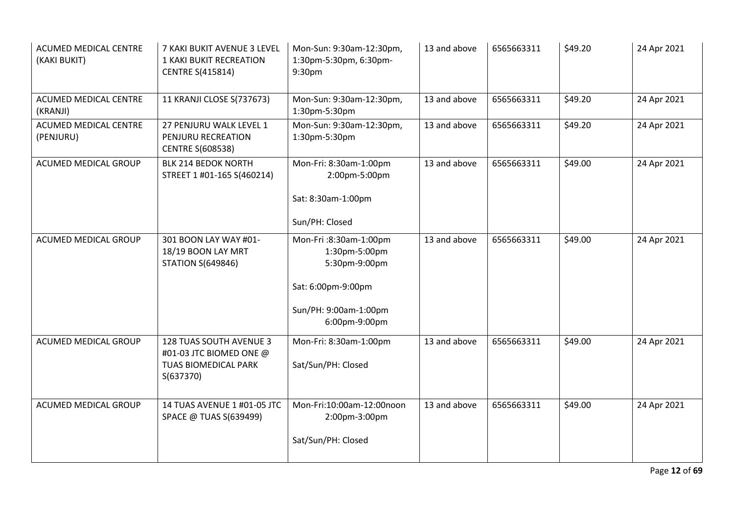| <b>ACUMED MEDICAL CENTRE</b><br>(KAKI BUKIT) | 7 KAKI BUKIT AVENUE 3 LEVEL<br>1 KAKI BUKIT RECREATION<br><b>CENTRE S(415814)</b>       | Mon-Sun: 9:30am-12:30pm,<br>1:30pm-5:30pm, 6:30pm-<br>9:30pm | 13 and above | 6565663311 | \$49.20 | 24 Apr 2021 |
|----------------------------------------------|-----------------------------------------------------------------------------------------|--------------------------------------------------------------|--------------|------------|---------|-------------|
| <b>ACUMED MEDICAL CENTRE</b><br>(KRANJI)     | 11 KRANJI CLOSE S(737673)                                                               | Mon-Sun: 9:30am-12:30pm,<br>1:30pm-5:30pm                    | 13 and above | 6565663311 | \$49.20 | 24 Apr 2021 |
| <b>ACUMED MEDICAL CENTRE</b><br>(PENJURU)    | 27 PENJURU WALK LEVEL 1<br>PENJURU RECREATION<br><b>CENTRE S(608538)</b>                | Mon-Sun: 9:30am-12:30pm,<br>1:30pm-5:30pm                    | 13 and above | 6565663311 | \$49.20 | 24 Apr 2021 |
| ACUMED MEDICAL GROUP                         | <b>BLK 214 BEDOK NORTH</b><br>STREET 1 #01-165 S(460214)                                | Mon-Fri: 8:30am-1:00pm<br>2:00pm-5:00pm                      | 13 and above | 6565663311 | \$49.00 | 24 Apr 2021 |
|                                              |                                                                                         | Sat: 8:30am-1:00pm                                           |              |            |         |             |
|                                              |                                                                                         | Sun/PH: Closed                                               |              |            |         |             |
| ACUMED MEDICAL GROUP                         | 301 BOON LAY WAY #01-<br>18/19 BOON LAY MRT<br><b>STATION S(649846)</b>                 | Mon-Fri: 8:30am-1:00pm<br>1:30pm-5:00pm<br>5:30pm-9:00pm     | 13 and above | 6565663311 | \$49.00 | 24 Apr 2021 |
|                                              |                                                                                         | Sat: 6:00pm-9:00pm                                           |              |            |         |             |
|                                              |                                                                                         | Sun/PH: 9:00am-1:00pm<br>6:00pm-9:00pm                       |              |            |         |             |
| ACUMED MEDICAL GROUP                         | 128 TUAS SOUTH AVENUE 3<br>#01-03 JTC BIOMED ONE @<br>TUAS BIOMEDICAL PARK<br>S(637370) | Mon-Fri: 8:30am-1:00pm<br>Sat/Sun/PH: Closed                 | 13 and above | 6565663311 | \$49.00 | 24 Apr 2021 |
| ACUMED MEDICAL GROUP                         | 14 TUAS AVENUE 1 #01-05 JTC<br>SPACE @ TUAS S(639499)                                   | Mon-Fri:10:00am-12:00noon<br>2:00pm-3:00pm                   | 13 and above | 6565663311 | \$49.00 | 24 Apr 2021 |
|                                              |                                                                                         | Sat/Sun/PH: Closed                                           |              |            |         |             |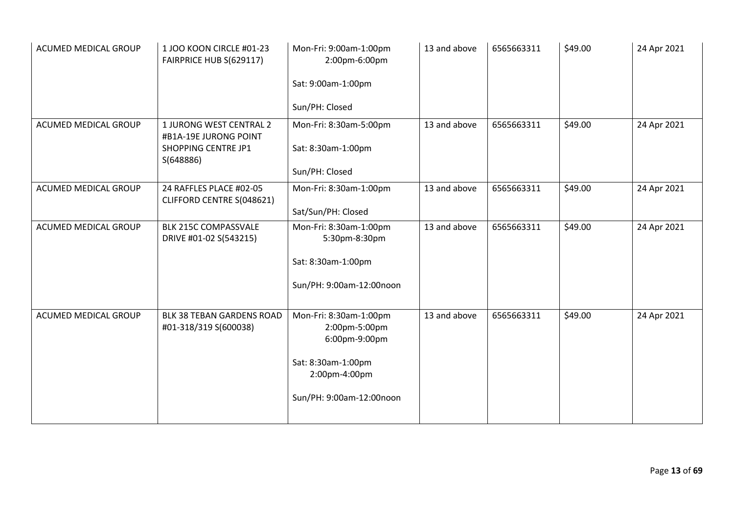| ACUMED MEDICAL GROUP        | 1 JOO KOON CIRCLE #01-23<br>FAIRPRICE HUB S(629117)                                  | Mon-Fri: 9:00am-1:00pm<br>2:00pm-6:00pm<br>Sat: 9:00am-1:00pm<br>Sun/PH: Closed                                             | 13 and above | 6565663311 | \$49.00 | 24 Apr 2021 |
|-----------------------------|--------------------------------------------------------------------------------------|-----------------------------------------------------------------------------------------------------------------------------|--------------|------------|---------|-------------|
| <b>ACUMED MEDICAL GROUP</b> | 1 JURONG WEST CENTRAL 2<br>#B1A-19E JURONG POINT<br>SHOPPING CENTRE JP1<br>S(648886) | Mon-Fri: 8:30am-5:00pm<br>Sat: 8:30am-1:00pm<br>Sun/PH: Closed                                                              | 13 and above | 6565663311 | \$49.00 | 24 Apr 2021 |
| <b>ACUMED MEDICAL GROUP</b> | 24 RAFFLES PLACE #02-05<br>CLIFFORD CENTRE S(048621)                                 | Mon-Fri: 8:30am-1:00pm<br>Sat/Sun/PH: Closed                                                                                | 13 and above | 6565663311 | \$49.00 | 24 Apr 2021 |
| <b>ACUMED MEDICAL GROUP</b> | BLK 215C COMPASSVALE<br>DRIVE #01-02 S(543215)                                       | Mon-Fri: 8:30am-1:00pm<br>5:30pm-8:30pm<br>Sat: 8:30am-1:00pm<br>Sun/PH: 9:00am-12:00noon                                   | 13 and above | 6565663311 | \$49.00 | 24 Apr 2021 |
| <b>ACUMED MEDICAL GROUP</b> | BLK 38 TEBAN GARDENS ROAD<br>#01-318/319 S(600038)                                   | Mon-Fri: 8:30am-1:00pm<br>2:00pm-5:00pm<br>6:00pm-9:00pm<br>Sat: 8:30am-1:00pm<br>2:00pm-4:00pm<br>Sun/PH: 9:00am-12:00noon | 13 and above | 6565663311 | \$49.00 | 24 Apr 2021 |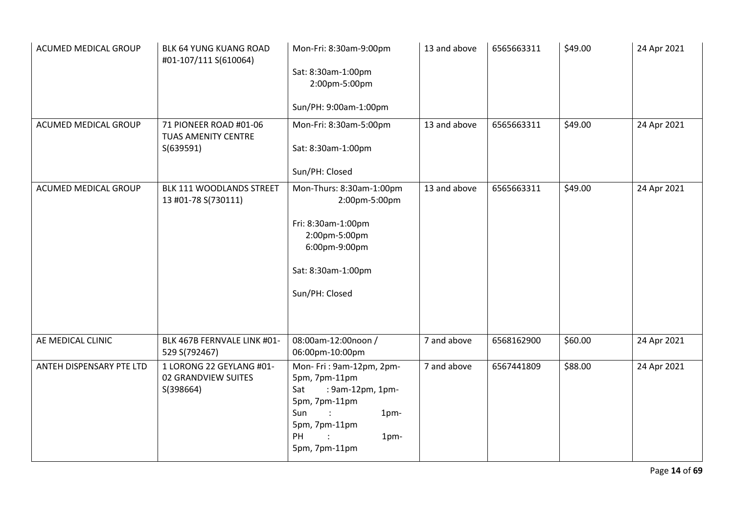| <b>ACUMED MEDICAL GROUP</b> | <b>BLK 64 YUNG KUANG ROAD</b><br>#01-107/111 S(610064)       | Mon-Fri: 8:30am-9:00pm<br>Sat: 8:30am-1:00pm<br>2:00pm-5:00pm<br>Sun/PH: 9:00am-1:00pm                                                              | 13 and above | 6565663311 | \$49.00 | 24 Apr 2021 |
|-----------------------------|--------------------------------------------------------------|-----------------------------------------------------------------------------------------------------------------------------------------------------|--------------|------------|---------|-------------|
| <b>ACUMED MEDICAL GROUP</b> | 71 PIONEER ROAD #01-06<br>TUAS AMENITY CENTRE<br>S(639591)   | Mon-Fri: 8:30am-5:00pm<br>Sat: 8:30am-1:00pm<br>Sun/PH: Closed                                                                                      | 13 and above | 6565663311 | \$49.00 | 24 Apr 2021 |
| <b>ACUMED MEDICAL GROUP</b> | BLK 111 WOODLANDS STREET<br>13 #01-78 S(730111)              | Mon-Thurs: 8:30am-1:00pm<br>2:00pm-5:00pm<br>Fri: 8:30am-1:00pm<br>2:00pm-5:00pm<br>6:00pm-9:00pm<br>Sat: 8:30am-1:00pm<br>Sun/PH: Closed           | 13 and above | 6565663311 | \$49.00 | 24 Apr 2021 |
| AE MEDICAL CLINIC           | BLK 467B FERNVALE LINK #01-<br>529 S(792467)                 | 08:00am-12:00noon /<br>06:00pm-10:00pm                                                                                                              | 7 and above  | 6568162900 | \$60.00 | 24 Apr 2021 |
| ANTEH DISPENSARY PTE LTD    | 1 LORONG 22 GEYLANG #01-<br>02 GRANDVIEW SUITES<br>S(398664) | Mon-Fri: 9am-12pm, 2pm-<br>5pm, 7pm-11pm<br>Sat<br>: 9am-12pm, 1pm-<br>5pm, 7pm-11pm<br>Sun<br>1pm-<br>5pm, 7pm-11pm<br>PH<br>1pm-<br>5pm, 7pm-11pm | 7 and above  | 6567441809 | \$88.00 | 24 Apr 2021 |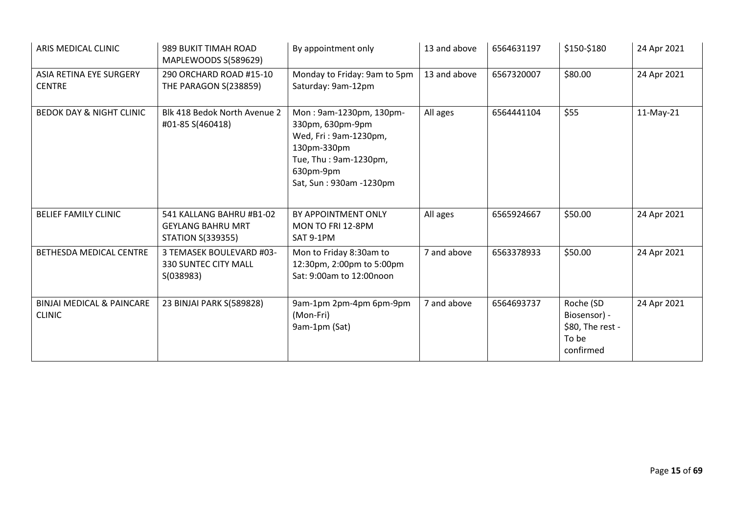| ARIS MEDICAL CLINIC                                   | 989 BUKIT TIMAH ROAD<br>MAPLEWOODS S(589629)                                     | By appointment only                                                                                                                                  | 13 and above | 6564631197 | \$150-\$180                                                         | 24 Apr 2021 |
|-------------------------------------------------------|----------------------------------------------------------------------------------|------------------------------------------------------------------------------------------------------------------------------------------------------|--------------|------------|---------------------------------------------------------------------|-------------|
| ASIA RETINA EYE SURGERY<br><b>CENTRE</b>              | 290 ORCHARD ROAD #15-10<br>THE PARAGON S(238859)                                 | Monday to Friday: 9am to 5pm<br>Saturday: 9am-12pm                                                                                                   | 13 and above | 6567320007 | \$80.00                                                             | 24 Apr 2021 |
| <b>BEDOK DAY &amp; NIGHT CLINIC</b>                   | Blk 418 Bedok North Avenue 2<br>#01-85 S(460418)                                 | Mon: 9am-1230pm, 130pm-<br>330pm, 630pm-9pm<br>Wed, Fri: 9am-1230pm,<br>130pm-330pm<br>Tue, Thu: 9am-1230pm,<br>630pm-9pm<br>Sat, Sun: 930am -1230pm | All ages     | 6564441104 | \$55                                                                | $11-May-21$ |
| <b>BELIEF FAMILY CLINIC</b>                           | 541 KALLANG BAHRU #B1-02<br><b>GEYLANG BAHRU MRT</b><br><b>STATION S(339355)</b> | BY APPOINTMENT ONLY<br>MON TO FRI 12-8PM<br>SAT 9-1PM                                                                                                | All ages     | 6565924667 | \$50.00                                                             | 24 Apr 2021 |
| BETHESDA MEDICAL CENTRE                               | 3 TEMASEK BOULEVARD #03-<br>330 SUNTEC CITY MALL<br>S(038983)                    | Mon to Friday 8:30am to<br>12:30pm, 2:00pm to 5:00pm<br>Sat: 9:00am to 12:00noon                                                                     | 7 and above  | 6563378933 | \$50.00                                                             | 24 Apr 2021 |
| <b>BINJAI MEDICAL &amp; PAINCARE</b><br><b>CLINIC</b> | 23 BINJAI PARK S(589828)                                                         | 9am-1pm 2pm-4pm 6pm-9pm<br>(Mon-Fri)<br>9am-1pm (Sat)                                                                                                | 7 and above  | 6564693737 | Roche (SD<br>Biosensor) -<br>\$80, The rest -<br>To be<br>confirmed | 24 Apr 2021 |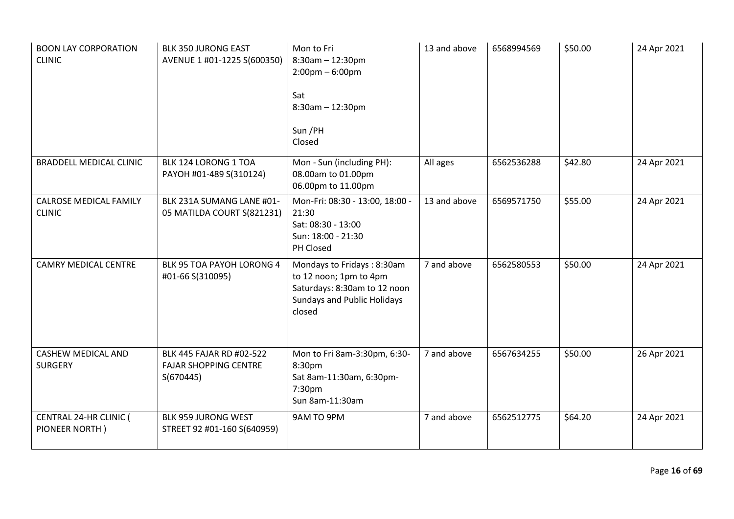| <b>BOON LAY CORPORATION</b><br><b>CLINIC</b>    | <b>BLK 350 JURONG EAST</b><br>AVENUE 1 #01-1225 S(600350)             | Mon to Fri<br>$8:30$ am - 12:30pm<br>$2:00 \text{pm} - 6:00 \text{pm}$<br>Sat<br>$8:30$ am - 12:30pm<br>Sun /PH<br>Closed            | 13 and above | 6568994569 | \$50.00 | 24 Apr 2021 |
|-------------------------------------------------|-----------------------------------------------------------------------|--------------------------------------------------------------------------------------------------------------------------------------|--------------|------------|---------|-------------|
| <b>BRADDELL MEDICAL CLINIC</b>                  | BLK 124 LORONG 1 TOA<br>PAYOH #01-489 S(310124)                       | Mon - Sun (including PH):<br>08.00am to 01.00pm<br>06.00pm to 11.00pm                                                                | All ages     | 6562536288 | \$42.80 | 24 Apr 2021 |
| CALROSE MEDICAL FAMILY<br><b>CLINIC</b>         | BLK 231A SUMANG LANE #01-<br>05 MATILDA COURT S(821231)               | Mon-Fri: 08:30 - 13:00, 18:00 -<br>21:30<br>Sat: 08:30 - 13:00<br>Sun: 18:00 - 21:30<br>PH Closed                                    | 13 and above | 6569571750 | \$55.00 | 24 Apr 2021 |
| <b>CAMRY MEDICAL CENTRE</b>                     | BLK 95 TOA PAYOH LORONG 4<br>#01-66 S(310095)                         | Mondays to Fridays: 8:30am<br>to 12 noon; 1pm to 4pm<br>Saturdays: 8:30am to 12 noon<br><b>Sundays and Public Holidays</b><br>closed | 7 and above  | 6562580553 | \$50.00 | 24 Apr 2021 |
| CASHEW MEDICAL AND<br><b>SURGERY</b>            | BLK 445 FAJAR RD #02-522<br><b>FAJAR SHOPPING CENTRE</b><br>S(670445) | Mon to Fri 8am-3:30pm, 6:30-<br>8:30pm<br>Sat 8am-11:30am, 6:30pm-<br>7:30pm<br>Sun 8am-11:30am                                      | 7 and above  | 6567634255 | \$50.00 | 26 Apr 2021 |
| <b>CENTRAL 24-HR CLINIC (</b><br>PIONEER NORTH) | BLK 959 JURONG WEST<br>STREET 92 #01-160 S(640959)                    | 9AM TO 9PM                                                                                                                           | 7 and above  | 6562512775 | \$64.20 | 24 Apr 2021 |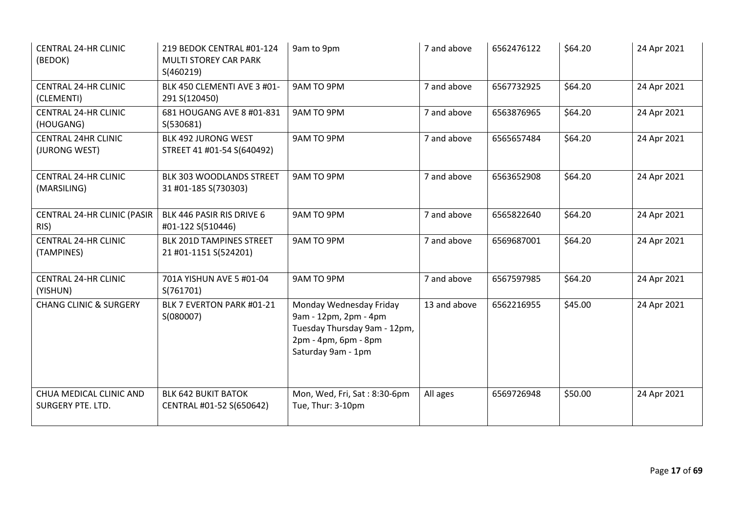| <b>CENTRAL 24-HR CLINIC</b><br>(BEDOK)       | 219 BEDOK CENTRAL #01-124<br>MULTI STOREY CAR PARK<br>S(460219) | 9am to 9pm                                                                                                                     | 7 and above  | 6562476122 | \$64.20 | 24 Apr 2021 |
|----------------------------------------------|-----------------------------------------------------------------|--------------------------------------------------------------------------------------------------------------------------------|--------------|------------|---------|-------------|
| <b>CENTRAL 24-HR CLINIC</b><br>(CLEMENTI)    | BLK 450 CLEMENTI AVE 3 #01-<br>291 S(120450)                    | 9AM TO 9PM                                                                                                                     | 7 and above  | 6567732925 | \$64.20 | 24 Apr 2021 |
| <b>CENTRAL 24-HR CLINIC</b><br>(HOUGANG)     | 681 HOUGANG AVE 8 #01-831<br>S(530681)                          | 9AM TO 9PM                                                                                                                     | 7 and above  | 6563876965 | \$64.20 | 24 Apr 2021 |
| <b>CENTRAL 24HR CLINIC</b><br>(JURONG WEST)  | BLK 492 JURONG WEST<br>STREET 41 #01-54 S(640492)               | 9AM TO 9PM                                                                                                                     | 7 and above  | 6565657484 | \$64.20 | 24 Apr 2021 |
| <b>CENTRAL 24-HR CLINIC</b><br>(MARSILING)   | BLK 303 WOODLANDS STREET<br>31 #01-185 S(730303)                | 9AM TO 9PM                                                                                                                     | 7 and above  | 6563652908 | \$64.20 | 24 Apr 2021 |
| CENTRAL 24-HR CLINIC (PASIR<br>RIS)          | BLK 446 PASIR RIS DRIVE 6<br>#01-122 S(510446)                  | 9AM TO 9PM                                                                                                                     | 7 and above  | 6565822640 | \$64.20 | 24 Apr 2021 |
| <b>CENTRAL 24-HR CLINIC</b><br>(TAMPINES)    | BLK 201D TAMPINES STREET<br>21 #01-1151 S(524201)               | 9AM TO 9PM                                                                                                                     | 7 and above  | 6569687001 | \$64.20 | 24 Apr 2021 |
| <b>CENTRAL 24-HR CLINIC</b><br>(YISHUN)      | 701A YISHUN AVE 5 #01-04<br>S(761701)                           | 9AM TO 9PM                                                                                                                     | 7 and above  | 6567597985 | \$64.20 | 24 Apr 2021 |
| <b>CHANG CLINIC &amp; SURGERY</b>            | BLK 7 EVERTON PARK #01-21<br>S(080007)                          | Monday Wednesday Friday<br>9am - 12pm, 2pm - 4pm<br>Tuesday Thursday 9am - 12pm,<br>2pm - 4pm, 6pm - 8pm<br>Saturday 9am - 1pm | 13 and above | 6562216955 | \$45.00 | 24 Apr 2021 |
| CHUA MEDICAL CLINIC AND<br>SURGERY PTE. LTD. | <b>BLK 642 BUKIT BATOK</b><br>CENTRAL #01-52 S(650642)          | Mon, Wed, Fri, Sat: 8:30-6pm<br>Tue, Thur: 3-10pm                                                                              | All ages     | 6569726948 | \$50.00 | 24 Apr 2021 |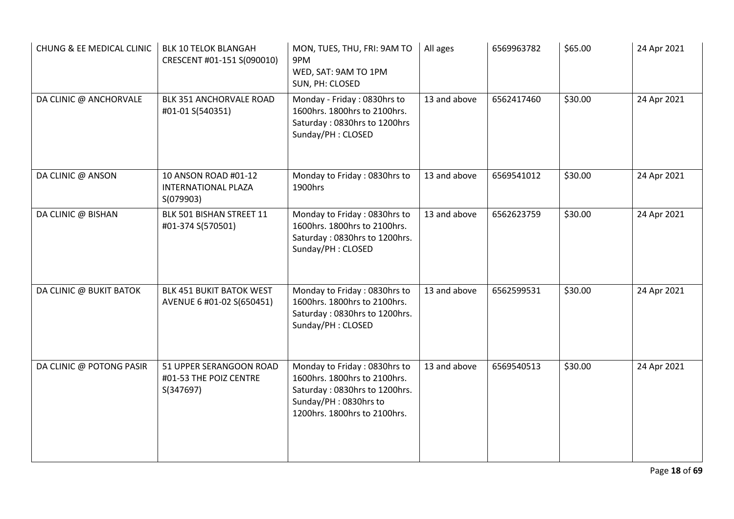| CHUNG & EE MEDICAL CLINIC | <b>BLK 10 TELOK BLANGAH</b><br>CRESCENT #01-151 S(090010)       | MON, TUES, THU, FRI: 9AM TO<br>9PM<br>WED, SAT: 9AM TO 1PM<br>SUN, PH: CLOSED                                                                          | All ages     | 6569963782 | \$65.00 | 24 Apr 2021 |
|---------------------------|-----------------------------------------------------------------|--------------------------------------------------------------------------------------------------------------------------------------------------------|--------------|------------|---------|-------------|
| DA CLINIC @ ANCHORVALE    | BLK 351 ANCHORVALE ROAD<br>#01-01 S(540351)                     | Monday - Friday: 0830hrs to<br>1600hrs. 1800hrs to 2100hrs.<br>Saturday: 0830hrs to 1200hrs<br>Sunday/PH: CLOSED                                       | 13 and above | 6562417460 | \$30.00 | 24 Apr 2021 |
| DA CLINIC @ ANSON         | 10 ANSON ROAD #01-12<br><b>INTERNATIONAL PLAZA</b><br>S(079903) | Monday to Friday: 0830hrs to<br>1900hrs                                                                                                                | 13 and above | 6569541012 | \$30.00 | 24 Apr 2021 |
| DA CLINIC @ BISHAN        | BLK 501 BISHAN STREET 11<br>#01-374 S(570501)                   | Monday to Friday: 0830hrs to<br>1600hrs. 1800hrs to 2100hrs.<br>Saturday: 0830hrs to 1200hrs.<br>Sunday/PH: CLOSED                                     | 13 and above | 6562623759 | \$30.00 | 24 Apr 2021 |
| DA CLINIC @ BUKIT BATOK   | BLK 451 BUKIT BATOK WEST<br>AVENUE 6 #01-02 S(650451)           | Monday to Friday: 0830hrs to<br>1600hrs. 1800hrs to 2100hrs.<br>Saturday: 0830hrs to 1200hrs.<br>Sunday/PH: CLOSED                                     | 13 and above | 6562599531 | \$30.00 | 24 Apr 2021 |
| DA CLINIC @ POTONG PASIR  | 51 UPPER SERANGOON ROAD<br>#01-53 THE POIZ CENTRE<br>S(347697)  | Monday to Friday: 0830hrs to<br>1600hrs. 1800hrs to 2100hrs.<br>Saturday: 0830hrs to 1200hrs.<br>Sunday/PH: 0830hrs to<br>1200hrs. 1800hrs to 2100hrs. | 13 and above | 6569540513 | \$30.00 | 24 Apr 2021 |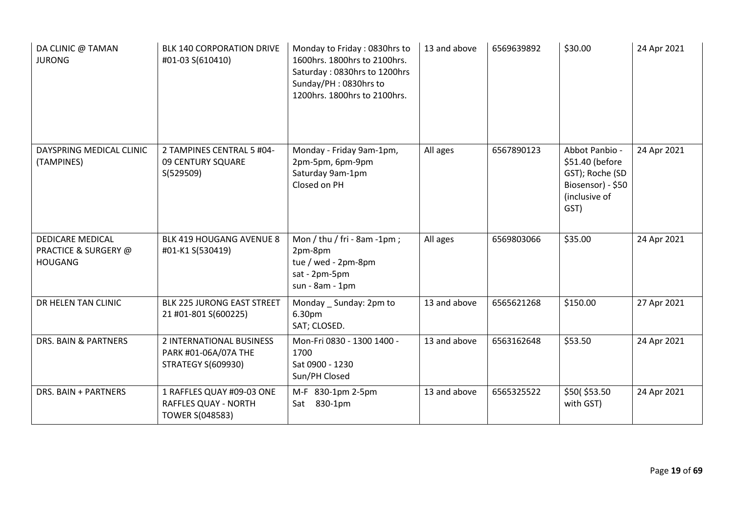| DA CLINIC @ TAMAN<br><b>JURONG</b>                                | <b>BLK 140 CORPORATION DRIVE</b><br>#01-03 S(610410)                          | Monday to Friday: 0830hrs to<br>1600hrs. 1800hrs to 2100hrs.<br>Saturday: 0830hrs to 1200hrs<br>Sunday/PH: 0830hrs to<br>1200hrs. 1800hrs to 2100hrs. | 13 and above | 6569639892 | \$30.00                                                                                            | 24 Apr 2021 |
|-------------------------------------------------------------------|-------------------------------------------------------------------------------|-------------------------------------------------------------------------------------------------------------------------------------------------------|--------------|------------|----------------------------------------------------------------------------------------------------|-------------|
| DAYSPRING MEDICAL CLINIC<br>(TAMPINES)                            | 2 TAMPINES CENTRAL 5 #04-<br>09 CENTURY SQUARE<br>S(529509)                   | Monday - Friday 9am-1pm,<br>2pm-5pm, 6pm-9pm<br>Saturday 9am-1pm<br>Closed on PH                                                                      | All ages     | 6567890123 | Abbot Panbio -<br>\$51.40 (before<br>GST); Roche (SD<br>Biosensor) - \$50<br>(inclusive of<br>GST) | 24 Apr 2021 |
| <b>DEDICARE MEDICAL</b><br>PRACTICE & SURGERY @<br><b>HOUGANG</b> | BLK 419 HOUGANG AVENUE 8<br>#01-K1 S(530419)                                  | Mon / thu / fri - 8am -1pm;<br>2pm-8pm<br>tue / wed - 2pm-8pm<br>sat - 2pm-5pm<br>$sun - 8am - 1pm$                                                   | All ages     | 6569803066 | \$35.00                                                                                            | 24 Apr 2021 |
| DR HELEN TAN CLINIC                                               | <b>BLK 225 JURONG EAST STREET</b><br>21 #01-801 S(600225)                     | Monday _ Sunday: 2pm to<br>6.30pm<br>SAT; CLOSED.                                                                                                     | 13 and above | 6565621268 | \$150.00                                                                                           | 27 Apr 2021 |
| DRS. BAIN & PARTNERS                                              | 2 INTERNATIONAL BUSINESS<br>PARK #01-06A/07A THE<br><b>STRATEGY S(609930)</b> | Mon-Fri 0830 - 1300 1400 -<br>1700<br>Sat 0900 - 1230<br>Sun/PH Closed                                                                                | 13 and above | 6563162648 | \$53.50                                                                                            | 24 Apr 2021 |
| DRS. BAIN + PARTNERS                                              | 1 RAFFLES QUAY #09-03 ONE<br>RAFFLES QUAY - NORTH<br><b>TOWER S(048583)</b>   | M-F 830-1pm 2-5pm<br>Sat 830-1pm                                                                                                                      | 13 and above | 6565325522 | \$50(\$53.50<br>with GST)                                                                          | 24 Apr 2021 |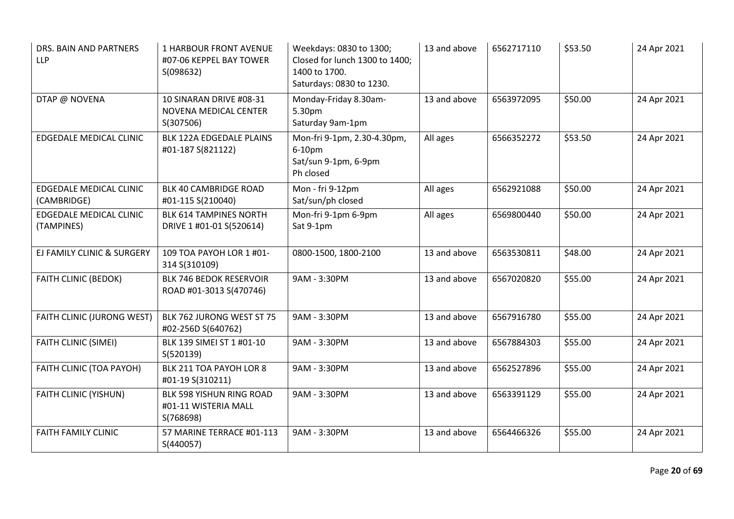| DRS. BAIN AND PARTNERS<br><b>LLP</b>          | <b>1 HARBOUR FRONT AVENUE</b><br>#07-06 KEPPEL BAY TOWER<br>S(098632) | Weekdays: 0830 to 1300;<br>Closed for lunch 1300 to 1400;<br>1400 to 1700.<br>Saturdays: 0830 to 1230. | 13 and above | 6562717110 | \$53.50 | 24 Apr 2021 |
|-----------------------------------------------|-----------------------------------------------------------------------|--------------------------------------------------------------------------------------------------------|--------------|------------|---------|-------------|
| DTAP @ NOVENA                                 | 10 SINARAN DRIVE #08-31<br>NOVENA MEDICAL CENTER<br>S(307506)         | Monday-Friday 8.30am-<br>5.30pm<br>Saturday 9am-1pm                                                    | 13 and above | 6563972095 | \$50.00 | 24 Apr 2021 |
| EDGEDALE MEDICAL CLINIC                       | BLK 122A EDGEDALE PLAINS<br>#01-187 S(821122)                         | Mon-fri 9-1pm, 2.30-4.30pm,<br>6-10pm<br>Sat/sun 9-1pm, 6-9pm<br>Ph closed                             | All ages     | 6566352272 | \$53.50 | 24 Apr 2021 |
| <b>EDGEDALE MEDICAL CLINIC</b><br>(CAMBRIDGE) | <b>BLK 40 CAMBRIDGE ROAD</b><br>#01-115 S(210040)                     | Mon - fri 9-12pm<br>Sat/sun/ph closed                                                                  | All ages     | 6562921088 | \$50.00 | 24 Apr 2021 |
| EDGEDALE MEDICAL CLINIC<br>(TAMPINES)         | <b>BLK 614 TAMPINES NORTH</b><br>DRIVE 1 #01-01 S(520614)             | Mon-fri 9-1pm 6-9pm<br>Sat 9-1pm                                                                       | All ages     | 6569800440 | \$50.00 | 24 Apr 2021 |
| EJ FAMILY CLINIC & SURGERY                    | 109 TOA PAYOH LOR 1 #01-<br>314 S(310109)                             | 0800-1500, 1800-2100                                                                                   | 13 and above | 6563530811 | \$48.00 | 24 Apr 2021 |
| <b>FAITH CLINIC (BEDOK)</b>                   | <b>BLK 746 BEDOK RESERVOIR</b><br>ROAD #01-3013 S(470746)             | 9AM - 3:30PM                                                                                           | 13 and above | 6567020820 | \$55.00 | 24 Apr 2021 |
| FAITH CLINIC (JURONG WEST)                    | BLK 762 JURONG WEST ST 75<br>#02-256D S(640762)                       | 9AM - 3:30PM                                                                                           | 13 and above | 6567916780 | \$55.00 | 24 Apr 2021 |
| FAITH CLINIC (SIMEI)                          | BLK 139 SIMEI ST 1 #01-10<br>S(520139)                                | 9AM - 3:30PM                                                                                           | 13 and above | 6567884303 | \$55.00 | 24 Apr 2021 |
| FAITH CLINIC (TOA PAYOH)                      | BLK 211 TOA PAYOH LOR 8<br>#01-19 S(310211)                           | 9AM - 3:30PM                                                                                           | 13 and above | 6562527896 | \$55.00 | 24 Apr 2021 |
| FAITH CLINIC (YISHUN)                         | BLK 598 YISHUN RING ROAD<br>#01-11 WISTERIA MALL<br>S(768698)         | 9AM - 3:30PM                                                                                           | 13 and above | 6563391129 | \$55.00 | 24 Apr 2021 |
| FAITH FAMILY CLINIC                           | 57 MARINE TERRACE #01-113<br>S(440057)                                | 9AM - 3:30PM                                                                                           | 13 and above | 6564466326 | \$55.00 | 24 Apr 2021 |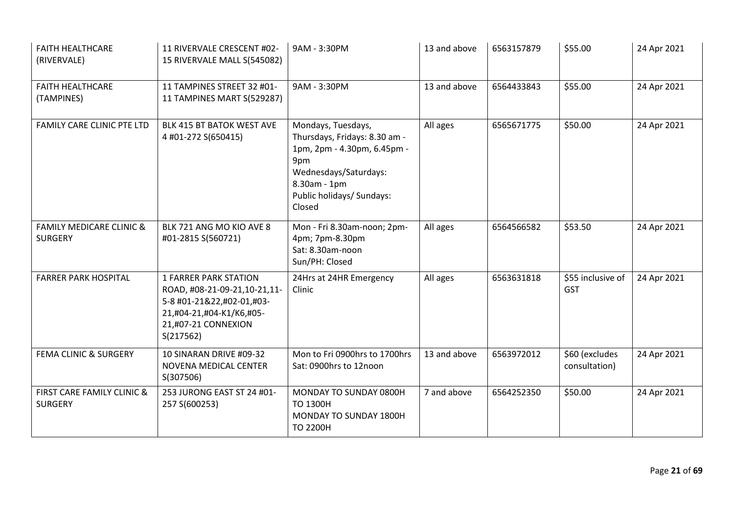| <b>FAITH HEALTHCARE</b><br>(RIVERVALE)                | 11 RIVERVALE CRESCENT #02-<br>15 RIVERVALE MALL S(545082)                                                                                                 | 9AM - 3:30PM                                                                                                                                                              | 13 and above | 6563157879 | \$55.00                         | 24 Apr 2021 |
|-------------------------------------------------------|-----------------------------------------------------------------------------------------------------------------------------------------------------------|---------------------------------------------------------------------------------------------------------------------------------------------------------------------------|--------------|------------|---------------------------------|-------------|
| <b>FAITH HEALTHCARE</b><br>(TAMPINES)                 | 11 TAMPINES STREET 32 #01-<br>11 TAMPINES MART S(529287)                                                                                                  | 9AM - 3:30PM                                                                                                                                                              | 13 and above | 6564433843 | \$55.00                         | 24 Apr 2021 |
| FAMILY CARE CLINIC PTE LTD                            | BLK 415 BT BATOK WEST AVE<br>4 #01-272 S(650415)                                                                                                          | Mondays, Tuesdays,<br>Thursdays, Fridays: 8.30 am -<br>1pm, 2pm - 4.30pm, 6.45pm -<br>9pm<br>Wednesdays/Saturdays:<br>8.30am - 1pm<br>Public holidays/ Sundays:<br>Closed | All ages     | 6565671775 | \$50.00                         | 24 Apr 2021 |
| <b>FAMILY MEDICARE CLINIC &amp;</b><br><b>SURGERY</b> | BLK 721 ANG MO KIO AVE 8<br>#01-2815 S(560721)                                                                                                            | Mon - Fri 8.30am-noon; 2pm-<br>4pm; 7pm-8.30pm<br>Sat: 8.30am-noon<br>Sun/PH: Closed                                                                                      | All ages     | 6564566582 | \$53.50                         | 24 Apr 2021 |
| <b>FARRER PARK HOSPITAL</b>                           | <b>1 FARRER PARK STATION</b><br>ROAD, #08-21-09-21,10-21,11-<br>5-8 #01-21&22,#02-01,#03-<br>21,#04-21,#04-K1/K6,#05-<br>21,#07-21 CONNEXION<br>S(217562) | 24Hrs at 24HR Emergency<br>Clinic                                                                                                                                         | All ages     | 6563631818 | \$55 inclusive of<br><b>GST</b> | 24 Apr 2021 |
| <b>FEMA CLINIC &amp; SURGERY</b>                      | 10 SINARAN DRIVE #09-32<br>NOVENA MEDICAL CENTER<br>S(307506)                                                                                             | Mon to Fri 0900hrs to 1700hrs<br>Sat: 0900hrs to 12noon                                                                                                                   | 13 and above | 6563972012 | \$60 (excludes<br>consultation) | 24 Apr 2021 |
| FIRST CARE FAMILY CLINIC &<br><b>SURGERY</b>          | 253 JURONG EAST ST 24 #01-<br>257 S(600253)                                                                                                               | MONDAY TO SUNDAY 0800H<br><b>TO 1300H</b><br>MONDAY TO SUNDAY 1800H<br><b>TO 2200H</b>                                                                                    | 7 and above  | 6564252350 | \$50.00                         | 24 Apr 2021 |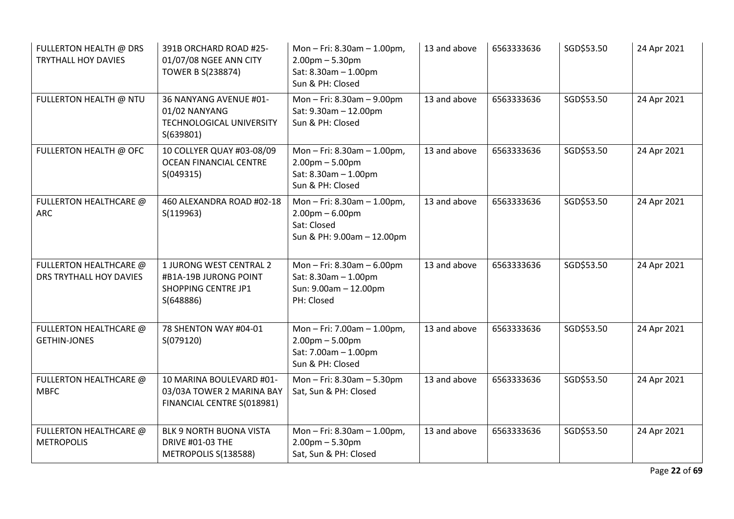| FULLERTON HEALTH @ DRS<br><b>TRYTHALL HOY DAVIES</b> | 391B ORCHARD ROAD #25-<br>01/07/08 NGEE ANN CITY<br><b>TOWER B S(238874)</b>         | Mon - Fri: $8.30$ am - $1.00$ pm,<br>$2.00$ pm $- 5.30$ pm<br>Sat: $8.30$ am $- 1.00$ pm<br>Sun & PH: Closed | 13 and above | 6563333636 | SGD\$53.50 | 24 Apr 2021 |
|------------------------------------------------------|--------------------------------------------------------------------------------------|--------------------------------------------------------------------------------------------------------------|--------------|------------|------------|-------------|
| FULLERTON HEALTH @ NTU                               | 36 NANYANG AVENUE #01-<br>01/02 NANYANG<br>TECHNOLOGICAL UNIVERSITY<br>S(639801)     | Mon-Fri: 8.30am-9.00pm<br>Sat: 9.30am - 12.00pm<br>Sun & PH: Closed                                          | 13 and above | 6563333636 | SGD\$53.50 | 24 Apr 2021 |
| FULLERTON HEALTH @ OFC                               | 10 COLLYER QUAY #03-08/09<br><b>OCEAN FINANCIAL CENTRE</b><br>S(049315)              | Mon - Fri: $8.30$ am - 1.00pm,<br>$2.00$ pm $- 5.00$ pm<br>Sat: 8.30am - 1.00pm<br>Sun & PH: Closed          | 13 and above | 6563333636 | SGD\$53.50 | 24 Apr 2021 |
| FULLERTON HEALTHCARE @<br><b>ARC</b>                 | 460 ALEXANDRA ROAD #02-18<br>S(119963)                                               | Mon-Fri: 8.30am-1.00pm,<br>$2.00$ pm – 6.00pm<br>Sat: Closed<br>Sun & PH: 9.00am - 12.00pm                   | 13 and above | 6563333636 | SGD\$53.50 | 24 Apr 2021 |
| FULLERTON HEALTHCARE @<br>DRS TRYTHALL HOY DAVIES    | 1 JURONG WEST CENTRAL 2<br>#B1A-19B JURONG POINT<br>SHOPPING CENTRE JP1<br>S(648886) | Mon-Fri: 8.30am-6.00pm<br>Sat: 8.30am - 1.00pm<br>Sun: 9.00am - 12.00pm<br>PH: Closed                        | 13 and above | 6563333636 | SGD\$53.50 | 24 Apr 2021 |
| FULLERTON HEALTHCARE @<br><b>GETHIN-JONES</b>        | 78 SHENTON WAY #04-01<br>S(079120)                                                   | Mon-Fri: 7.00am-1.00pm,<br>$2.00$ pm $- 5.00$ pm<br>Sat: 7.00am - 1.00pm<br>Sun & PH: Closed                 | 13 and above | 6563333636 | SGD\$53.50 | 24 Apr 2021 |
| FULLERTON HEALTHCARE @<br><b>MBFC</b>                | 10 MARINA BOULEVARD #01-<br>03/03A TOWER 2 MARINA BAY<br>FINANCIAL CENTRE S(018981)  | Mon-Fri: 8.30am-5.30pm<br>Sat, Sun & PH: Closed                                                              | 13 and above | 6563333636 | SGD\$53.50 | 24 Apr 2021 |
| FULLERTON HEALTHCARE @<br><b>METROPOLIS</b>          | BLK 9 NORTH BUONA VISTA<br><b>DRIVE #01-03 THE</b><br>METROPOLIS S(138588)           | Mon - Fri: $8.30$ am - $1.00$ pm,<br>$2.00$ pm $- 5.30$ pm<br>Sat, Sun & PH: Closed                          | 13 and above | 6563333636 | SGD\$53.50 | 24 Apr 2021 |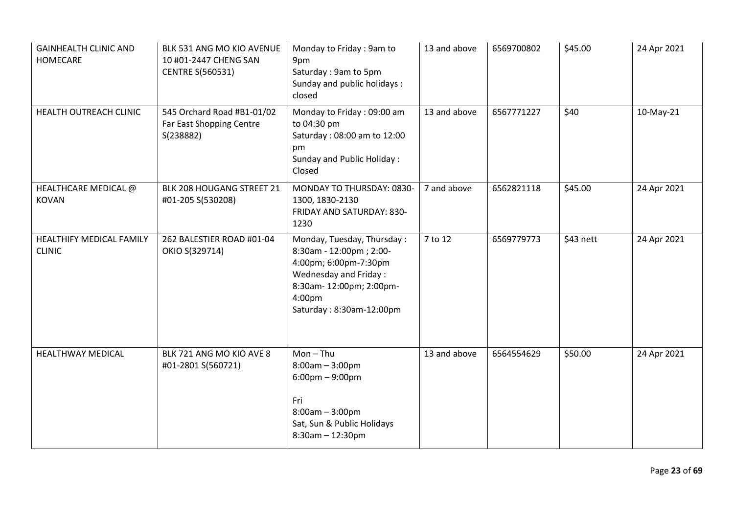| <b>GAINHEALTH CLINIC AND</b><br>HOMECARE  | BLK 531 ANG MO KIO AVENUE<br>10 #01-2447 CHENG SAN<br><b>CENTRE S(560531)</b> | Monday to Friday: 9am to<br>9pm<br>Saturday: 9am to 5pm<br>Sunday and public holidays:<br>closed                                                                         | 13 and above | 6569700802 | \$45.00   | 24 Apr 2021 |
|-------------------------------------------|-------------------------------------------------------------------------------|--------------------------------------------------------------------------------------------------------------------------------------------------------------------------|--------------|------------|-----------|-------------|
| HEALTH OUTREACH CLINIC                    | 545 Orchard Road #B1-01/02<br>Far East Shopping Centre<br>S(238882)           | Monday to Friday: 09:00 am<br>to 04:30 pm<br>Saturday: 08:00 am to 12:00<br>pm<br><b>Sunday and Public Holiday:</b><br>Closed                                            | 13 and above | 6567771227 | \$40      | 10-May-21   |
| HEALTHCARE MEDICAL @<br><b>KOVAN</b>      | BLK 208 HOUGANG STREET 21<br>#01-205 S(530208)                                | MONDAY TO THURSDAY: 0830-<br>1300, 1830-2130<br>FRIDAY AND SATURDAY: 830-<br>1230                                                                                        | 7 and above  | 6562821118 | \$45.00   | 24 Apr 2021 |
| HEALTHIFY MEDICAL FAMILY<br><b>CLINIC</b> | 262 BALESTIER ROAD #01-04<br>OKIO S(329714)                                   | Monday, Tuesday, Thursday:<br>8:30am - 12:00pm; 2:00-<br>4:00pm; 6:00pm-7:30pm<br>Wednesday and Friday:<br>8:30am-12:00pm; 2:00pm-<br>4:00pm<br>Saturday: 8:30am-12:00pm | 7 to 12      | 6569779773 | \$43 nett | 24 Apr 2021 |
| HEALTHWAY MEDICAL                         | BLK 721 ANG MO KIO AVE 8<br>#01-2801 S(560721)                                | $Mon - Thu$<br>$8:00am - 3:00pm$<br>$6:00 \text{pm} - 9:00 \text{pm}$<br>Fri<br>$8:00am - 3:00pm$<br>Sat, Sun & Public Holidays<br>$8:30$ am - 12:30pm                   | 13 and above | 6564554629 | \$50.00   | 24 Apr 2021 |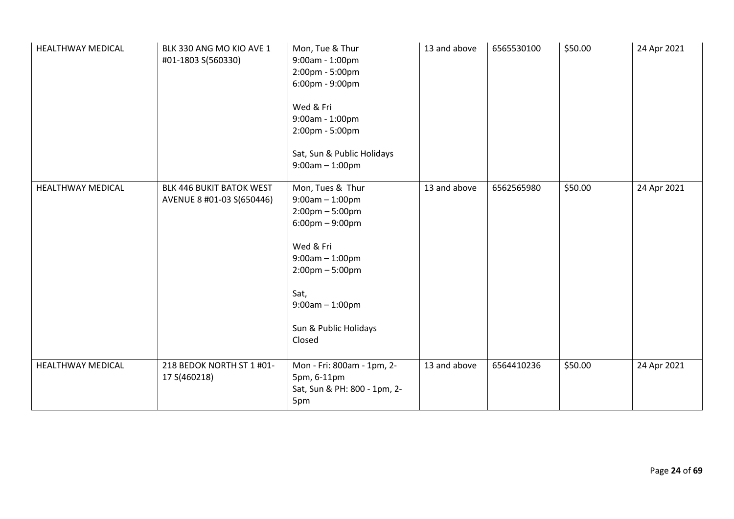| <b>HEALTHWAY MEDICAL</b> | BLK 330 ANG MO KIO AVE 1<br>#01-1803 S(560330)        | Mon, Tue & Thur<br>9:00am - 1:00pm<br>2:00pm - 5:00pm<br>6:00pm - 9:00pm<br>Wed & Fri<br>9:00am - 1:00pm<br>2:00pm - 5:00pm<br>Sat, Sun & Public Holidays<br>$9:00am - 1:00pm$                                                                         | 13 and above | 6565530100 | \$50.00 | 24 Apr 2021 |
|--------------------------|-------------------------------------------------------|--------------------------------------------------------------------------------------------------------------------------------------------------------------------------------------------------------------------------------------------------------|--------------|------------|---------|-------------|
| <b>HEALTHWAY MEDICAL</b> | BLK 446 BUKIT BATOK WEST<br>AVENUE 8 #01-03 S(650446) | Mon, Tues & Thur<br>$9:00am - 1:00pm$<br>$2:00 \text{pm} - 5:00 \text{pm}$<br>$6:00 \text{pm} - 9:00 \text{pm}$<br>Wed & Fri<br>$9:00am - 1:00pm$<br>$2:00 \text{pm} - 5:00 \text{pm}$<br>Sat,<br>$9:00am - 1:00pm$<br>Sun & Public Holidays<br>Closed | 13 and above | 6562565980 | \$50.00 | 24 Apr 2021 |
| <b>HEALTHWAY MEDICAL</b> | 218 BEDOK NORTH ST 1 #01-<br>17 S(460218)             | Mon - Fri: 800am - 1pm, 2-<br>5pm, 6-11pm<br>Sat, Sun & PH: 800 - 1pm, 2-<br>5pm                                                                                                                                                                       | 13 and above | 6564410236 | \$50.00 | 24 Apr 2021 |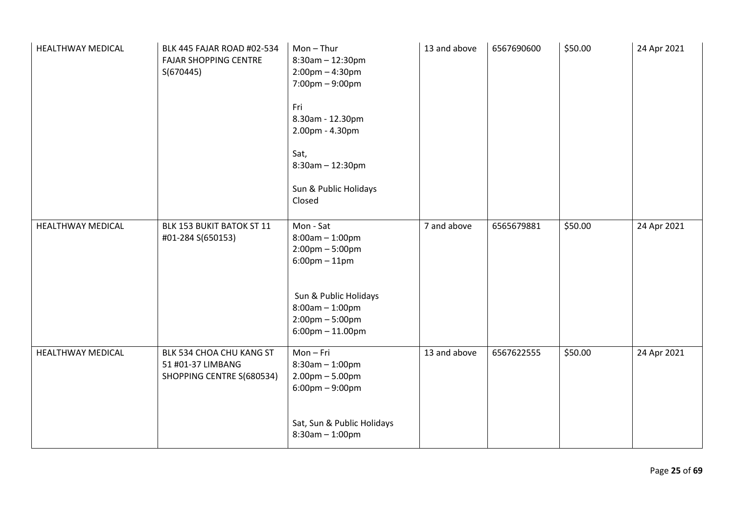| <b>HEALTHWAY MEDICAL</b> | BLK 445 FAJAR ROAD #02-534<br><b>FAJAR SHOPPING CENTRE</b><br>S(670445)    | $Mon - Thur$<br>$8:30$ am - 12:30pm<br>$2:00$ pm $-4:30$ pm<br>7:00pm - 9:00pm<br>Fri<br>8.30am - 12.30pm<br>2.00pm - 4.30pm<br>Sat,<br>$8:30$ am - 12:30pm<br>Sun & Public Holidays<br>Closed                                  | 13 and above | 6567690600 | \$50.00 | 24 Apr 2021 |
|--------------------------|----------------------------------------------------------------------------|---------------------------------------------------------------------------------------------------------------------------------------------------------------------------------------------------------------------------------|--------------|------------|---------|-------------|
| <b>HEALTHWAY MEDICAL</b> | BLK 153 BUKIT BATOK ST 11<br>#01-284 S(650153)                             | Mon - Sat<br>$8:00am - 1:00pm$<br>$2:00 \text{pm} - 5:00 \text{pm}$<br>$6:00 \text{pm} - 11 \text{pm}$<br>Sun & Public Holidays<br>$8:00am - 1:00pm$<br>$2:00 \text{pm} - 5:00 \text{pm}$<br>$6:00 \text{pm} - 11.00 \text{pm}$ | 7 and above  | 6565679881 | \$50.00 | 24 Apr 2021 |
| <b>HEALTHWAY MEDICAL</b> | BLK 534 CHOA CHU KANG ST<br>51 #01-37 LIMBANG<br>SHOPPING CENTRE S(680534) | Mon-Fri<br>$8:30$ am $-1:00$ pm<br>$2.00$ pm $- 5.00$ pm<br>$6:00 \text{pm} - 9:00 \text{pm}$<br>Sat, Sun & Public Holidays<br>$8:30am - 1:00pm$                                                                                | 13 and above | 6567622555 | \$50.00 | 24 Apr 2021 |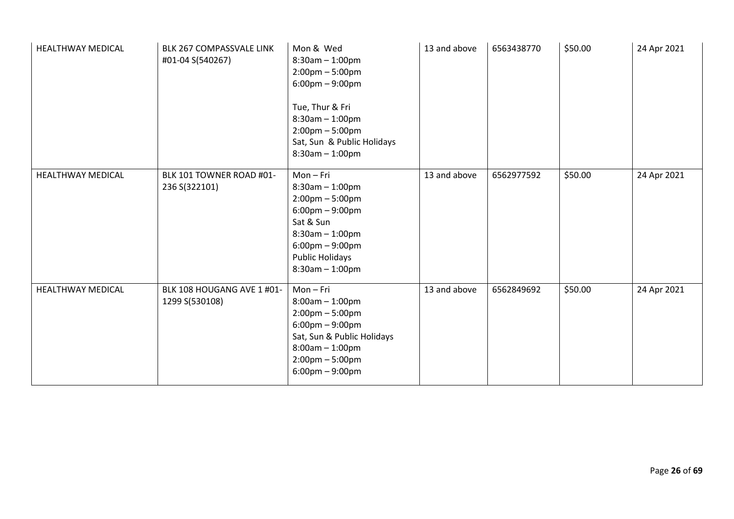| <b>HEALTHWAY MEDICAL</b> | BLK 267 COMPASSVALE LINK<br>#01-04 S(540267) | Mon & Wed<br>$8:30am - 1:00pm$<br>$2:00 \text{pm} - 5:00 \text{pm}$<br>$6:00 \text{pm} - 9:00 \text{pm}$<br>Tue, Thur & Fri<br>$8:30am - 1:00pm$<br>$2:00 \text{pm} - 5:00 \text{pm}$<br>Sat, Sun & Public Holidays<br>$8:30am - 1:00pm$ | 13 and above | 6563438770 | \$50.00 | 24 Apr 2021 |
|--------------------------|----------------------------------------------|------------------------------------------------------------------------------------------------------------------------------------------------------------------------------------------------------------------------------------------|--------------|------------|---------|-------------|
| <b>HEALTHWAY MEDICAL</b> | BLK 101 TOWNER ROAD #01-<br>236 S(322101)    | Mon-Fri<br>$8:30$ am $-1:00$ pm<br>$2:00 \text{pm} - 5:00 \text{pm}$<br>$6:00 \text{pm} - 9:00 \text{pm}$<br>Sat & Sun<br>$8:30$ am $-1:00$ pm<br>$6:00 \text{pm} - 9:00 \text{pm}$<br>Public Holidays<br>$8:30am - 1:00pm$              | 13 and above | 6562977592 | \$50.00 | 24 Apr 2021 |
| <b>HEALTHWAY MEDICAL</b> | BLK 108 HOUGANG AVE 1 #01-<br>1299 S(530108) | Mon-Fri<br>$8:00am - 1:00pm$<br>$2:00 \text{pm} - 5:00 \text{pm}$<br>$6:00 \text{pm} - 9:00 \text{pm}$<br>Sat, Sun & Public Holidays<br>$8:00am - 1:00pm$<br>$2:00 \text{pm} - 5:00 \text{pm}$<br>$6:00 \text{pm} - 9:00 \text{pm}$      | 13 and above | 6562849692 | \$50.00 | 24 Apr 2021 |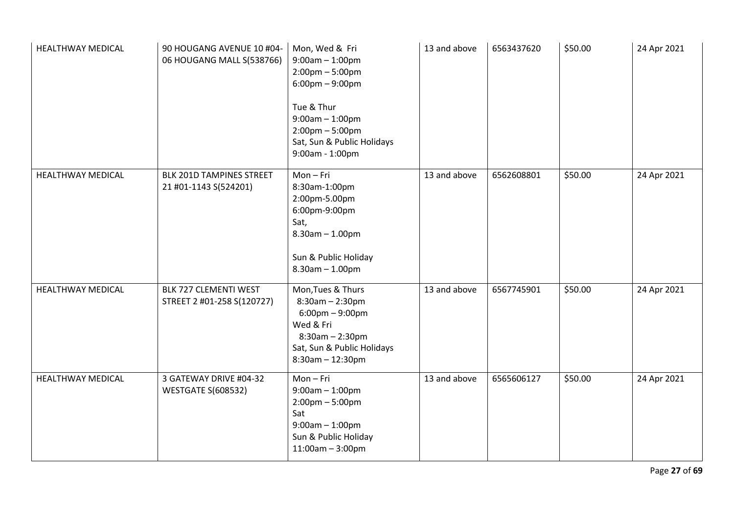| <b>HEALTHWAY MEDICAL</b> | 90 HOUGANG AVENUE 10 #04-<br>06 HOUGANG MALL S(538766) | Mon, Wed & Fri<br>$9:00am - 1:00pm$<br>$2:00 \text{pm} - 5:00 \text{pm}$<br>$6:00 \text{pm} - 9:00 \text{pm}$<br>Tue & Thur<br>$9:00am - 1:00pm$<br>$2:00$ pm $-5:00$ pm<br>Sat, Sun & Public Holidays<br>9:00am - 1:00pm | 13 and above | 6563437620 | \$50.00 | 24 Apr 2021 |
|--------------------------|--------------------------------------------------------|---------------------------------------------------------------------------------------------------------------------------------------------------------------------------------------------------------------------------|--------------|------------|---------|-------------|
| <b>HEALTHWAY MEDICAL</b> | BLK 201D TAMPINES STREET<br>21 #01-1143 S(524201)      | Mon-Fri<br>8:30am-1:00pm<br>2:00pm-5.00pm<br>6:00pm-9:00pm<br>Sat,<br>$8.30$ am $- 1.00$ pm<br>Sun & Public Holiday<br>$8.30$ am $- 1.00$ pm                                                                              | 13 and above | 6562608801 | \$50.00 | 24 Apr 2021 |
| <b>HEALTHWAY MEDICAL</b> | BLK 727 CLEMENTI WEST<br>STREET 2 #01-258 S(120727)    | Mon, Tues & Thurs<br>$8:30am - 2:30pm$<br>$6:00 \text{pm} - 9:00 \text{pm}$<br>Wed & Fri<br>$8:30am - 2:30pm$<br>Sat, Sun & Public Holidays<br>$8:30$ am - 12:30pm                                                        | 13 and above | 6567745901 | \$50.00 | 24 Apr 2021 |
| <b>HEALTHWAY MEDICAL</b> | 3 GATEWAY DRIVE #04-32<br><b>WESTGATE S(608532)</b>    | Mon-Fri<br>$9:00am - 1:00pm$<br>$2:00$ pm $-5:00$ pm<br>Sat<br>$9:00am - 1:00pm$<br>Sun & Public Holiday<br>$11:00am - 3:00pm$                                                                                            | 13 and above | 6565606127 | \$50.00 | 24 Apr 2021 |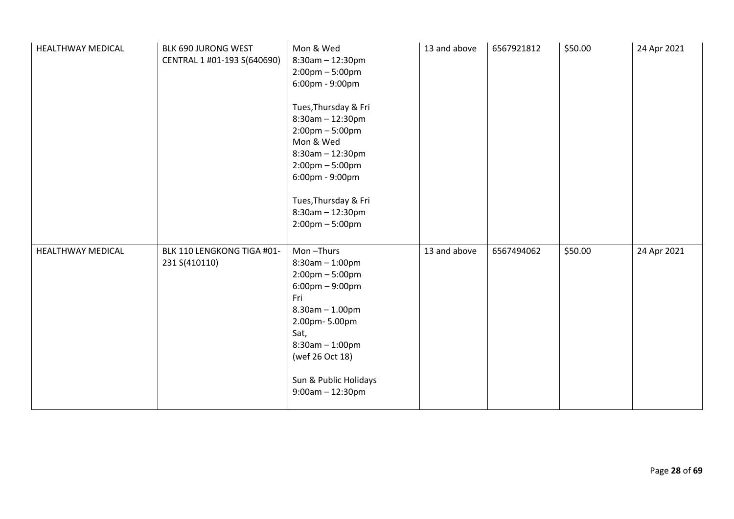| HEALTHWAY MEDICAL        | BLK 690 JURONG WEST<br>CENTRAL 1 #01-193 S(640690) | Mon & Wed<br>$8:30$ am - 12:30pm<br>$2:00$ pm $-5:00$ pm<br>6:00pm - 9:00pm<br>Tues, Thursday & Fri<br>$8:30$ am - 12:30pm<br>$2:00 \text{pm} - 5:00 \text{pm}$<br>Mon & Wed<br>8:30am - 12:30pm<br>$2:00$ pm $-5:00$ pm<br>6:00pm - 9:00pm<br>Tues, Thursday & Fri<br>$8:30$ am - 12:30pm<br>$2:00$ pm $-5:00$ pm | 13 and above | 6567921812 | \$50.00 | 24 Apr 2021 |
|--------------------------|----------------------------------------------------|--------------------------------------------------------------------------------------------------------------------------------------------------------------------------------------------------------------------------------------------------------------------------------------------------------------------|--------------|------------|---------|-------------|
| <b>HEALTHWAY MEDICAL</b> | BLK 110 LENGKONG TIGA #01-<br>231 S(410110)        | Mon-Thurs<br>$8:30am - 1:00pm$<br>$2:00 \text{pm} - 5:00 \text{pm}$<br>$6:00 \text{pm} - 9:00 \text{pm}$<br>Fri<br>$8.30$ am $- 1.00$ pm<br>2.00pm-5.00pm<br>Sat,<br>$8:30$ am $-1:00$ pm<br>(wef 26 Oct 18)<br>Sun & Public Holidays<br>$9:00am - 12:30pm$                                                        | 13 and above | 6567494062 | \$50.00 | 24 Apr 2021 |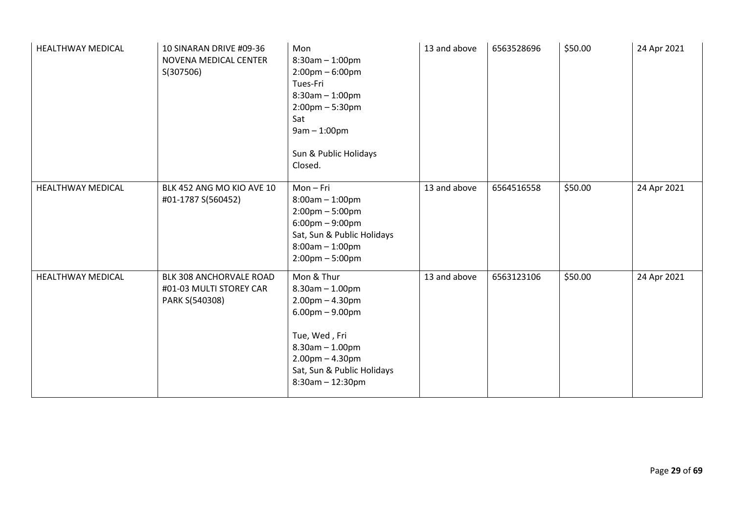| <b>HEALTHWAY MEDICAL</b> | 10 SINARAN DRIVE #09-36<br>NOVENA MEDICAL CENTER<br>S(307506)        | Mon<br>$8:30am - 1:00pm$<br>$2:00 \text{pm} - 6:00 \text{pm}$<br>Tues-Fri<br>$8:30$ am $-1:00$ pm<br>$2:00$ pm $-5:30$ pm<br>Sat<br>$9am - 1:00pm$<br>Sun & Public Holidays<br>Closed.                 | 13 and above | 6563528696 | \$50.00 | 24 Apr 2021 |
|--------------------------|----------------------------------------------------------------------|--------------------------------------------------------------------------------------------------------------------------------------------------------------------------------------------------------|--------------|------------|---------|-------------|
| <b>HEALTHWAY MEDICAL</b> | BLK 452 ANG MO KIO AVE 10<br>#01-1787 S(560452)                      | Mon-Fri<br>$8:00am - 1:00pm$<br>$2:00 \text{pm} - 5:00 \text{pm}$<br>$6:00 \text{pm} - 9:00 \text{pm}$<br>Sat, Sun & Public Holidays<br>$8:00am - 1:00pm$<br>$2:00 \text{pm} - 5:00 \text{pm}$         | 13 and above | 6564516558 | \$50.00 | 24 Apr 2021 |
| <b>HEALTHWAY MEDICAL</b> | BLK 308 ANCHORVALE ROAD<br>#01-03 MULTI STOREY CAR<br>PARK S(540308) | Mon & Thur<br>$8.30$ am $- 1.00$ pm<br>$2.00pm - 4.30pm$<br>$6.00$ pm $- 9.00$ pm<br>Tue, Wed, Fri<br>$8.30$ am $- 1.00$ pm<br>$2.00$ pm $- 4.30$ pm<br>Sat, Sun & Public Holidays<br>8:30am - 12:30pm | 13 and above | 6563123106 | \$50.00 | 24 Apr 2021 |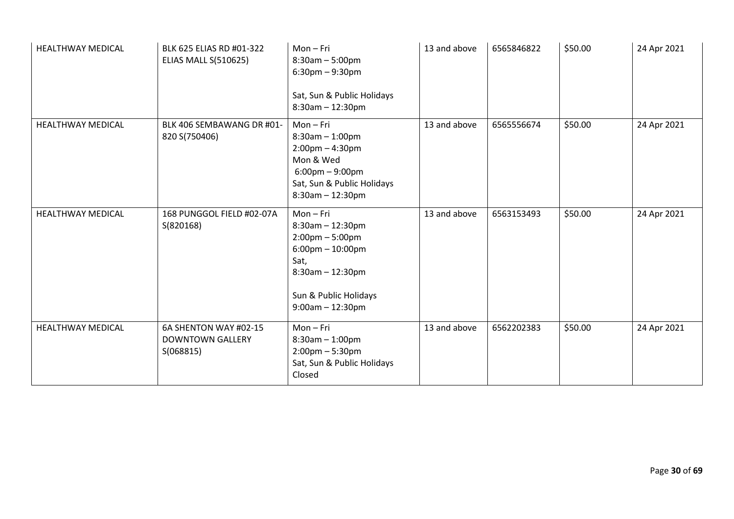| <b>HEALTHWAY MEDICAL</b> | BLK 625 ELIAS RD #01-322<br><b>ELIAS MALL S(510625)</b>       | Mon-Fri<br>$8:30am - 5:00pm$<br>$6:30$ pm $-9:30$ pm<br>Sat, Sun & Public Holidays<br>$8:30am - 12:30pm$                                                                                    | 13 and above | 6565846822 | \$50.00 | 24 Apr 2021 |
|--------------------------|---------------------------------------------------------------|---------------------------------------------------------------------------------------------------------------------------------------------------------------------------------------------|--------------|------------|---------|-------------|
| <b>HEALTHWAY MEDICAL</b> | BLK 406 SEMBAWANG DR #01-<br>820 S(750406)                    | Mon-Fri<br>$8:30$ am $-1:00$ pm<br>$2:00$ pm $-4:30$ pm<br>Mon & Wed<br>$6:00 \text{pm} - 9:00 \text{pm}$<br>Sat, Sun & Public Holidays<br>$8:30am - 12:30pm$                               | 13 and above | 6565556674 | \$50.00 | 24 Apr 2021 |
| <b>HEALTHWAY MEDICAL</b> | 168 PUNGGOL FIELD #02-07A<br>S(820168)                        | $Mon-Fri$<br>$8:30am - 12:30pm$<br>$2:00 \text{pm} - 5:00 \text{pm}$<br>$6:00 \text{pm} - 10:00 \text{pm}$<br>Sat,<br>$8:30$ am $- 12:30$ pm<br>Sun & Public Holidays<br>$9:00am - 12:30pm$ | 13 and above | 6563153493 | \$50.00 | 24 Apr 2021 |
| <b>HEALTHWAY MEDICAL</b> | 6A SHENTON WAY #02-15<br><b>DOWNTOWN GALLERY</b><br>S(068815) | Mon-Fri<br>$8:30am - 1:00pm$<br>$2:00$ pm – 5:30pm<br>Sat, Sun & Public Holidays<br>Closed                                                                                                  | 13 and above | 6562202383 | \$50.00 | 24 Apr 2021 |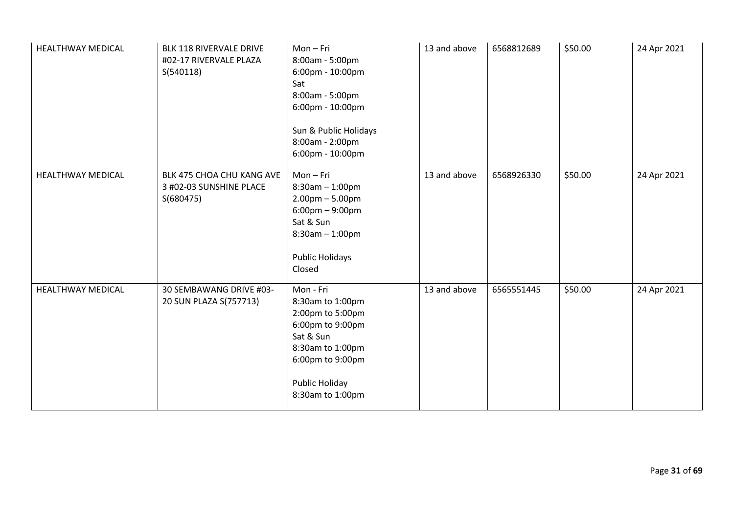| <b>HEALTHWAY MEDICAL</b> | BLK 118 RIVERVALE DRIVE<br>#02-17 RIVERVALE PLAZA<br>S(540118)    | Mon-Fri<br>8:00am - 5:00pm<br>6:00pm - 10:00pm<br>Sat<br>8:00am - 5:00pm<br>6:00pm - 10:00pm<br>Sun & Public Holidays<br>8:00am - 2:00pm<br>6:00pm - 10:00pm        | 13 and above | 6568812689 | \$50.00 | 24 Apr 2021 |
|--------------------------|-------------------------------------------------------------------|---------------------------------------------------------------------------------------------------------------------------------------------------------------------|--------------|------------|---------|-------------|
| <b>HEALTHWAY MEDICAL</b> | BLK 475 CHOA CHU KANG AVE<br>3 #02-03 SUNSHINE PLACE<br>S(680475) | Mon-Fri<br>$8:30$ am $-1:00$ pm<br>$2.00$ pm $- 5.00$ pm<br>$6:00 \text{pm} - 9:00 \text{pm}$<br>Sat & Sun<br>$8:30am - 1:00pm$<br><b>Public Holidays</b><br>Closed | 13 and above | 6568926330 | \$50.00 | 24 Apr 2021 |
| <b>HEALTHWAY MEDICAL</b> | 30 SEMBAWANG DRIVE #03-<br>20 SUN PLAZA S(757713)                 | Mon - Fri<br>8:30am to 1:00pm<br>2:00pm to 5:00pm<br>6:00pm to 9:00pm<br>Sat & Sun<br>8:30am to 1:00pm<br>6:00pm to 9:00pm<br>Public Holiday<br>8:30am to 1:00pm    | 13 and above | 6565551445 | \$50.00 | 24 Apr 2021 |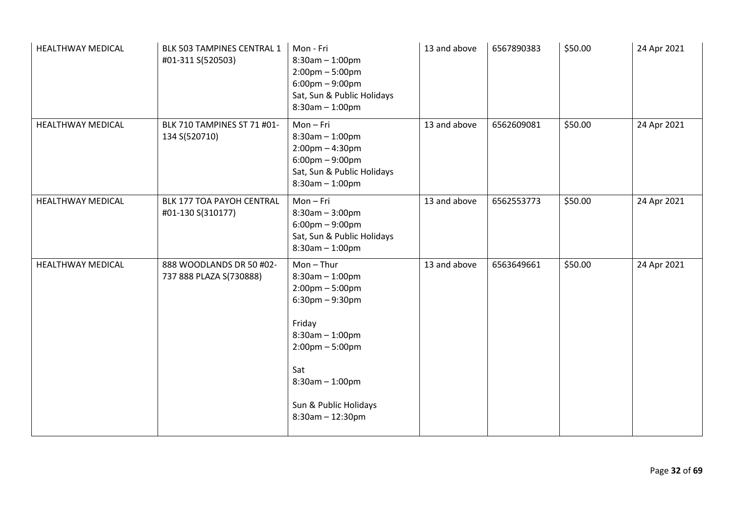| HEALTHWAY MEDICAL        | BLK 503 TAMPINES CENTRAL 1<br>#01-311 S(520503)     | Mon - Fri<br>$8:30am - 1:00pm$<br>$2:00$ pm $-5:00$ pm<br>$6:00 \text{pm} - 9:00 \text{pm}$<br>Sat, Sun & Public Holidays<br>$8:30am - 1:00pm$                                                                                       | 13 and above | 6567890383 | \$50.00 | 24 Apr 2021 |
|--------------------------|-----------------------------------------------------|--------------------------------------------------------------------------------------------------------------------------------------------------------------------------------------------------------------------------------------|--------------|------------|---------|-------------|
| <b>HEALTHWAY MEDICAL</b> | BLK 710 TAMPINES ST 71 #01-<br>134 S(520710)        | Mon-Fri<br>$8:30am - 1:00pm$<br>$2:00$ pm $-4:30$ pm<br>$6:00 \text{pm} - 9:00 \text{pm}$<br>Sat, Sun & Public Holidays<br>$8:30$ am $-1:00$ pm                                                                                      | 13 and above | 6562609081 | \$50.00 | 24 Apr 2021 |
| <b>HEALTHWAY MEDICAL</b> | BLK 177 TOA PAYOH CENTRAL<br>#01-130 S(310177)      | Mon-Fri<br>$8:30am - 3:00pm$<br>$6:00 \text{pm} - 9:00 \text{pm}$<br>Sat, Sun & Public Holidays<br>$8:30am - 1:00pm$                                                                                                                 | 13 and above | 6562553773 | \$50.00 | 24 Apr 2021 |
| <b>HEALTHWAY MEDICAL</b> | 888 WOODLANDS DR 50 #02-<br>737 888 PLAZA S(730888) | $Mon - Thur$<br>$8:30am - 1:00pm$<br>$2:00$ pm $-5:00$ pm<br>$6:30$ pm $-9:30$ pm<br>Friday<br>$8:30am - 1:00pm$<br>$2:00 \text{pm} - 5:00 \text{pm}$<br>Sat<br>$8:30am - 1:00pm$<br>Sun & Public Holidays<br>$8:30$ am $- 12:30$ pm | 13 and above | 6563649661 | \$50.00 | 24 Apr 2021 |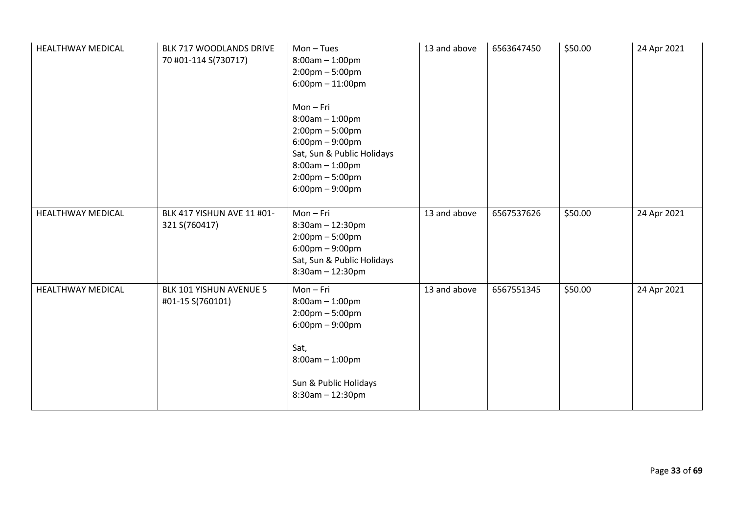| <b>HEALTHWAY MEDICAL</b> | BLK 717 WOODLANDS DRIVE<br>70 #01-114 S(730717) | $Mon-Tues$<br>$8:00am - 1:00pm$<br>$2:00 \text{pm} - 5:00 \text{pm}$<br>$6:00$ pm $-11:00$ pm<br>Mon-Fri<br>$8:00am - 1:00pm$<br>$2:00 \text{pm} - 5:00 \text{pm}$<br>$6:00 \text{pm} - 9:00 \text{pm}$<br>Sat, Sun & Public Holidays<br>$8:00am - 1:00pm$<br>$2:00$ pm $-5:00$ pm<br>$6:00 \text{pm} - 9:00 \text{pm}$ | 13 and above | 6563647450 | \$50.00 | 24 Apr 2021 |
|--------------------------|-------------------------------------------------|-------------------------------------------------------------------------------------------------------------------------------------------------------------------------------------------------------------------------------------------------------------------------------------------------------------------------|--------------|------------|---------|-------------|
| <b>HEALTHWAY MEDICAL</b> | BLK 417 YISHUN AVE 11 #01-<br>321 S(760417)     | Mon-Fri<br>$8:30$ am $- 12:30$ pm<br>$2:00 \text{pm} - 5:00 \text{pm}$<br>$6:00 \text{pm} - 9:00 \text{pm}$<br>Sat, Sun & Public Holidays<br>$8:30$ am - 12:30pm                                                                                                                                                        | 13 and above | 6567537626 | \$50.00 | 24 Apr 2021 |
| <b>HEALTHWAY MEDICAL</b> | BLK 101 YISHUN AVENUE 5<br>#01-15 S(760101)     | Mon-Fri<br>$8:00am - 1:00pm$<br>$2:00$ pm – 5:00pm<br>$6:00 \text{pm} - 9:00 \text{pm}$<br>Sat,<br>$8:00am - 1:00pm$<br>Sun & Public Holidays<br>8:30am - 12:30pm                                                                                                                                                       | 13 and above | 6567551345 | \$50.00 | 24 Apr 2021 |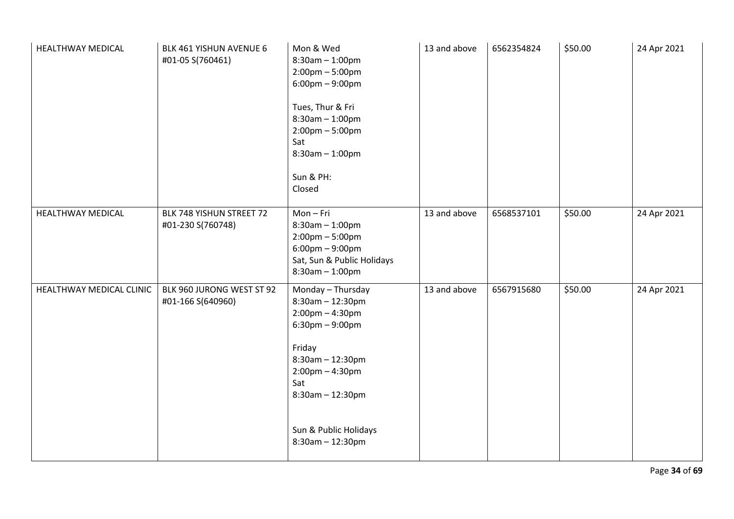| HEALTHWAY MEDICAL        | BLK 461 YISHUN AVENUE 6<br>#01-05 S(760461)    | Mon & Wed<br>$8:30$ am $-1:00$ pm<br>$2:00 \text{pm} - 5:00 \text{pm}$<br>$6:00 \text{pm} - 9:00 \text{pm}$<br>Tues, Thur & Fri<br>$8:30$ am $-1:00$ pm<br>$2:00 \text{pm} - 5:00 \text{pm}$<br>Sat<br>$8:30$ am $-1:00$ pm<br>Sun & PH:<br>Closed | 13 and above | 6562354824 | \$50.00 | 24 Apr 2021 |
|--------------------------|------------------------------------------------|----------------------------------------------------------------------------------------------------------------------------------------------------------------------------------------------------------------------------------------------------|--------------|------------|---------|-------------|
| <b>HEALTHWAY MEDICAL</b> | BLK 748 YISHUN STREET 72<br>#01-230 S(760748)  | Mon-Fri<br>$8:30$ am $-1:00$ pm<br>$2:00 \text{pm} - 5:00 \text{pm}$<br>$6:00 \text{pm} - 9:00 \text{pm}$<br>Sat, Sun & Public Holidays<br>$8:30$ am $-1:00$ pm                                                                                    | 13 and above | 6568537101 | \$50.00 | 24 Apr 2021 |
| HEALTHWAY MEDICAL CLINIC | BLK 960 JURONG WEST ST 92<br>#01-166 S(640960) | Monday - Thursday<br>$8:30$ am $- 12:30$ pm<br>$2:00$ pm $-4:30$ pm<br>$6:30$ pm $-9:00$ pm<br>Friday<br>$8:30$ am - 12:30pm<br>$2:00$ pm $-4:30$ pm<br>Sat<br>8:30am - 12:30pm<br>Sun & Public Holidays<br>8:30am - 12:30pm                       | 13 and above | 6567915680 | \$50.00 | 24 Apr 2021 |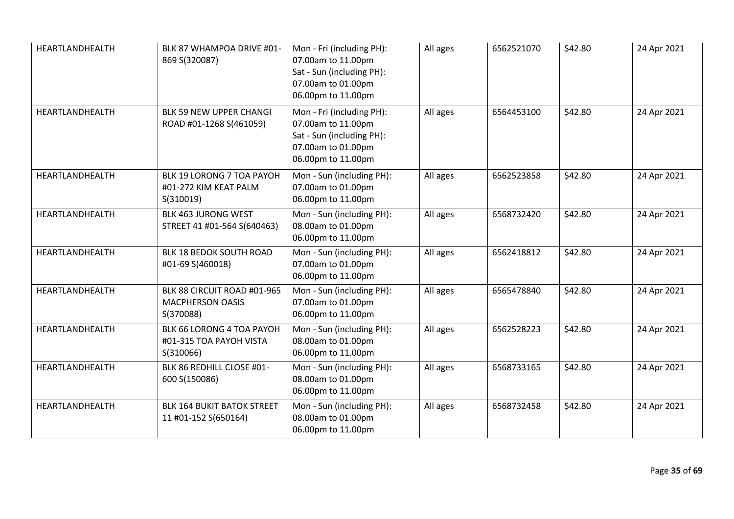| HEARTLANDHEALTH | BLK 87 WHAMPOA DRIVE #01-<br>869 S(320087)                          | Mon - Fri (including PH):<br>07.00am to 11.00pm<br>Sat - Sun (including PH):<br>07.00am to 01.00pm<br>06.00pm to 11.00pm | All ages | 6562521070 | \$42.80 | 24 Apr 2021 |
|-----------------|---------------------------------------------------------------------|--------------------------------------------------------------------------------------------------------------------------|----------|------------|---------|-------------|
| HEARTLANDHEALTH | BLK 59 NEW UPPER CHANGI<br>ROAD #01-1268 S(461059)                  | Mon - Fri (including PH):<br>07.00am to 11.00pm<br>Sat - Sun (including PH):<br>07.00am to 01.00pm<br>06.00pm to 11.00pm | All ages | 6564453100 | \$42.80 | 24 Apr 2021 |
| HEARTLANDHEALTH | BLK 19 LORONG 7 TOA PAYOH<br>#01-272 KIM KEAT PALM<br>S(310019)     | Mon - Sun (including PH):<br>07.00am to 01.00pm<br>06.00pm to 11.00pm                                                    | All ages | 6562523858 | \$42.80 | 24 Apr 2021 |
| HEARTLANDHEALTH | BLK 463 JURONG WEST<br>STREET 41 #01-564 S(640463)                  | Mon - Sun (including PH):<br>08.00am to 01.00pm<br>06.00pm to 11.00pm                                                    | All ages | 6568732420 | \$42.80 | 24 Apr 2021 |
| HEARTLANDHEALTH | <b>BLK 18 BEDOK SOUTH ROAD</b><br>#01-69 S(460018)                  | Mon - Sun (including PH):<br>07.00am to 01.00pm<br>06.00pm to 11.00pm                                                    | All ages | 6562418812 | \$42.80 | 24 Apr 2021 |
| HEARTLANDHEALTH | BLK 88 CIRCUIT ROAD #01-965<br><b>MACPHERSON OASIS</b><br>S(370088) | Mon - Sun (including PH):<br>07.00am to 01.00pm<br>06.00pm to 11.00pm                                                    | All ages | 6565478840 | \$42.80 | 24 Apr 2021 |
| HEARTLANDHEALTH | BLK 66 LORONG 4 TOA PAYOH<br>#01-315 TOA PAYOH VISTA<br>S(310066)   | Mon - Sun (including PH):<br>08.00am to 01.00pm<br>06.00pm to 11.00pm                                                    | All ages | 6562528223 | \$42.80 | 24 Apr 2021 |
| HEARTLANDHEALTH | BLK 86 REDHILL CLOSE #01-<br>600 S(150086)                          | Mon - Sun (including PH):<br>08.00am to 01.00pm<br>06.00pm to 11.00pm                                                    | All ages | 6568733165 | \$42.80 | 24 Apr 2021 |
| HEARTLANDHEALTH | <b>BLK 164 BUKIT BATOK STREET</b><br>11 #01-152 S(650164)           | Mon - Sun (including PH):<br>08.00am to 01.00pm<br>06.00pm to 11.00pm                                                    | All ages | 6568732458 | \$42.80 | 24 Apr 2021 |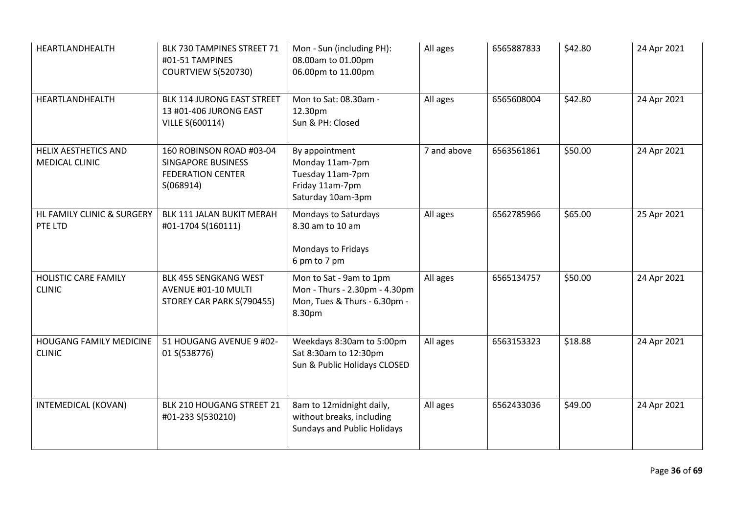| HEARTLANDHEALTH                                      | BLK 730 TAMPINES STREET 71<br>#01-51 TAMPINES<br>COURTVIEW S(520730)                    | Mon - Sun (including PH):<br>08.00am to 01.00pm<br>06.00pm to 11.00pm                              | All ages    | 6565887833 | \$42.80 | 24 Apr 2021 |
|------------------------------------------------------|-----------------------------------------------------------------------------------------|----------------------------------------------------------------------------------------------------|-------------|------------|---------|-------------|
| HEARTLANDHEALTH                                      | <b>BLK 114 JURONG EAST STREET</b><br>13 #01-406 JURONG EAST<br><b>VILLE S(600114)</b>   | Mon to Sat: 08.30am -<br>12.30pm<br>Sun & PH: Closed                                               | All ages    | 6565608004 | \$42.80 | 24 Apr 2021 |
| <b>HELIX AESTHETICS AND</b><br><b>MEDICAL CLINIC</b> | 160 ROBINSON ROAD #03-04<br>SINGAPORE BUSINESS<br><b>FEDERATION CENTER</b><br>S(068914) | By appointment<br>Monday 11am-7pm<br>Tuesday 11am-7pm<br>Friday 11am-7pm<br>Saturday 10am-3pm      | 7 and above | 6563561861 | \$50.00 | 24 Apr 2021 |
| HL FAMILY CLINIC & SURGERY<br>PTE LTD                | BLK 111 JALAN BUKIT MERAH<br>#01-1704 S(160111)                                         | Mondays to Saturdays<br>8.30 am to 10 am<br>Mondays to Fridays<br>6 pm to 7 pm                     | All ages    | 6562785966 | \$65.00 | 25 Apr 2021 |
| HOLISTIC CARE FAMILY<br><b>CLINIC</b>                | <b>BLK 455 SENGKANG WEST</b><br>AVENUE #01-10 MULTI<br>STOREY CAR PARK S(790455)        | Mon to Sat - 9am to 1pm<br>Mon - Thurs - 2.30pm - 4.30pm<br>Mon, Tues & Thurs - 6.30pm -<br>8.30pm | All ages    | 6565134757 | \$50.00 | 24 Apr 2021 |
| HOUGANG FAMILY MEDICINE<br><b>CLINIC</b>             | 51 HOUGANG AVENUE 9 #02-<br>01 S(538776)                                                | Weekdays 8:30am to 5:00pm<br>Sat 8:30am to 12:30pm<br>Sun & Public Holidays CLOSED                 | All ages    | 6563153323 | \$18.88 | 24 Apr 2021 |
| <b>INTEMEDICAL (KOVAN)</b>                           | BLK 210 HOUGANG STREET 21<br>#01-233 S(530210)                                          | 8am to 12midnight daily,<br>without breaks, including<br><b>Sundays and Public Holidays</b>        | All ages    | 6562433036 | \$49.00 | 24 Apr 2021 |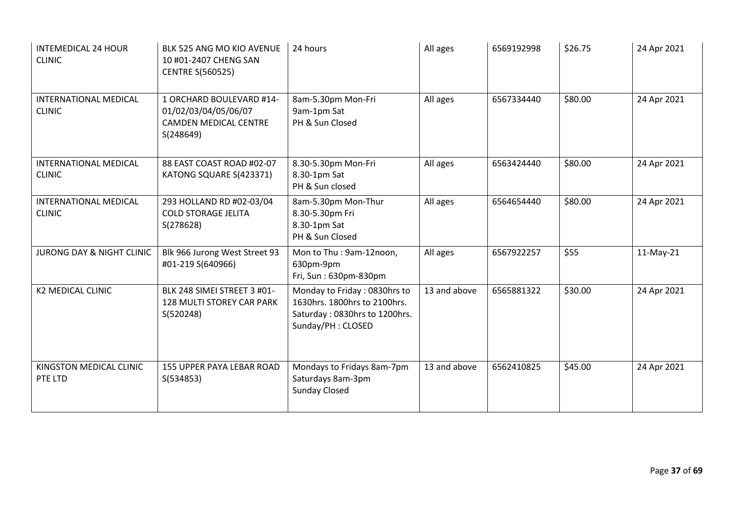| <b>INTEMEDICAL 24 HOUR</b><br><b>CLINIC</b>   | BLK 525 ANG MO KIO AVENUE<br>10 #01-2407 CHENG SAN<br><b>CENTRE S(560525)</b>                 | 24 hours                                                                                                           | All ages     | 6569192998 | \$26.75 | 24 Apr 2021 |
|-----------------------------------------------|-----------------------------------------------------------------------------------------------|--------------------------------------------------------------------------------------------------------------------|--------------|------------|---------|-------------|
| <b>INTERNATIONAL MEDICAL</b><br><b>CLINIC</b> | 1 ORCHARD BOULEVARD #14-<br>01/02/03/04/05/06/07<br><b>CAMDEN MEDICAL CENTRE</b><br>S(248649) | 8am-5.30pm Mon-Fri<br>9am-1pm Sat<br>PH & Sun Closed                                                               | All ages     | 6567334440 | \$80.00 | 24 Apr 2021 |
| INTERNATIONAL MEDICAL<br><b>CLINIC</b>        | 88 EAST COAST ROAD #02-07<br>KATONG SQUARE S(423371)                                          | 8.30-5.30pm Mon-Fri<br>8.30-1pm Sat<br>PH & Sun closed                                                             | All ages     | 6563424440 | \$80.00 | 24 Apr 2021 |
| <b>INTERNATIONAL MEDICAL</b><br><b>CLINIC</b> | 293 HOLLAND RD #02-03/04<br><b>COLD STORAGE JELITA</b><br>S(278628)                           | 8am-5.30pm Mon-Thur<br>8.30-5.30pm Fri<br>8.30-1pm Sat<br>PH & Sun Closed                                          | All ages     | 6564654440 | \$80.00 | 24 Apr 2021 |
| <b>JURONG DAY &amp; NIGHT CLINIC</b>          | Blk 966 Jurong West Street 93<br>#01-219 S(640966)                                            | Mon to Thu: 9am-12noon,<br>630pm-9pm<br>Fri, Sun: 630pm-830pm                                                      | All ages     | 6567922257 | \$55    | $11-May-21$ |
| <b>K2 MEDICAL CLINIC</b>                      | BLK 248 SIMEI STREET 3 #01-<br><b>128 MULTI STOREY CAR PARK</b><br>S(520248)                  | Monday to Friday: 0830hrs to<br>1630hrs. 1800hrs to 2100hrs.<br>Saturday: 0830hrs to 1200hrs.<br>Sunday/PH: CLOSED | 13 and above | 6565881322 | \$30.00 | 24 Apr 2021 |
| KINGSTON MEDICAL CLINIC<br>PTE LTD            | 155 UPPER PAYA LEBAR ROAD<br>S(534853)                                                        | Mondays to Fridays 8am-7pm<br>Saturdays 8am-3pm<br><b>Sunday Closed</b>                                            | 13 and above | 6562410825 | \$45.00 | 24 Apr 2021 |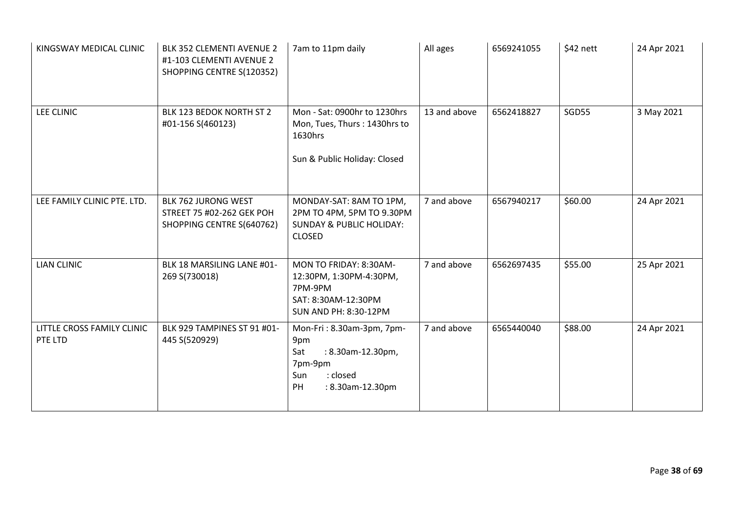| KINGSWAY MEDICAL CLINIC               | BLK 352 CLEMENTI AVENUE 2<br>#1-103 CLEMENTI AVENUE 2<br>SHOPPING CENTRE S(120352) | 7am to 11pm daily                                                                                                    | All ages     | 6569241055 | \$42 nett | 24 Apr 2021 |
|---------------------------------------|------------------------------------------------------------------------------------|----------------------------------------------------------------------------------------------------------------------|--------------|------------|-----------|-------------|
| LEE CLINIC                            | BLK 123 BEDOK NORTH ST 2<br>#01-156 S(460123)                                      | Mon - Sat: 0900hr to 1230hrs<br>Mon, Tues, Thurs: 1430hrs to<br>1630hrs<br>Sun & Public Holiday: Closed              | 13 and above | 6562418827 | SGD55     | 3 May 2021  |
| LEE FAMILY CLINIC PTE. LTD.           | BLK 762 JURONG WEST<br>STREET 75 #02-262 GEK POH<br>SHOPPING CENTRE S(640762)      | MONDAY-SAT: 8AM TO 1PM,<br>2PM TO 4PM, 5PM TO 9.30PM<br><b>SUNDAY &amp; PUBLIC HOLIDAY:</b><br><b>CLOSED</b>         | 7 and above  | 6567940217 | \$60.00   | 24 Apr 2021 |
| <b>LIAN CLINIC</b>                    | BLK 18 MARSILING LANE #01-<br>269 S(730018)                                        | MON TO FRIDAY: 8:30AM-<br>12:30PM, 1:30PM-4:30PM,<br>7PM-9PM<br>SAT: 8:30AM-12:30PM<br>SUN AND PH: 8:30-12PM         | 7 and above  | 6562697435 | \$55.00   | 25 Apr 2021 |
| LITTLE CROSS FAMILY CLINIC<br>PTE LTD | BLK 929 TAMPINES ST 91 #01-<br>445 S(520929)                                       | Mon-Fri: 8.30am-3pm, 7pm-<br>9pm<br>Sat<br>: 8.30am-12.30pm,<br>7pm-9pm<br>: closed<br>Sun<br>PH<br>: 8.30am-12.30pm | 7 and above  | 6565440040 | \$88.00   | 24 Apr 2021 |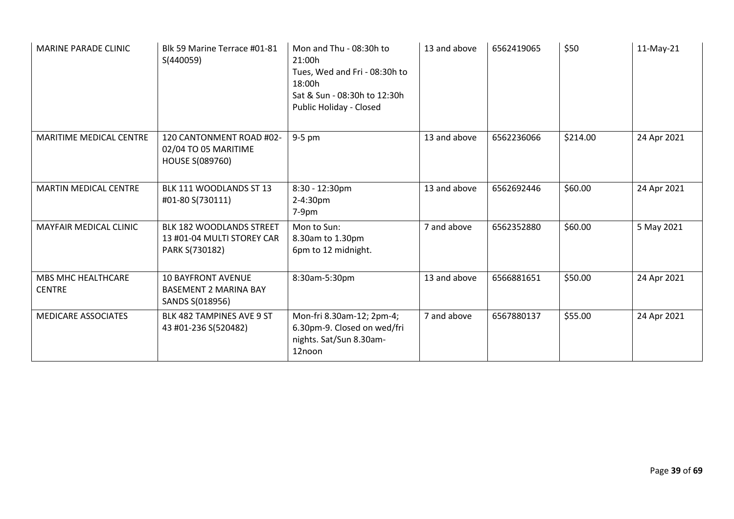| <b>MARINE PARADE CLINIC</b>                | Blk 59 Marine Terrace #01-81<br>S(440059)                                    | Mon and Thu - 08:30h to<br>21:00h<br>Tues, Wed and Fri - 08:30h to<br>18:00h<br>Sat & Sun - 08:30h to 12:30h<br>Public Holiday - Closed | 13 and above | 6562419065 | \$50     | $11-May-21$ |
|--------------------------------------------|------------------------------------------------------------------------------|-----------------------------------------------------------------------------------------------------------------------------------------|--------------|------------|----------|-------------|
| <b>MARITIME MEDICAL CENTRE</b>             | 120 CANTONMENT ROAD #02-<br>02/04 TO 05 MARITIME<br><b>HOUSE S(089760)</b>   | $9-5$ pm                                                                                                                                | 13 and above | 6562236066 | \$214.00 | 24 Apr 2021 |
| <b>MARTIN MEDICAL CENTRE</b>               | BLK 111 WOODLANDS ST 13<br>#01-80 S(730111)                                  | 8:30 - 12:30pm<br>2-4:30pm<br>$7-9pm$                                                                                                   | 13 and above | 6562692446 | \$60.00  | 24 Apr 2021 |
| MAYFAIR MEDICAL CLINIC                     | BLK 182 WOODLANDS STREET<br>13 #01-04 MULTI STOREY CAR<br>PARK S(730182)     | Mon to Sun:<br>8.30am to 1.30pm<br>6pm to 12 midnight.                                                                                  | 7 and above  | 6562352880 | \$60.00  | 5 May 2021  |
| <b>MBS MHC HEALTHCARE</b><br><b>CENTRE</b> | <b>10 BAYFRONT AVENUE</b><br><b>BASEMENT 2 MARINA BAY</b><br>SANDS S(018956) | 8:30am-5:30pm                                                                                                                           | 13 and above | 6566881651 | \$50.00  | 24 Apr 2021 |
| <b>MEDICARE ASSOCIATES</b>                 | BLK 482 TAMPINES AVE 9 ST<br>43 #01-236 S(520482)                            | Mon-fri 8.30am-12; 2pm-4;<br>6.30pm-9. Closed on wed/fri<br>nights. Sat/Sun 8.30am-<br>12noon                                           | 7 and above  | 6567880137 | \$55.00  | 24 Apr 2021 |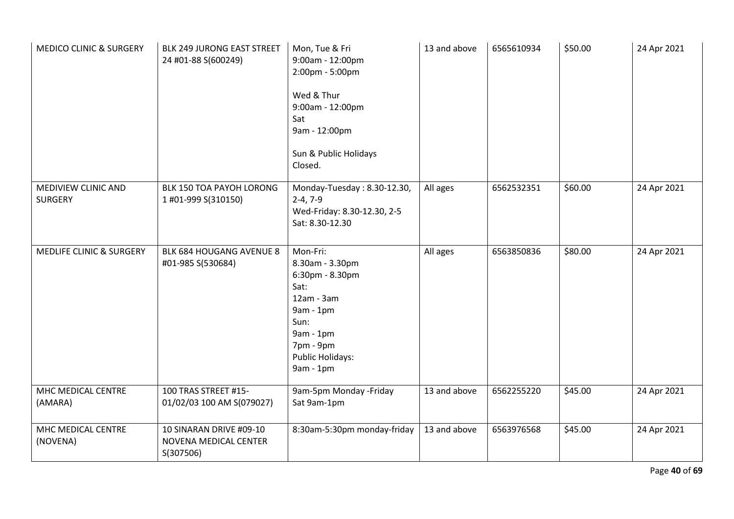| <b>MEDICO CLINIC &amp; SURGERY</b>    | <b>BLK 249 JURONG EAST STREET</b><br>24 #01-88 S(600249)      | Mon, Tue & Fri<br>9:00am - 12:00pm<br>2:00pm - 5:00pm<br>Wed & Thur<br>9:00am - 12:00pm<br>Sat<br>9am - 12:00pm<br>Sun & Public Holidays<br>Closed.               | 13 and above | 6565610934 | \$50.00 | 24 Apr 2021 |
|---------------------------------------|---------------------------------------------------------------|-------------------------------------------------------------------------------------------------------------------------------------------------------------------|--------------|------------|---------|-------------|
| MEDIVIEW CLINIC AND<br><b>SURGERY</b> | BLK 150 TOA PAYOH LORONG<br>1 #01-999 S(310150)               | Monday-Tuesday: 8.30-12.30,<br>$2-4, 7-9$<br>Wed-Friday: 8.30-12.30, 2-5<br>Sat: 8.30-12.30                                                                       | All ages     | 6562532351 | \$60.00 | 24 Apr 2021 |
| MEDLIFE CLINIC & SURGERY              | BLK 684 HOUGANG AVENUE 8<br>#01-985 S(530684)                 | Mon-Fri:<br>8.30am - 3.30pm<br>6:30pm - 8.30pm<br>Sat:<br>$12am - 3am$<br>9am - 1pm<br>Sun:<br>$9am - 1pm$<br>7pm - 9pm<br><b>Public Holidays:</b><br>$9am - 1pm$ | All ages     | 6563850836 | \$80.00 | 24 Apr 2021 |
| MHC MEDICAL CENTRE<br>(AMARA)         | 100 TRAS STREET #15-<br>01/02/03 100 AM S(079027)             | 9am-5pm Monday -Friday<br>Sat 9am-1pm                                                                                                                             | 13 and above | 6562255220 | \$45.00 | 24 Apr 2021 |
| MHC MEDICAL CENTRE<br>(NOVENA)        | 10 SINARAN DRIVE #09-10<br>NOVENA MEDICAL CENTER<br>S(307506) | 8:30am-5:30pm monday-friday                                                                                                                                       | 13 and above | 6563976568 | \$45.00 | 24 Apr 2021 |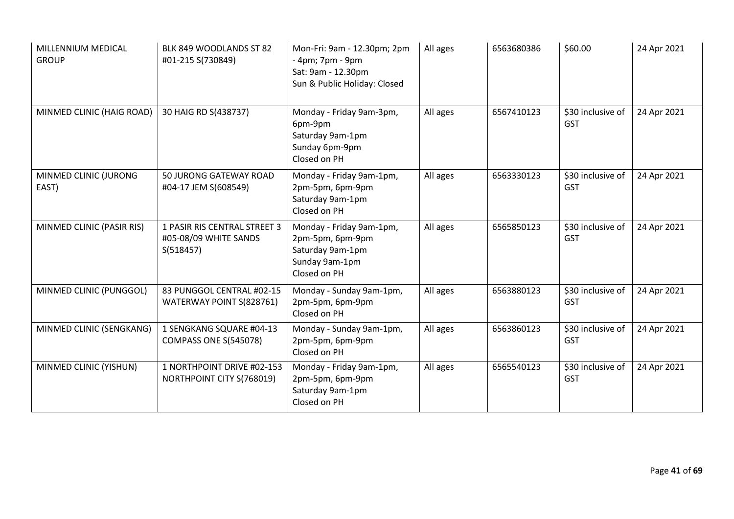| MILLENNIUM MEDICAL<br><b>GROUP</b> | BLK 849 WOODLANDS ST 82<br>#01-215 S(730849)                       | Mon-Fri: 9am - 12.30pm; 2pm<br>- 4pm; 7pm - 9pm<br>Sat: 9am - 12.30pm<br>Sun & Public Holiday: Closed | All ages | 6563680386 | \$60.00                         | 24 Apr 2021 |
|------------------------------------|--------------------------------------------------------------------|-------------------------------------------------------------------------------------------------------|----------|------------|---------------------------------|-------------|
| MINMED CLINIC (HAIG ROAD)          | 30 HAIG RD S(438737)                                               | Monday - Friday 9am-3pm,<br>6pm-9pm<br>Saturday 9am-1pm<br>Sunday 6pm-9pm<br>Closed on PH             | All ages | 6567410123 | \$30 inclusive of<br>GST        | 24 Apr 2021 |
| MINMED CLINIC (JURONG<br>EAST)     | 50 JURONG GATEWAY ROAD<br>#04-17 JEM S(608549)                     | Monday - Friday 9am-1pm,<br>2pm-5pm, 6pm-9pm<br>Saturday 9am-1pm<br>Closed on PH                      | All ages | 6563330123 | \$30 inclusive of<br><b>GST</b> | 24 Apr 2021 |
| MINMED CLINIC (PASIR RIS)          | 1 PASIR RIS CENTRAL STREET 3<br>#05-08/09 WHITE SANDS<br>S(518457) | Monday - Friday 9am-1pm,<br>2pm-5pm, 6pm-9pm<br>Saturday 9am-1pm<br>Sunday 9am-1pm<br>Closed on PH    | All ages | 6565850123 | \$30 inclusive of<br><b>GST</b> | 24 Apr 2021 |
| MINMED CLINIC (PUNGGOL)            | 83 PUNGGOL CENTRAL #02-15<br>WATERWAY POINT S(828761)              | Monday - Sunday 9am-1pm,<br>2pm-5pm, 6pm-9pm<br>Closed on PH                                          | All ages | 6563880123 | \$30 inclusive of<br>GST        | 24 Apr 2021 |
| MINMED CLINIC (SENGKANG)           | 1 SENGKANG SQUARE #04-13<br>COMPASS ONE S(545078)                  | Monday - Sunday 9am-1pm,<br>2pm-5pm, 6pm-9pm<br>Closed on PH                                          | All ages | 6563860123 | \$30 inclusive of<br>GST        | 24 Apr 2021 |
| MINMED CLINIC (YISHUN)             | 1 NORTHPOINT DRIVE #02-153<br>NORTHPOINT CITY S(768019)            | Monday - Friday 9am-1pm,<br>2pm-5pm, 6pm-9pm<br>Saturday 9am-1pm<br>Closed on PH                      | All ages | 6565540123 | \$30 inclusive of<br><b>GST</b> | 24 Apr 2021 |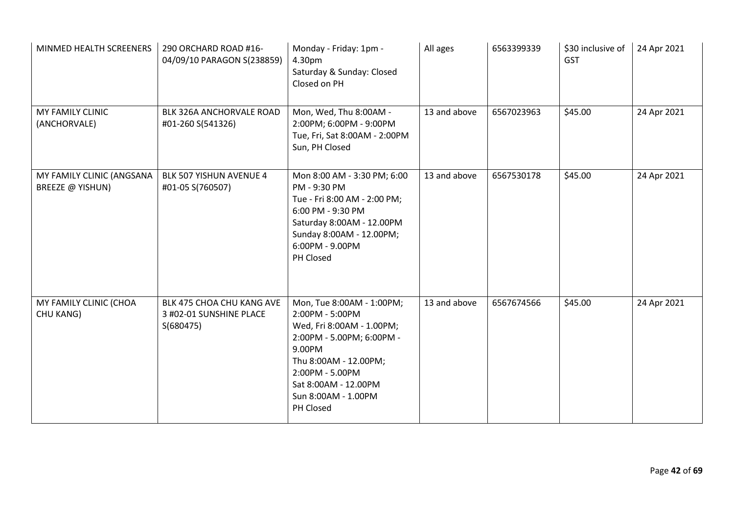| MINMED HEALTH SCREENERS                       | 290 ORCHARD ROAD #16-<br>04/09/10 PARAGON S(238859)               | Monday - Friday: 1pm -<br>4.30pm<br>Saturday & Sunday: Closed<br>Closed on PH                                                                                                                                            | All ages     | 6563399339 | \$30 inclusive of<br><b>GST</b> | 24 Apr 2021 |
|-----------------------------------------------|-------------------------------------------------------------------|--------------------------------------------------------------------------------------------------------------------------------------------------------------------------------------------------------------------------|--------------|------------|---------------------------------|-------------|
| MY FAMILY CLINIC<br>(ANCHORVALE)              | BLK 326A ANCHORVALE ROAD<br>#01-260 S(541326)                     | Mon, Wed, Thu 8:00AM -<br>2:00PM; 6:00PM - 9:00PM<br>Tue, Fri, Sat 8:00AM - 2:00PM<br>Sun, PH Closed                                                                                                                     | 13 and above | 6567023963 | \$45.00                         | 24 Apr 2021 |
| MY FAMILY CLINIC (ANGSANA<br>BREEZE @ YISHUN) | BLK 507 YISHUN AVENUE 4<br>#01-05 S(760507)                       | Mon 8:00 AM - 3:30 PM; 6:00<br>PM - 9:30 PM<br>Tue - Fri 8:00 AM - 2:00 PM;<br>6:00 PM - 9:30 PM<br>Saturday 8:00AM - 12.00PM<br>Sunday 8:00AM - 12.00PM;<br>6:00PM - 9.00PM<br>PH Closed                                | 13 and above | 6567530178 | \$45.00                         | 24 Apr 2021 |
| MY FAMILY CLINIC (CHOA<br>CHU KANG)           | BLK 475 CHOA CHU KANG AVE<br>3 #02-01 SUNSHINE PLACE<br>S(680475) | Mon, Tue 8:00AM - 1:00PM;<br>2:00PM - 5:00PM<br>Wed, Fri 8:00AM - 1.00PM;<br>2:00PM - 5.00PM; 6:00PM -<br>9.00PM<br>Thu 8:00AM - 12.00PM;<br>2:00PM - 5.00PM<br>Sat 8:00AM - 12.00PM<br>Sun 8:00AM - 1.00PM<br>PH Closed | 13 and above | 6567674566 | \$45.00                         | 24 Apr 2021 |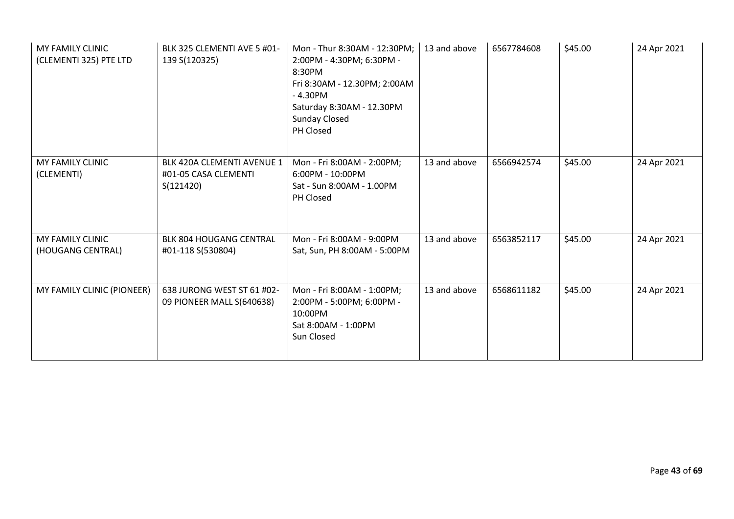| MY FAMILY CLINIC<br>(CLEMENTI 325) PTE LTD | BLK 325 CLEMENTI AVE 5 #01-<br>139 S(120325)                    | Mon - Thur 8:30AM - 12:30PM;<br>2:00PM - 4:30PM; 6:30PM -<br>8:30PM<br>Fri 8:30AM - 12.30PM; 2:00AM<br>$-4.30$ PM<br>Saturday 8:30AM - 12.30PM<br><b>Sunday Closed</b><br>PH Closed | 13 and above | 6567784608 | \$45.00 | 24 Apr 2021 |
|--------------------------------------------|-----------------------------------------------------------------|-------------------------------------------------------------------------------------------------------------------------------------------------------------------------------------|--------------|------------|---------|-------------|
| MY FAMILY CLINIC<br>(CLEMENTI)             | BLK 420A CLEMENTI AVENUE 1<br>#01-05 CASA CLEMENTI<br>S(121420) | Mon - Fri 8:00AM - 2:00PM;<br>6:00PM - 10:00PM<br>Sat - Sun 8:00AM - 1.00PM<br>PH Closed                                                                                            | 13 and above | 6566942574 | \$45.00 | 24 Apr 2021 |
| MY FAMILY CLINIC<br>(HOUGANG CENTRAL)      | <b>BLK 804 HOUGANG CENTRAL</b><br>#01-118 S(530804)             | Mon - Fri 8:00AM - 9:00PM<br>Sat, Sun, PH 8:00AM - 5:00PM                                                                                                                           | 13 and above | 6563852117 | \$45.00 | 24 Apr 2021 |
| MY FAMILY CLINIC (PIONEER)                 | 638 JURONG WEST ST 61 #02-<br>09 PIONEER MALL S(640638)         | Mon - Fri 8:00AM - 1:00PM;<br>2:00PM - 5:00PM; 6:00PM -<br>10:00PM<br>Sat 8:00AM - 1:00PM<br>Sun Closed                                                                             | 13 and above | 6568611182 | \$45.00 | 24 Apr 2021 |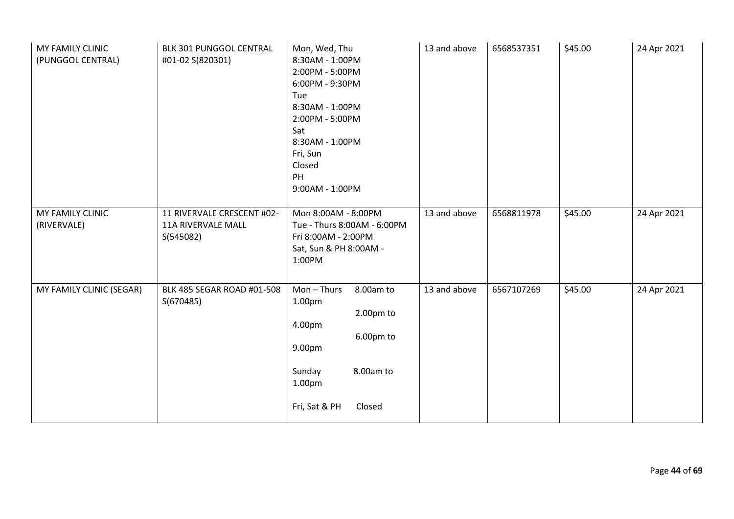| MY FAMILY CLINIC<br>(PUNGGOL CENTRAL) | BLK 301 PUNGGOL CENTRAL<br>#01-02 S(820301)                          | Mon, Wed, Thu<br>8:30AM - 1:00PM<br>2:00PM - 5:00PM<br>6:00PM - 9:30PM<br>Tue<br>8:30AM - 1:00PM<br>2:00PM - 5:00PM<br>Sat<br>8:30AM - 1:00PM<br>Fri, Sun<br>Closed<br>PH<br>9:00AM - 1:00PM | 13 and above | 6568537351 | \$45.00 | 24 Apr 2021 |
|---------------------------------------|----------------------------------------------------------------------|----------------------------------------------------------------------------------------------------------------------------------------------------------------------------------------------|--------------|------------|---------|-------------|
| MY FAMILY CLINIC<br>(RIVERVALE)       | 11 RIVERVALE CRESCENT #02-<br><b>11A RIVERVALE MALL</b><br>S(545082) | Mon 8:00AM - 8:00PM<br>Tue - Thurs 8:00AM - 6:00PM<br>Fri 8:00AM - 2:00PM<br>Sat, Sun & PH 8:00AM -<br>1:00PM                                                                                | 13 and above | 6568811978 | \$45.00 | 24 Apr 2021 |
| MY FAMILY CLINIC (SEGAR)              | BLK 485 SEGAR ROAD #01-508<br>S(670485)                              | $Mon - Thus$<br>8.00am to<br>1.00pm<br>2.00pm to<br>4.00pm<br>6.00pm to<br>9.00pm<br>8.00am to<br>Sunday<br>1.00pm<br>Fri, Sat & PH<br>Closed                                                | 13 and above | 6567107269 | \$45.00 | 24 Apr 2021 |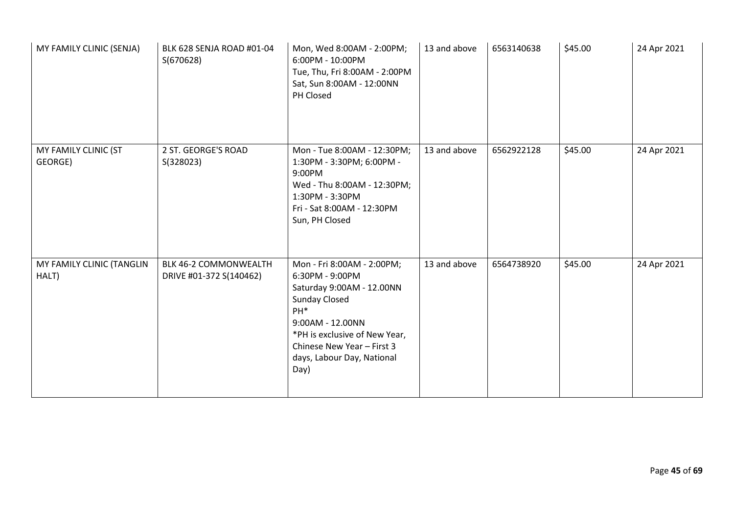| MY FAMILY CLINIC (SENJA)           | BLK 628 SENJA ROAD #01-04<br>S(670628)           | Mon, Wed 8:00AM - 2:00PM;<br>6:00PM - 10:00PM<br>Tue, Thu, Fri 8:00AM - 2:00PM<br>Sat, Sun 8:00AM - 12:00NN<br>PH Closed                                                                                                                       | 13 and above | 6563140638 | \$45.00 | 24 Apr 2021 |
|------------------------------------|--------------------------------------------------|------------------------------------------------------------------------------------------------------------------------------------------------------------------------------------------------------------------------------------------------|--------------|------------|---------|-------------|
| MY FAMILY CLINIC (ST<br>GEORGE)    | 2 ST. GEORGE'S ROAD<br>S(328023)                 | Mon - Tue 8:00AM - 12:30PM;<br>1:30PM - 3:30PM; 6:00PM -<br>9:00PM<br>Wed - Thu 8:00AM - 12:30PM;<br>1:30PM - 3:30PM<br>Fri - Sat 8:00AM - 12:30PM<br>Sun, PH Closed                                                                           | 13 and above | 6562922128 | \$45.00 | 24 Apr 2021 |
| MY FAMILY CLINIC (TANGLIN<br>HALT) | BLK 46-2 COMMONWEALTH<br>DRIVE #01-372 S(140462) | Mon - Fri 8:00AM - 2:00PM;<br>6:30PM - 9:00PM<br>Saturday 9:00AM - 12.00NN<br><b>Sunday Closed</b><br>PH <sup>*</sup><br>9:00AM - 12.00NN<br>*PH is exclusive of New Year,<br>Chinese New Year - First 3<br>days, Labour Day, National<br>Day) | 13 and above | 6564738920 | \$45.00 | 24 Apr 2021 |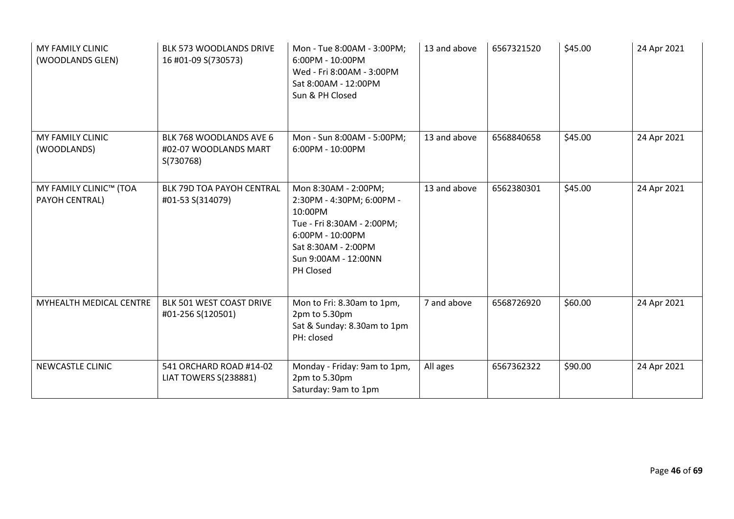| MY FAMILY CLINIC<br>(WOODLANDS GLEN)     | BLK 573 WOODLANDS DRIVE<br>16 #01-09 S(730573)                | Mon - Tue 8:00AM - 3:00PM;<br>6:00PM - 10:00PM<br>Wed - Fri 8:00AM - 3:00PM<br>Sat 8:00AM - 12:00PM<br>Sun & PH Closed                                                     | 13 and above | 6567321520 | \$45.00 | 24 Apr 2021 |
|------------------------------------------|---------------------------------------------------------------|----------------------------------------------------------------------------------------------------------------------------------------------------------------------------|--------------|------------|---------|-------------|
| MY FAMILY CLINIC<br>(WOODLANDS)          | BLK 768 WOODLANDS AVE 6<br>#02-07 WOODLANDS MART<br>S(730768) | Mon - Sun 8:00AM - 5:00PM;<br>6:00PM - 10:00PM                                                                                                                             | 13 and above | 6568840658 | \$45.00 | 24 Apr 2021 |
| MY FAMILY CLINIC™ (TOA<br>PAYOH CENTRAL) | <b>BLK 79D TOA PAYOH CENTRAL</b><br>#01-53 S(314079)          | Mon 8:30AM - 2:00PM;<br>2:30PM - 4:30PM; 6:00PM -<br>10:00PM<br>Tue - Fri 8:30AM - 2:00PM;<br>6:00PM - 10:00PM<br>Sat 8:30AM - 2:00PM<br>Sun 9:00AM - 12:00NN<br>PH Closed | 13 and above | 6562380301 | \$45.00 | 24 Apr 2021 |
| MYHEALTH MEDICAL CENTRE                  | BLK 501 WEST COAST DRIVE<br>#01-256 S(120501)                 | Mon to Fri: 8.30am to 1pm,<br>2pm to 5.30pm<br>Sat & Sunday: 8.30am to 1pm<br>PH: closed                                                                                   | 7 and above  | 6568726920 | \$60.00 | 24 Apr 2021 |
| <b>NEWCASTLE CLINIC</b>                  | 541 ORCHARD ROAD #14-02<br>LIAT TOWERS S(238881)              | Monday - Friday: 9am to 1pm,<br>2pm to 5.30pm<br>Saturday: 9am to 1pm                                                                                                      | All ages     | 6567362322 | \$90.00 | 24 Apr 2021 |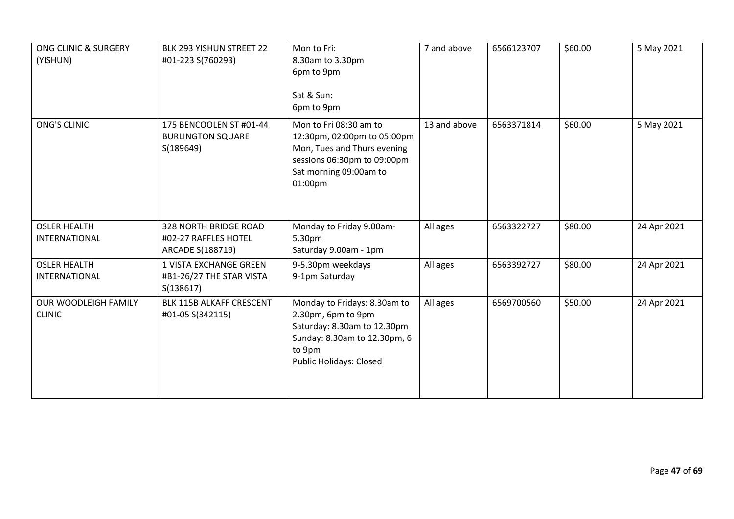| ONG CLINIC & SURGERY<br>(YISHUN)             | BLK 293 YISHUN STREET 22<br>#01-223 S(760293)                            | Mon to Fri:<br>8.30am to 3.30pm<br>6pm to 9pm<br>Sat & Sun:<br>6pm to 9pm                                                                                     | 7 and above  | 6566123707 | \$60.00 | 5 May 2021  |
|----------------------------------------------|--------------------------------------------------------------------------|---------------------------------------------------------------------------------------------------------------------------------------------------------------|--------------|------------|---------|-------------|
| <b>ONG'S CLINIC</b>                          | 175 BENCOOLEN ST #01-44<br><b>BURLINGTON SQUARE</b><br>S(189649)         | Mon to Fri 08:30 am to<br>12:30pm, 02:00pm to 05:00pm<br>Mon, Tues and Thurs evening<br>sessions 06:30pm to 09:00pm<br>Sat morning 09:00am to<br>01:00pm      | 13 and above | 6563371814 | \$60.00 | 5 May 2021  |
| <b>OSLER HEALTH</b><br><b>INTERNATIONAL</b>  | 328 NORTH BRIDGE ROAD<br>#02-27 RAFFLES HOTEL<br><b>ARCADE S(188719)</b> | Monday to Friday 9.00am-<br>5.30pm<br>Saturday 9.00am - 1pm                                                                                                   | All ages     | 6563322727 | \$80.00 | 24 Apr 2021 |
| <b>OSLER HEALTH</b><br><b>INTERNATIONAL</b>  | 1 VISTA EXCHANGE GREEN<br>#B1-26/27 THE STAR VISTA<br>S(138617)          | 9-5.30pm weekdays<br>9-1pm Saturday                                                                                                                           | All ages     | 6563392727 | \$80.00 | 24 Apr 2021 |
| <b>OUR WOODLEIGH FAMILY</b><br><b>CLINIC</b> | BLK 115B ALKAFF CRESCENT<br>#01-05 S(342115)                             | Monday to Fridays: 8.30am to<br>2.30pm, 6pm to 9pm<br>Saturday: 8.30am to 12.30pm<br>Sunday: 8.30am to 12.30pm, 6<br>to 9pm<br><b>Public Holidays: Closed</b> | All ages     | 6569700560 | \$50.00 | 24 Apr 2021 |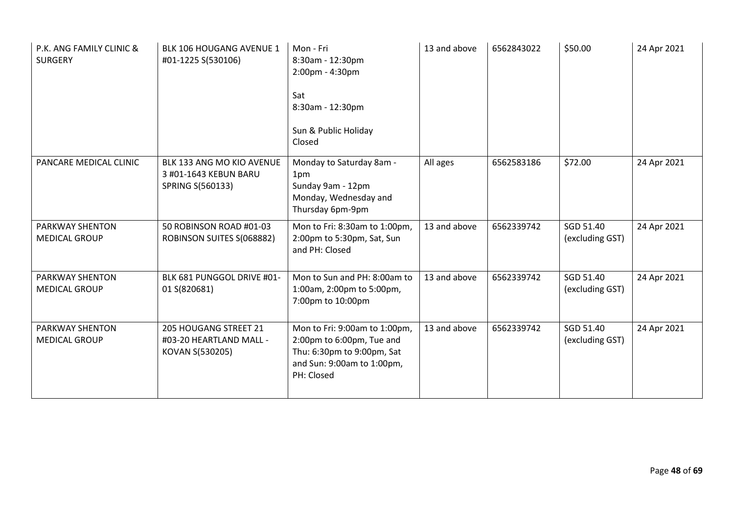| P.K. ANG FAMILY CLINIC &<br><b>SURGERY</b>     | BLK 106 HOUGANG AVENUE 1<br>#01-1225 S(530106)                         | Mon - Fri<br>8:30am - 12:30pm<br>2:00pm - 4:30pm<br>Sat<br>8:30am - 12:30pm<br>Sun & Public Holiday<br>Closed                        | 13 and above | 6562843022 | \$50.00                      | 24 Apr 2021 |
|------------------------------------------------|------------------------------------------------------------------------|--------------------------------------------------------------------------------------------------------------------------------------|--------------|------------|------------------------------|-------------|
| PANCARE MEDICAL CLINIC                         | BLK 133 ANG MO KIO AVENUE<br>3 #01-1643 KEBUN BARU<br>SPRING S(560133) | Monday to Saturday 8am -<br>1pm<br>Sunday 9am - 12pm<br>Monday, Wednesday and<br>Thursday 6pm-9pm                                    | All ages     | 6562583186 | \$72.00                      | 24 Apr 2021 |
| PARKWAY SHENTON<br><b>MEDICAL GROUP</b>        | 50 ROBINSON ROAD #01-03<br>ROBINSON SUITES S(068882)                   | Mon to Fri: 8:30am to 1:00pm,<br>2:00pm to 5:30pm, Sat, Sun<br>and PH: Closed                                                        | 13 and above | 6562339742 | SGD 51.40<br>(excluding GST) | 24 Apr 2021 |
| <b>PARKWAY SHENTON</b><br><b>MEDICAL GROUP</b> | BLK 681 PUNGGOL DRIVE #01-<br>01 S(820681)                             | Mon to Sun and PH: 8:00am to<br>1:00am, 2:00pm to 5:00pm,<br>7:00pm to 10:00pm                                                       | 13 and above | 6562339742 | SGD 51.40<br>(excluding GST) | 24 Apr 2021 |
| PARKWAY SHENTON<br><b>MEDICAL GROUP</b>        | 205 HOUGANG STREET 21<br>#03-20 HEARTLAND MALL -<br>KOVAN S(530205)    | Mon to Fri: 9:00am to 1:00pm,<br>2:00pm to 6:00pm, Tue and<br>Thu: 6:30pm to 9:00pm, Sat<br>and Sun: 9:00am to 1:00pm,<br>PH: Closed | 13 and above | 6562339742 | SGD 51.40<br>(excluding GST) | 24 Apr 2021 |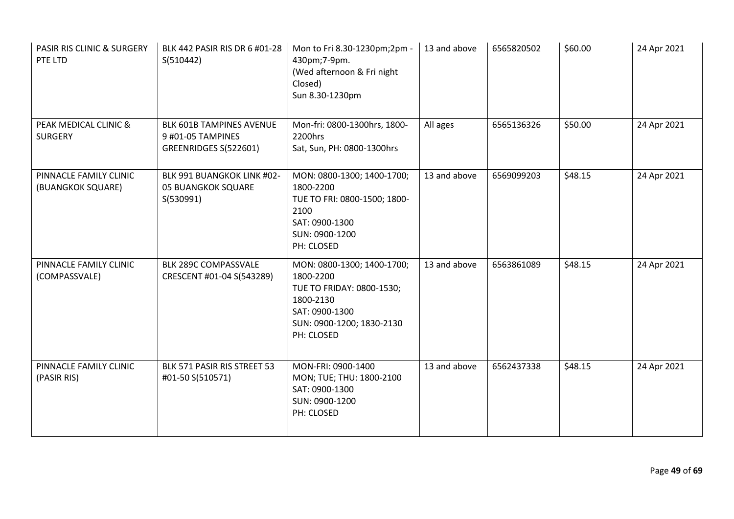| PASIR RIS CLINIC & SURGERY<br>PTE LTD       | BLK 442 PASIR RIS DR 6 #01-28<br>S(510442)                             | Mon to Fri 8.30-1230pm;2pm -<br>430pm;7-9pm.<br>(Wed afternoon & Fri night<br>Closed)<br>Sun 8.30-1230pm                                       | 13 and above | 6565820502 | \$60.00 | 24 Apr 2021 |
|---------------------------------------------|------------------------------------------------------------------------|------------------------------------------------------------------------------------------------------------------------------------------------|--------------|------------|---------|-------------|
| PEAK MEDICAL CLINIC &<br><b>SURGERY</b>     | BLK 601B TAMPINES AVENUE<br>9 #01-05 TAMPINES<br>GREENRIDGES S(522601) | Mon-fri: 0800-1300hrs, 1800-<br>2200hrs<br>Sat, Sun, PH: 0800-1300hrs                                                                          | All ages     | 6565136326 | \$50.00 | 24 Apr 2021 |
| PINNACLE FAMILY CLINIC<br>(BUANGKOK SQUARE) | BLK 991 BUANGKOK LINK #02-<br>05 BUANGKOK SQUARE<br>S(530991)          | MON: 0800-1300; 1400-1700;<br>1800-2200<br>TUE TO FRI: 0800-1500; 1800-<br>2100<br>SAT: 0900-1300<br>SUN: 0900-1200<br>PH: CLOSED              | 13 and above | 6569099203 | \$48.15 | 24 Apr 2021 |
| PINNACLE FAMILY CLINIC<br>(COMPASSVALE)     | BLK 289C COMPASSVALE<br>CRESCENT #01-04 S(543289)                      | MON: 0800-1300; 1400-1700;<br>1800-2200<br>TUE TO FRIDAY: 0800-1530;<br>1800-2130<br>SAT: 0900-1300<br>SUN: 0900-1200; 1830-2130<br>PH: CLOSED | 13 and above | 6563861089 | \$48.15 | 24 Apr 2021 |
| PINNACLE FAMILY CLINIC<br>(PASIR RIS)       | BLK 571 PASIR RIS STREET 53<br>#01-50 S(510571)                        | MON-FRI: 0900-1400<br>MON; TUE; THU: 1800-2100<br>SAT: 0900-1300<br>SUN: 0900-1200<br>PH: CLOSED                                               | 13 and above | 6562437338 | \$48.15 | 24 Apr 2021 |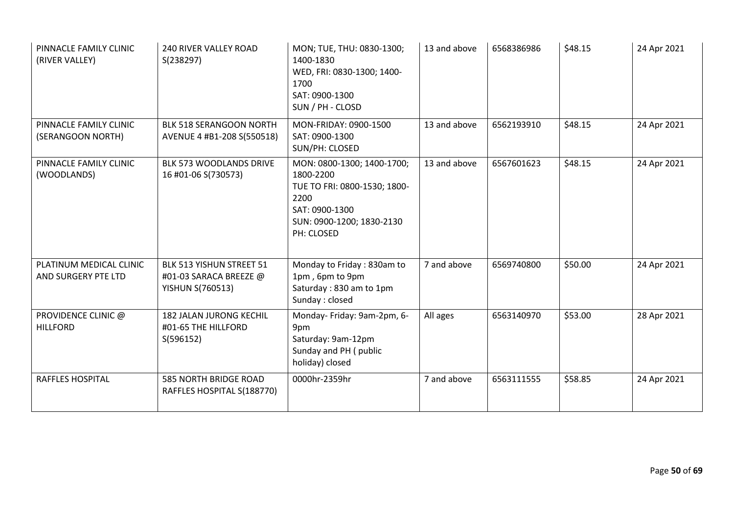| PINNACLE FAMILY CLINIC<br>(RIVER VALLEY)       | <b>240 RIVER VALLEY ROAD</b><br>S(238297)                                     | MON; TUE, THU: 0830-1300;<br>1400-1830<br>WED, FRI: 0830-1300; 1400-<br>1700<br>SAT: 0900-1300<br>SUN / PH - CLOSD                           | 13 and above | 6568386986 | \$48.15 | 24 Apr 2021 |
|------------------------------------------------|-------------------------------------------------------------------------------|----------------------------------------------------------------------------------------------------------------------------------------------|--------------|------------|---------|-------------|
| PINNACLE FAMILY CLINIC<br>(SERANGOON NORTH)    | <b>BLK 518 SERANGOON NORTH</b><br>AVENUE 4 #B1-208 S(550518)                  | MON-FRIDAY: 0900-1500<br>SAT: 0900-1300<br>SUN/PH: CLOSED                                                                                    | 13 and above | 6562193910 | \$48.15 | 24 Apr 2021 |
| PINNACLE FAMILY CLINIC<br>(WOODLANDS)          | BLK 573 WOODLANDS DRIVE<br>16 #01-06 S(730573)                                | MON: 0800-1300; 1400-1700;<br>1800-2200<br>TUE TO FRI: 0800-1530; 1800-<br>2200<br>SAT: 0900-1300<br>SUN: 0900-1200; 1830-2130<br>PH: CLOSED | 13 and above | 6567601623 | \$48.15 | 24 Apr 2021 |
| PLATINUM MEDICAL CLINIC<br>AND SURGERY PTE LTD | BLK 513 YISHUN STREET 51<br>#01-03 SARACA BREEZE @<br><b>YISHUN S(760513)</b> | Monday to Friday: 830am to<br>1pm, 6pm to 9pm<br>Saturday: 830 am to 1pm<br>Sunday: closed                                                   | 7 and above  | 6569740800 | \$50.00 | 24 Apr 2021 |
| PROVIDENCE CLINIC @<br><b>HILLFORD</b>         | 182 JALAN JURONG KECHIL<br>#01-65 THE HILLFORD<br>S(596152)                   | Monday- Friday: 9am-2pm, 6-<br>9pm<br>Saturday: 9am-12pm<br>Sunday and PH (public<br>holiday) closed                                         | All ages     | 6563140970 | \$53.00 | 28 Apr 2021 |
| RAFFLES HOSPITAL                               | <b>585 NORTH BRIDGE ROAD</b><br>RAFFLES HOSPITAL S(188770)                    | 0000hr-2359hr                                                                                                                                | 7 and above  | 6563111555 | \$58.85 | 24 Apr 2021 |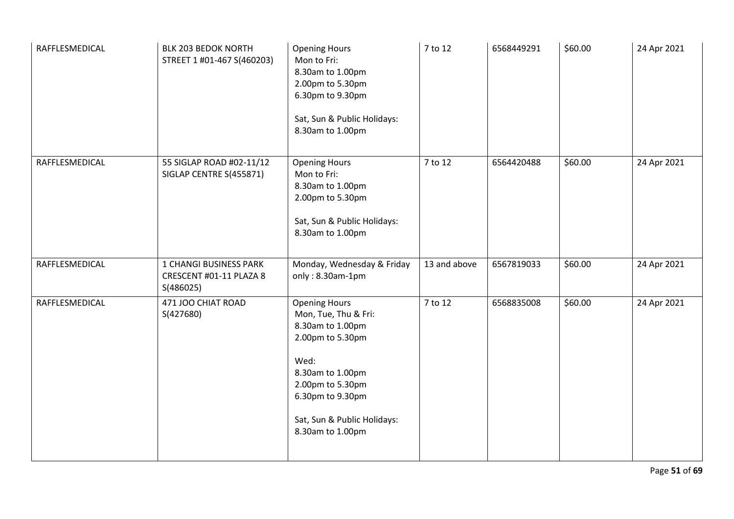| RAFFLESMEDICAL | <b>BLK 203 BEDOK NORTH</b><br>STREET 1 #01-467 S(460203)              | <b>Opening Hours</b><br>Mon to Fri:<br>8.30am to 1.00pm<br>2.00pm to 5.30pm<br>6.30pm to 9.30pm<br>Sat, Sun & Public Holidays:<br>8.30am to 1.00pm                                                          | 7 to 12      | 6568449291 | \$60.00 | 24 Apr 2021 |
|----------------|-----------------------------------------------------------------------|-------------------------------------------------------------------------------------------------------------------------------------------------------------------------------------------------------------|--------------|------------|---------|-------------|
| RAFFLESMEDICAL | 55 SIGLAP ROAD #02-11/12<br>SIGLAP CENTRE S(455871)                   | <b>Opening Hours</b><br>Mon to Fri:<br>8.30am to 1.00pm<br>2.00pm to 5.30pm<br>Sat, Sun & Public Holidays:<br>8.30am to 1.00pm                                                                              | 7 to 12      | 6564420488 | \$60.00 | 24 Apr 2021 |
| RAFFLESMEDICAL | <b>1 CHANGI BUSINESS PARK</b><br>CRESCENT #01-11 PLAZA 8<br>S(486025) | Monday, Wednesday & Friday<br>only: $8.30$ am-1pm                                                                                                                                                           | 13 and above | 6567819033 | \$60.00 | 24 Apr 2021 |
| RAFFLESMEDICAL | 471 JOO CHIAT ROAD<br>S(427680)                                       | <b>Opening Hours</b><br>Mon, Tue, Thu & Fri:<br>8.30am to 1.00pm<br>2.00pm to 5.30pm<br>Wed:<br>8.30am to 1.00pm<br>2.00pm to 5.30pm<br>6.30pm to 9.30pm<br>Sat, Sun & Public Holidays:<br>8.30am to 1.00pm | 7 to 12      | 6568835008 | \$60.00 | 24 Apr 2021 |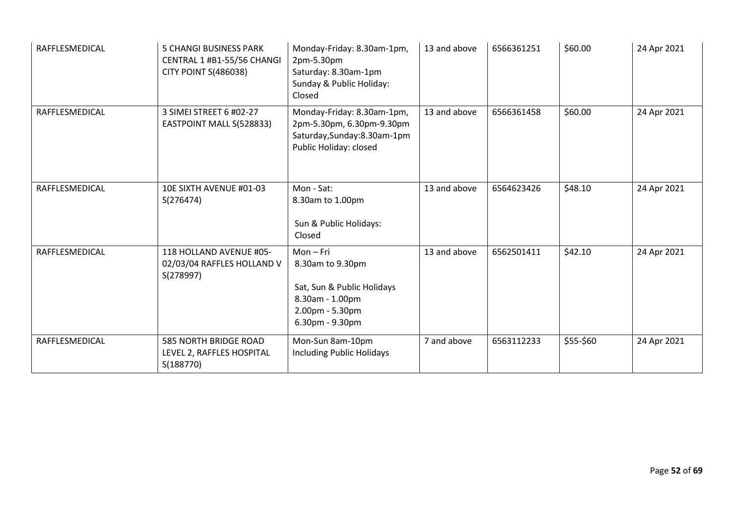| RAFFLESMEDICAL | <b>5 CHANGI BUSINESS PARK</b><br>CENTRAL 1 #B1-55/56 CHANGI<br><b>CITY POINT S(486038)</b> | Monday-Friday: 8.30am-1pm,<br>2pm-5.30pm<br>Saturday: 8.30am-1pm<br>Sunday & Public Holiday:<br>Closed               | 13 and above | 6566361251 | \$60.00   | 24 Apr 2021 |
|----------------|--------------------------------------------------------------------------------------------|----------------------------------------------------------------------------------------------------------------------|--------------|------------|-----------|-------------|
| RAFFLESMEDICAL | 3 SIMEI STREET 6 #02-27<br>EASTPOINT MALL S(528833)                                        | Monday-Friday: 8.30am-1pm,<br>2pm-5.30pm, 6.30pm-9.30pm<br>Saturday, Sunday: 8.30am-1pm<br>Public Holiday: closed    | 13 and above | 6566361458 | \$60.00   | 24 Apr 2021 |
| RAFFLESMEDICAL | 10E SIXTH AVENUE #01-03<br>S(276474)                                                       | Mon - Sat:<br>8.30am to 1.00pm<br>Sun & Public Holidays:<br>Closed                                                   | 13 and above | 6564623426 | \$48.10   | 24 Apr 2021 |
| RAFFLESMEDICAL | 118 HOLLAND AVENUE #05-<br>02/03/04 RAFFLES HOLLAND V<br>S(278997)                         | $Mon-Fri$<br>8.30am to 9.30pm<br>Sat, Sun & Public Holidays<br>8.30am - 1.00pm<br>2.00pm - 5.30pm<br>6.30pm - 9.30pm | 13 and above | 6562501411 | \$42.10   | 24 Apr 2021 |
| RAFFLESMEDICAL | 585 NORTH BRIDGE ROAD<br>LEVEL 2, RAFFLES HOSPITAL<br>S(188770)                            | Mon-Sun 8am-10pm<br><b>Including Public Holidays</b>                                                                 | 7 and above  | 6563112233 | \$55-\$60 | 24 Apr 2021 |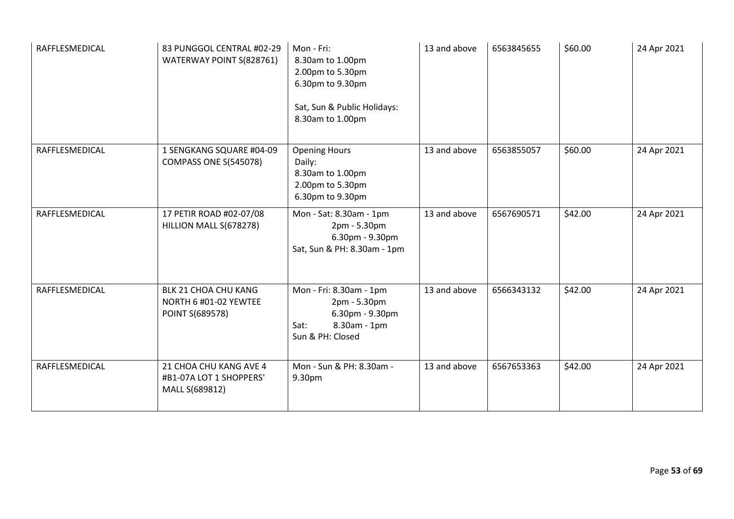| RAFFLESMEDICAL | 83 PUNGGOL CENTRAL #02-29<br>WATERWAY POINT S(828761)               | Mon - Fri:<br>8.30am to 1.00pm<br>2.00pm to 5.30pm<br>6.30pm to 9.30pm<br>Sat, Sun & Public Holidays:<br>8.30am to 1.00pm | 13 and above | 6563845655 | \$60.00 | 24 Apr 2021 |
|----------------|---------------------------------------------------------------------|---------------------------------------------------------------------------------------------------------------------------|--------------|------------|---------|-------------|
| RAFFLESMEDICAL | 1 SENGKANG SQUARE #04-09<br>COMPASS ONE S(545078)                   | <b>Opening Hours</b><br>Daily:<br>8.30am to 1.00pm<br>2.00pm to 5.30pm<br>6.30pm to 9.30pm                                | 13 and above | 6563855057 | \$60.00 | 24 Apr 2021 |
| RAFFLESMEDICAL | 17 PETIR ROAD #02-07/08<br>HILLION MALL S(678278)                   | Mon - Sat: 8.30am - 1pm<br>2pm - 5.30pm<br>6.30pm - 9.30pm<br>Sat, Sun & PH: 8.30am - 1pm                                 | 13 and above | 6567690571 | \$42.00 | 24 Apr 2021 |
| RAFFLESMEDICAL | BLK 21 CHOA CHU KANG<br>NORTH 6 #01-02 YEWTEE<br>POINT S(689578)    | Mon - Fri: 8.30am - 1pm<br>2pm - 5.30pm<br>6.30pm - 9.30pm<br>8.30am - 1pm<br>Sat:<br>Sun & PH: Closed                    | 13 and above | 6566343132 | \$42.00 | 24 Apr 2021 |
| RAFFLESMEDICAL | 21 CHOA CHU KANG AVE 4<br>#B1-07A LOT 1 SHOPPERS'<br>MALL S(689812) | Mon - Sun & PH: 8.30am -<br>9.30pm                                                                                        | 13 and above | 6567653363 | \$42.00 | 24 Apr 2021 |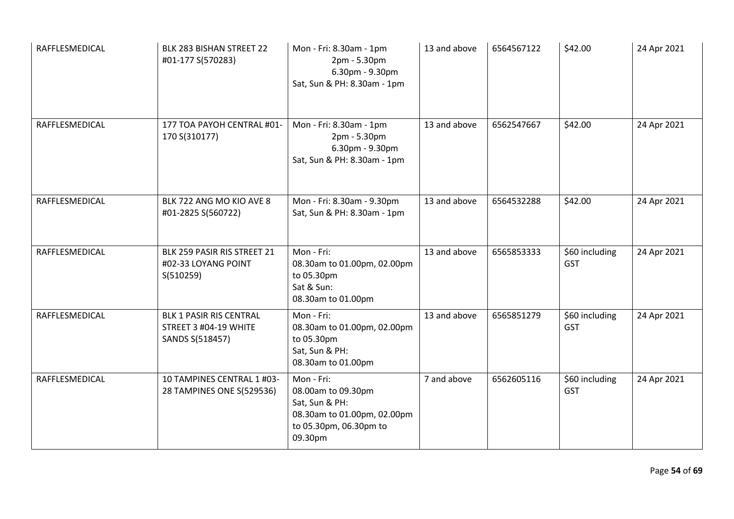| RAFFLESMEDICAL | BLK 283 BISHAN STREET 22<br>#01-177 S(570283)                              | Mon - Fri: 8.30am - 1pm<br>2pm - 5.30pm<br>6.30pm - 9.30pm<br>Sat, Sun & PH: 8.30am - 1pm                              | 13 and above | 6564567122 | \$42.00                      | 24 Apr 2021 |
|----------------|----------------------------------------------------------------------------|------------------------------------------------------------------------------------------------------------------------|--------------|------------|------------------------------|-------------|
| RAFFLESMEDICAL | 177 TOA PAYOH CENTRAL #01-<br>170 S(310177)                                | Mon - Fri: 8.30am - 1pm<br>2pm - 5.30pm<br>6.30pm - 9.30pm<br>Sat, Sun & PH: 8.30am - 1pm                              | 13 and above | 6562547667 | \$42.00                      | 24 Apr 2021 |
| RAFFLESMEDICAL | BLK 722 ANG MO KIO AVE 8<br>#01-2825 S(560722)                             | Mon - Fri: 8.30am - 9.30pm<br>Sat, Sun & PH: 8.30am - 1pm                                                              | 13 and above | 6564532288 | \$42.00                      | 24 Apr 2021 |
| RAFFLESMEDICAL | BLK 259 PASIR RIS STREET 21<br>#02-33 LOYANG POINT<br>S(510259)            | Mon - Fri:<br>08.30am to 01.00pm, 02.00pm<br>to 05.30pm<br>Sat & Sun:<br>08.30am to 01.00pm                            | 13 and above | 6565853333 | \$60 including<br><b>GST</b> | 24 Apr 2021 |
| RAFFLESMEDICAL | <b>BLK 1 PASIR RIS CENTRAL</b><br>STREET 3 #04-19 WHITE<br>SANDS S(518457) | Mon - Fri:<br>08.30am to 01.00pm, 02.00pm<br>to 05.30pm<br>Sat, Sun & PH:<br>08.30am to 01.00pm                        | 13 and above | 6565851279 | \$60 including<br>GST        | 24 Apr 2021 |
| RAFFLESMEDICAL | 10 TAMPINES CENTRAL 1 #03-<br>28 TAMPINES ONE S(529536)                    | Mon - Fri:<br>08.00am to 09.30pm<br>Sat, Sun & PH:<br>08.30am to 01.00pm, 02.00pm<br>to 05.30pm, 06.30pm to<br>09.30pm | 7 and above  | 6562605116 | \$60 including<br><b>GST</b> | 24 Apr 2021 |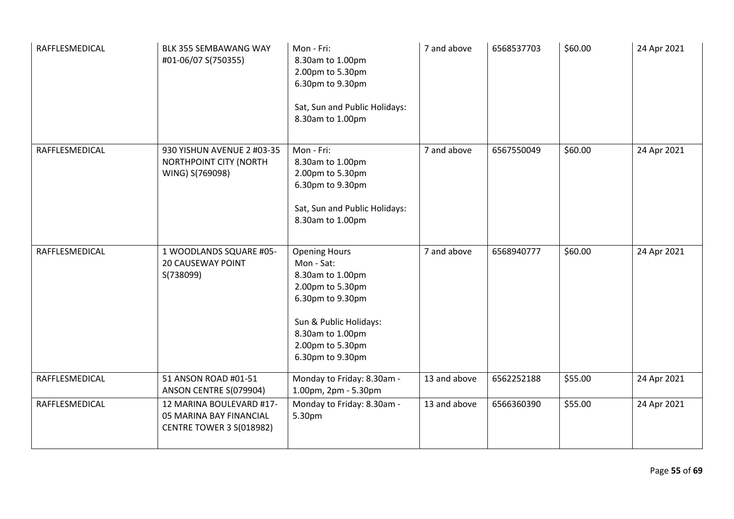| RAFFLESMEDICAL | BLK 355 SEMBAWANG WAY<br>#01-06/07 S(750355)                                    | Mon - Fri:<br>8.30am to 1.00pm<br>2.00pm to 5.30pm<br>6.30pm to 9.30pm<br>Sat, Sun and Public Holidays:<br>8.30am to 1.00pm                                                          | 7 and above  | 6568537703 | \$60.00 | 24 Apr 2021 |
|----------------|---------------------------------------------------------------------------------|--------------------------------------------------------------------------------------------------------------------------------------------------------------------------------------|--------------|------------|---------|-------------|
| RAFFLESMEDICAL | 930 YISHUN AVENUE 2 #03-35<br>NORTHPOINT CITY (NORTH<br>WING) S(769098)         | Mon - Fri:<br>8.30am to 1.00pm<br>2.00pm to 5.30pm<br>6.30pm to 9.30pm<br>Sat, Sun and Public Holidays:<br>8.30am to 1.00pm                                                          | 7 and above  | 6567550049 | \$60.00 | 24 Apr 2021 |
| RAFFLESMEDICAL | 1 WOODLANDS SQUARE #05-<br><b>20 CAUSEWAY POINT</b><br>S(738099)                | <b>Opening Hours</b><br>Mon - Sat:<br>8.30am to 1.00pm<br>2.00pm to 5.30pm<br>6.30pm to 9.30pm<br>Sun & Public Holidays:<br>8.30am to 1.00pm<br>2.00pm to 5.30pm<br>6.30pm to 9.30pm | 7 and above  | 6568940777 | \$60.00 | 24 Apr 2021 |
| RAFFLESMEDICAL | 51 ANSON ROAD #01-51<br>ANSON CENTRE S(079904)                                  | Monday to Friday: 8.30am -<br>1.00pm, 2pm - 5.30pm                                                                                                                                   | 13 and above | 6562252188 | \$55.00 | 24 Apr 2021 |
| RAFFLESMEDICAL | 12 MARINA BOULEVARD #17-<br>05 MARINA BAY FINANCIAL<br>CENTRE TOWER 3 S(018982) | Monday to Friday: 8.30am -<br>5.30pm                                                                                                                                                 | 13 and above | 6566360390 | \$55.00 | 24 Apr 2021 |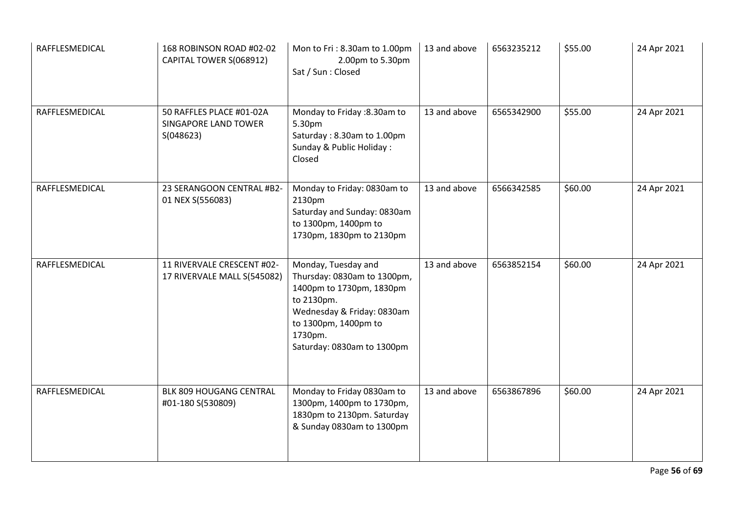| RAFFLESMEDICAL | 168 ROBINSON ROAD #02-02<br>CAPITAL TOWER S(068912)           | Mon to Fri: 8.30am to 1.00pm<br>2.00pm to 5.30pm<br>Sat / Sun : Closed                                                                                                                      | 13 and above | 6563235212 | \$55.00 | 24 Apr 2021 |
|----------------|---------------------------------------------------------------|---------------------------------------------------------------------------------------------------------------------------------------------------------------------------------------------|--------------|------------|---------|-------------|
| RAFFLESMEDICAL | 50 RAFFLES PLACE #01-02A<br>SINGAPORE LAND TOWER<br>S(048623) | Monday to Friday : 8.30am to<br>5.30pm<br>Saturday: 8.30am to 1.00pm<br>Sunday & Public Holiday:<br>Closed                                                                                  | 13 and above | 6565342900 | \$55.00 | 24 Apr 2021 |
| RAFFLESMEDICAL | 23 SERANGOON CENTRAL #B2-<br>01 NEX S(556083)                 | Monday to Friday: 0830am to<br>2130pm<br>Saturday and Sunday: 0830am<br>to 1300pm, 1400pm to<br>1730pm, 1830pm to 2130pm                                                                    | 13 and above | 6566342585 | \$60.00 | 24 Apr 2021 |
| RAFFLESMEDICAL | 11 RIVERVALE CRESCENT #02-<br>17 RIVERVALE MALL S(545082)     | Monday, Tuesday and<br>Thursday: 0830am to 1300pm,<br>1400pm to 1730pm, 1830pm<br>to 2130pm.<br>Wednesday & Friday: 0830am<br>to 1300pm, 1400pm to<br>1730pm.<br>Saturday: 0830am to 1300pm | 13 and above | 6563852154 | \$60.00 | 24 Apr 2021 |
| RAFFLESMEDICAL | BLK 809 HOUGANG CENTRAL<br>#01-180 S(530809)                  | Monday to Friday 0830am to<br>1300pm, 1400pm to 1730pm,<br>1830pm to 2130pm. Saturday<br>& Sunday 0830am to 1300pm                                                                          | 13 and above | 6563867896 | \$60.00 | 24 Apr 2021 |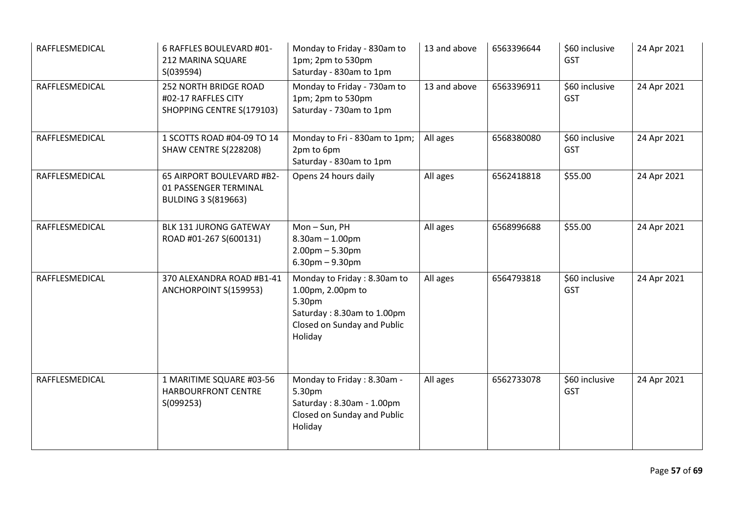| RAFFLESMEDICAL | 6 RAFFLES BOULEVARD #01-<br>212 MARINA SQUARE<br>S(039594)                       | Monday to Friday - 830am to<br>1pm; 2pm to 530pm<br>Saturday - 830am to 1pm                                                        | 13 and above | 6563396644 | \$60 inclusive<br><b>GST</b> | 24 Apr 2021 |
|----------------|----------------------------------------------------------------------------------|------------------------------------------------------------------------------------------------------------------------------------|--------------|------------|------------------------------|-------------|
| RAFFLESMEDICAL | <b>252 NORTH BRIDGE ROAD</b><br>#02-17 RAFFLES CITY<br>SHOPPING CENTRE S(179103) | Monday to Friday - 730am to<br>1pm; 2pm to 530pm<br>Saturday - 730am to 1pm                                                        | 13 and above | 6563396911 | \$60 inclusive<br><b>GST</b> | 24 Apr 2021 |
| RAFFLESMEDICAL | 1 SCOTTS ROAD #04-09 TO 14<br>SHAW CENTRE S(228208)                              | Monday to Fri - 830am to 1pm;<br>2pm to 6pm<br>Saturday - 830am to 1pm                                                             | All ages     | 6568380080 | \$60 inclusive<br><b>GST</b> | 24 Apr 2021 |
| RAFFLESMEDICAL | 65 AIRPORT BOULEVARD #B2-<br>01 PASSENGER TERMINAL<br><b>BULDING 3 S(819663)</b> | Opens 24 hours daily                                                                                                               | All ages     | 6562418818 | \$55.00                      | 24 Apr 2021 |
| RAFFLESMEDICAL | <b>BLK 131 JURONG GATEWAY</b><br>ROAD #01-267 S(600131)                          | Mon-Sun, PH<br>$8.30$ am $- 1.00$ pm<br>$2.00$ pm $- 5.30$ pm<br>$6.30$ pm $- 9.30$ pm                                             | All ages     | 6568996688 | \$55.00                      | 24 Apr 2021 |
| RAFFLESMEDICAL | 370 ALEXANDRA ROAD #B1-41<br>ANCHORPOINT S(159953)                               | Monday to Friday: 8.30am to<br>1.00pm, 2.00pm to<br>5.30pm<br>Saturday: 8.30am to 1.00pm<br>Closed on Sunday and Public<br>Holiday | All ages     | 6564793818 | \$60 inclusive<br><b>GST</b> | 24 Apr 2021 |
| RAFFLESMEDICAL | 1 MARITIME SQUARE #03-56<br><b>HARBOURFRONT CENTRE</b><br>S(099253)              | Monday to Friday: 8.30am -<br>5.30pm<br>Saturday: 8.30am - 1.00pm<br>Closed on Sunday and Public<br>Holiday                        | All ages     | 6562733078 | \$60 inclusive<br><b>GST</b> | 24 Apr 2021 |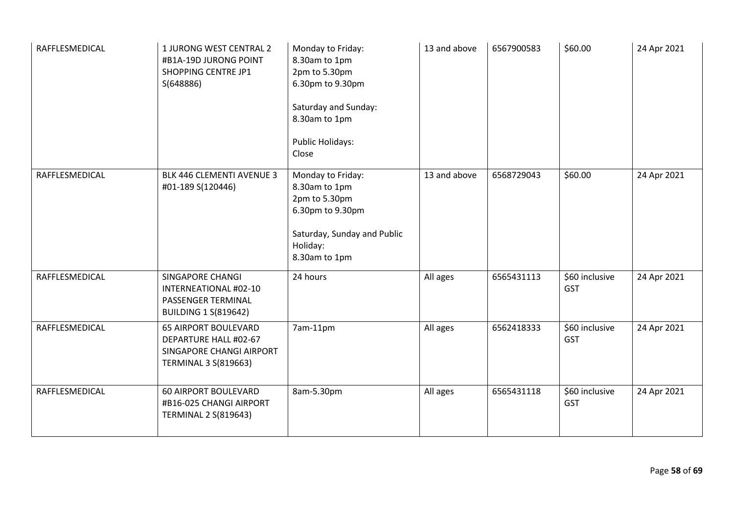| RAFFLESMEDICAL | 1 JURONG WEST CENTRAL 2<br>#B1A-19D JURONG POINT<br>SHOPPING CENTRE JP1<br>S(648886)                            | Monday to Friday:<br>8.30am to 1pm<br>2pm to 5.30pm<br>6.30pm to 9.30pm<br>Saturday and Sunday:<br>8.30am to 1pm<br><b>Public Holidays:</b><br>Close | 13 and above | 6567900583 | \$60.00                      | 24 Apr 2021 |
|----------------|-----------------------------------------------------------------------------------------------------------------|------------------------------------------------------------------------------------------------------------------------------------------------------|--------------|------------|------------------------------|-------------|
| RAFFLESMEDICAL | BLK 446 CLEMENTI AVENUE 3<br>#01-189 S(120446)                                                                  | Monday to Friday:<br>8.30am to 1pm<br>2pm to 5.30pm<br>6.30pm to 9.30pm<br>Saturday, Sunday and Public<br>Holiday:<br>8.30am to 1pm                  | 13 and above | 6568729043 | \$60.00                      | 24 Apr 2021 |
| RAFFLESMEDICAL | SINGAPORE CHANGI<br>INTERNEATIONAL #02-10<br>PASSENGER TERMINAL<br><b>BUILDING 1 S(819642)</b>                  | 24 hours                                                                                                                                             | All ages     | 6565431113 | \$60 inclusive<br><b>GST</b> | 24 Apr 2021 |
| RAFFLESMEDICAL | <b>65 AIRPORT BOULEVARD</b><br>DEPARTURE HALL #02-67<br>SINGAPORE CHANGI AIRPORT<br><b>TERMINAL 3 S(819663)</b> | 7am-11pm                                                                                                                                             | All ages     | 6562418333 | \$60 inclusive<br><b>GST</b> | 24 Apr 2021 |
| RAFFLESMEDICAL | <b>60 AIRPORT BOULEVARD</b><br>#B16-025 CHANGI AIRPORT<br><b>TERMINAL 2 S(819643)</b>                           | 8am-5.30pm                                                                                                                                           | All ages     | 6565431118 | \$60 inclusive<br><b>GST</b> | 24 Apr 2021 |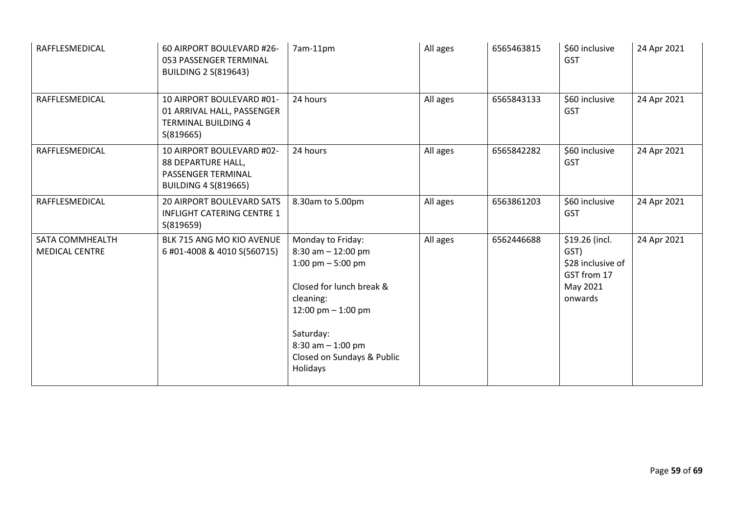| RAFFLESMEDICAL                           | 60 AIRPORT BOULEVARD #26-<br>053 PASSENGER TERMINAL<br><b>BUILDING 2 S(819643)</b>                   | 7am-11pm                                                                                                                                                                                                          | All ages | 6565463815 | \$60 inclusive<br><b>GST</b>                                                      | 24 Apr 2021 |
|------------------------------------------|------------------------------------------------------------------------------------------------------|-------------------------------------------------------------------------------------------------------------------------------------------------------------------------------------------------------------------|----------|------------|-----------------------------------------------------------------------------------|-------------|
| RAFFLESMEDICAL                           | 10 AIRPORT BOULEVARD #01-<br>01 ARRIVAL HALL, PASSENGER<br><b>TERMINAL BUILDING 4</b><br>S(819665)   | 24 hours                                                                                                                                                                                                          | All ages | 6565843133 | \$60 inclusive<br><b>GST</b>                                                      | 24 Apr 2021 |
| RAFFLESMEDICAL                           | 10 AIRPORT BOULEVARD #02-<br>88 DEPARTURE HALL,<br>PASSENGER TERMINAL<br><b>BUILDING 4 S(819665)</b> | 24 hours                                                                                                                                                                                                          | All ages | 6565842282 | \$60 inclusive<br><b>GST</b>                                                      | 24 Apr 2021 |
| RAFFLESMEDICAL                           | 20 AIRPORT BOULEVARD SATS<br><b>INFLIGHT CATERING CENTRE 1</b><br>S(819659)                          | 8.30am to 5.00pm                                                                                                                                                                                                  | All ages | 6563861203 | \$60 inclusive<br>GST                                                             | 24 Apr 2021 |
| SATA COMMHEALTH<br><b>MEDICAL CENTRE</b> | BLK 715 ANG MO KIO AVENUE<br>6 #01-4008 & 4010 S(560715)                                             | Monday to Friday:<br>$8:30$ am $-12:00$ pm<br>1:00 pm $-$ 5:00 pm<br>Closed for lunch break &<br>cleaning:<br>12:00 pm $-$ 1:00 pm<br>Saturday:<br>$8:30$ am $-1:00$ pm<br>Closed on Sundays & Public<br>Holidays | All ages | 6562446688 | \$19.26 (incl.<br>GST)<br>\$28 inclusive of<br>GST from 17<br>May 2021<br>onwards | 24 Apr 2021 |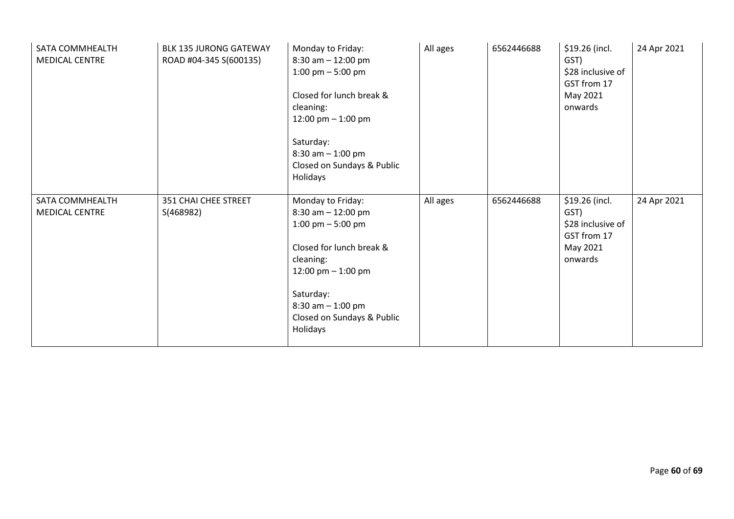| SATA COMMHEALTH<br><b>MEDICAL CENTRE</b> | <b>BLK 135 JURONG GATEWAY</b><br>ROAD #04-345 S(600135) | Monday to Friday:<br>$8:30$ am $- 12:00$ pm<br>1:00 pm $-$ 5:00 pm<br>Closed for lunch break &<br>cleaning:<br>12:00 pm $-$ 1:00 pm<br>Saturday:<br>$8:30$ am $-1:00$ pm<br>Closed on Sundays & Public<br>Holidays  | All ages | 6562446688 | \$19.26 (incl.<br>GST)<br>\$28 inclusive of<br>GST from 17<br>May 2021<br>onwards | 24 Apr 2021 |
|------------------------------------------|---------------------------------------------------------|---------------------------------------------------------------------------------------------------------------------------------------------------------------------------------------------------------------------|----------|------------|-----------------------------------------------------------------------------------|-------------|
| SATA COMMHEALTH<br><b>MEDICAL CENTRE</b> | 351 CHAI CHEE STREET<br>S(468982)                       | Monday to Friday:<br>$8:30$ am $- 12:00$ pm<br>1:00 pm $-$ 5:00 pm<br>Closed for lunch break &<br>cleaning:<br>12:00 pm $-$ 1:00 pm<br>Saturday:<br>$8:30$ am $- 1:00$ pm<br>Closed on Sundays & Public<br>Holidays | All ages | 6562446688 | \$19.26 (incl.<br>GST)<br>\$28 inclusive of<br>GST from 17<br>May 2021<br>onwards | 24 Apr 2021 |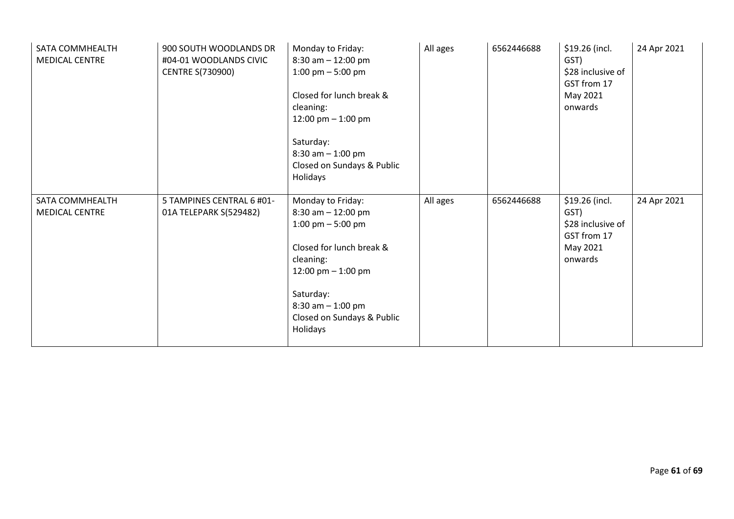| SATA COMMHEALTH<br><b>MEDICAL CENTRE</b> | 900 SOUTH WOODLANDS DR<br>#04-01 WOODLANDS CIVIC<br><b>CENTRE S(730900)</b> | Monday to Friday:<br>$8:30$ am $- 12:00$ pm<br>1:00 pm $-$ 5:00 pm<br>Closed for lunch break &<br>cleaning:<br>12:00 pm $-$ 1:00 pm<br>Saturday:<br>$8:30$ am $-1:00$ pm<br>Closed on Sundays & Public<br>Holidays | All ages | 6562446688 | \$19.26 (incl.<br>GST)<br>\$28 inclusive of<br>GST from 17<br>May 2021<br>onwards | 24 Apr 2021 |
|------------------------------------------|-----------------------------------------------------------------------------|--------------------------------------------------------------------------------------------------------------------------------------------------------------------------------------------------------------------|----------|------------|-----------------------------------------------------------------------------------|-------------|
| SATA COMMHEALTH<br><b>MEDICAL CENTRE</b> | 5 TAMPINES CENTRAL 6 #01-<br>01A TELEPARK S(529482)                         | Monday to Friday:<br>$8:30$ am $- 12:00$ pm<br>1:00 pm $-$ 5:00 pm<br>Closed for lunch break &<br>cleaning:<br>12:00 pm $-$ 1:00 pm<br>Saturday:<br>$8:30$ am $-1:00$ pm<br>Closed on Sundays & Public<br>Holidays | All ages | 6562446688 | \$19.26 (incl.<br>GST)<br>\$28 inclusive of<br>GST from 17<br>May 2021<br>onwards | 24 Apr 2021 |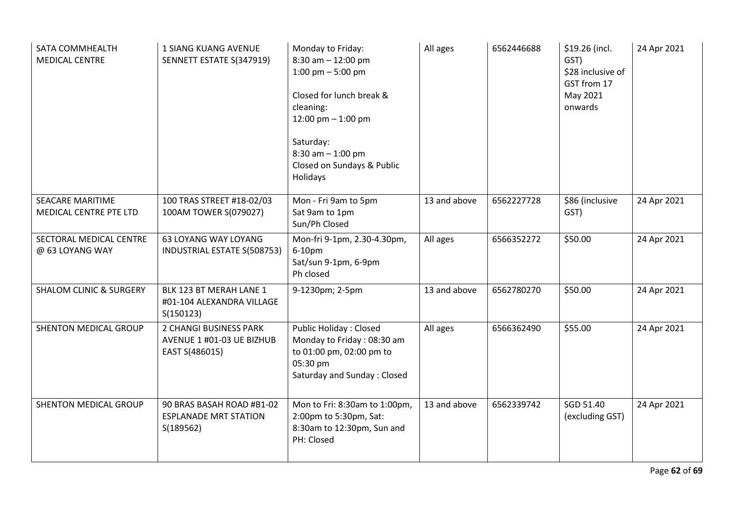| SATA COMMHEALTH<br>MEDICAL CENTRE          | <b>1 SIANG KUANG AVENUE</b><br>SENNETT ESTATE S(347919)                | Monday to Friday:<br>$8:30$ am $- 12:00$ pm<br>1:00 pm $-$ 5:00 pm<br>Closed for lunch break &<br>cleaning:<br>12:00 pm $-$ 1:00 pm<br>Saturday:<br>$8:30$ am $-1:00$ pm<br>Closed on Sundays & Public<br>Holidays | All ages     | 6562446688 | \$19.26 (incl.<br>GST)<br>\$28 inclusive of<br>GST from 17<br>May 2021<br>onwards | 24 Apr 2021 |
|--------------------------------------------|------------------------------------------------------------------------|--------------------------------------------------------------------------------------------------------------------------------------------------------------------------------------------------------------------|--------------|------------|-----------------------------------------------------------------------------------|-------------|
| SEACARE MARITIME<br>MEDICAL CENTRE PTE LTD | 100 TRAS STREET #18-02/03<br>100AM TOWER S(079027)                     | Mon - Fri 9am to 5pm<br>Sat 9am to 1pm<br>Sun/Ph Closed                                                                                                                                                            | 13 and above | 6562227728 | \$86 (inclusive<br>GST)                                                           | 24 Apr 2021 |
| SECTORAL MEDICAL CENTRE<br>@ 63 LOYANG WAY | <b>63 LOYANG WAY LOYANG</b><br>INDUSTRIAL ESTATE S(508753)             | Mon-fri 9-1pm, 2.30-4.30pm,<br>6-10pm<br>Sat/sun 9-1pm, 6-9pm<br>Ph closed                                                                                                                                         | All ages     | 6566352272 | \$50.00                                                                           | 24 Apr 2021 |
| <b>SHALOM CLINIC &amp; SURGERY</b>         | BLK 123 BT MERAH LANE 1<br>#01-104 ALEXANDRA VILLAGE<br>S(150123)      | 9-1230pm; 2-5pm                                                                                                                                                                                                    | 13 and above | 6562780270 | \$50.00                                                                           | 24 Apr 2021 |
| <b>SHENTON MEDICAL GROUP</b>               | 2 CHANGI BUSINESS PARK<br>AVENUE 1 #01-03 UE BIZHUB<br>EAST S(486015)  | <b>Public Holiday: Closed</b><br>Monday to Friday: 08:30 am<br>to 01:00 pm, 02:00 pm to<br>05:30 pm<br>Saturday and Sunday: Closed                                                                                 | All ages     | 6566362490 | \$55.00                                                                           | 24 Apr 2021 |
| <b>SHENTON MEDICAL GROUP</b>               | 90 BRAS BASAH ROAD #B1-02<br><b>ESPLANADE MRT STATION</b><br>S(189562) | Mon to Fri: 8:30am to 1:00pm,<br>2:00pm to 5:30pm, Sat:<br>8:30am to 12:30pm, Sun and<br>PH: Closed                                                                                                                | 13 and above | 6562339742 | SGD 51.40<br>(excluding GST)                                                      | 24 Apr 2021 |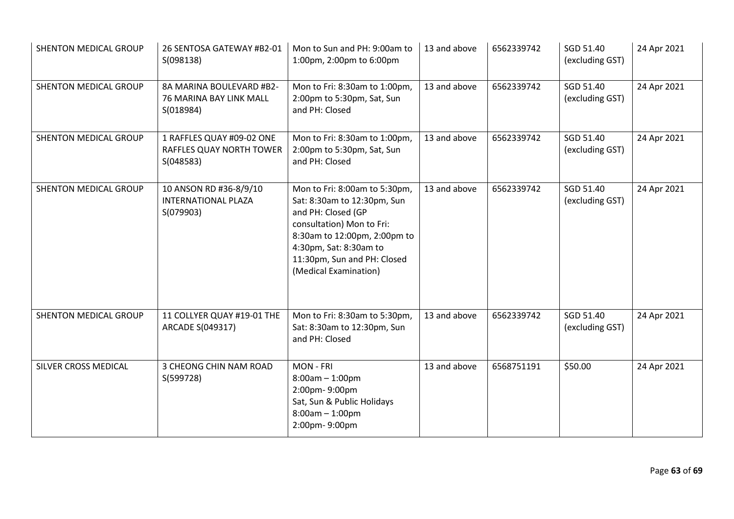| SHENTON MEDICAL GROUP | 26 SENTOSA GATEWAY #B2-01<br>S(098138)                             | Mon to Sun and PH: 9:00am to<br>1:00pm, 2:00pm to 6:00pm                                                                                                                                                                          | 13 and above | 6562339742 | SGD 51.40<br>(excluding GST) | 24 Apr 2021 |
|-----------------------|--------------------------------------------------------------------|-----------------------------------------------------------------------------------------------------------------------------------------------------------------------------------------------------------------------------------|--------------|------------|------------------------------|-------------|
| SHENTON MEDICAL GROUP | 8A MARINA BOULEVARD #B2-<br>76 MARINA BAY LINK MALL<br>S(018984)   | Mon to Fri: 8:30am to 1:00pm,<br>2:00pm to 5:30pm, Sat, Sun<br>and PH: Closed                                                                                                                                                     | 13 and above | 6562339742 | SGD 51.40<br>(excluding GST) | 24 Apr 2021 |
| SHENTON MEDICAL GROUP | 1 RAFFLES QUAY #09-02 ONE<br>RAFFLES QUAY NORTH TOWER<br>S(048583) | Mon to Fri: 8:30am to 1:00pm,<br>2:00pm to 5:30pm, Sat, Sun<br>and PH: Closed                                                                                                                                                     | 13 and above | 6562339742 | SGD 51.40<br>(excluding GST) | 24 Apr 2021 |
| SHENTON MEDICAL GROUP | 10 ANSON RD #36-8/9/10<br><b>INTERNATIONAL PLAZA</b><br>S(079903)  | Mon to Fri: 8:00am to 5:30pm,<br>Sat: 8:30am to 12:30pm, Sun<br>and PH: Closed (GP<br>consultation) Mon to Fri:<br>8:30am to 12:00pm, 2:00pm to<br>4:30pm, Sat: 8:30am to<br>11:30pm, Sun and PH: Closed<br>(Medical Examination) | 13 and above | 6562339742 | SGD 51.40<br>(excluding GST) | 24 Apr 2021 |
| SHENTON MEDICAL GROUP | 11 COLLYER QUAY #19-01 THE<br><b>ARCADE S(049317)</b>              | Mon to Fri: 8:30am to 5:30pm,<br>Sat: 8:30am to 12:30pm, Sun<br>and PH: Closed                                                                                                                                                    | 13 and above | 6562339742 | SGD 51.40<br>(excluding GST) | 24 Apr 2021 |
| SILVER CROSS MEDICAL  | 3 CHEONG CHIN NAM ROAD<br>S(599728)                                | <b>MON - FRI</b><br>$8:00am - 1:00pm$<br>2:00pm-9:00pm<br>Sat, Sun & Public Holidays<br>$8:00am - 1:00pm$<br>2:00pm-9:00pm                                                                                                        | 13 and above | 6568751191 | \$50.00                      | 24 Apr 2021 |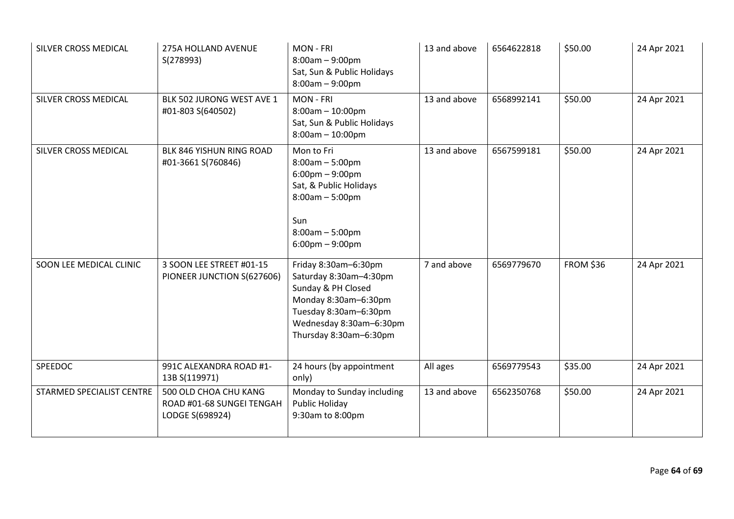| SILVER CROSS MEDICAL      | 275A HOLLAND AVENUE<br>S(278993)                                      | MON - FRI<br>$8:00am - 9:00pm$<br>Sat, Sun & Public Holidays<br>$8:00am - 9:00pm$                                                                                                    | 13 and above | 6564622818 | \$50.00          | 24 Apr 2021 |
|---------------------------|-----------------------------------------------------------------------|--------------------------------------------------------------------------------------------------------------------------------------------------------------------------------------|--------------|------------|------------------|-------------|
| SILVER CROSS MEDICAL      | BLK 502 JURONG WEST AVE 1<br>#01-803 S(640502)                        | <b>MON - FRI</b><br>$8:00am - 10:00pm$<br>Sat, Sun & Public Holidays<br>$8:00am - 10:00pm$                                                                                           | 13 and above | 6568992141 | \$50.00          | 24 Apr 2021 |
| SILVER CROSS MEDICAL      | BLK 846 YISHUN RING ROAD<br>#01-3661 S(760846)                        | Mon to Fri<br>$8:00am - 5:00pm$<br>$6:00 \text{pm} - 9:00 \text{pm}$<br>Sat, & Public Holidays<br>$8:00am - 5:00pm$<br>Sun<br>$8:00am - 5:00pm$<br>$6:00 \text{pm} - 9:00 \text{pm}$ | 13 and above | 6567599181 | \$50.00          | 24 Apr 2021 |
| SOON LEE MEDICAL CLINIC   | 3 SOON LEE STREET #01-15<br>PIONEER JUNCTION S(627606)                | Friday 8:30am-6:30pm<br>Saturday 8:30am-4:30pm<br>Sunday & PH Closed<br>Monday 8:30am-6:30pm<br>Tuesday 8:30am-6:30pm<br>Wednesday 8:30am-6:30pm<br>Thursday 8:30am-6:30pm           | 7 and above  | 6569779670 | <b>FROM \$36</b> | 24 Apr 2021 |
| SPEEDOC                   | 991C ALEXANDRA ROAD #1-<br>13B S(119971)                              | 24 hours (by appointment<br>only)                                                                                                                                                    | All ages     | 6569779543 | \$35.00          | 24 Apr 2021 |
| STARMED SPECIALIST CENTRE | 500 OLD CHOA CHU KANG<br>ROAD #01-68 SUNGEI TENGAH<br>LODGE S(698924) | Monday to Sunday including<br>Public Holiday<br>9:30am to 8:00pm                                                                                                                     | 13 and above | 6562350768 | \$50.00          | 24 Apr 2021 |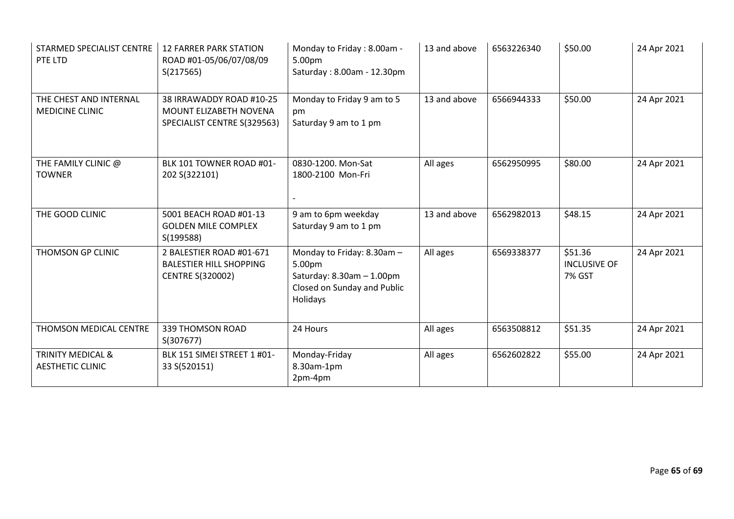| STARMED SPECIALIST CENTRE<br>PTE LTD                    | <b>12 FARRER PARK STATION</b><br>ROAD #01-05/06/07/08/09<br>S(217565)                 | Monday to Friday: 8.00am -<br>5.00pm<br>Saturday: 8.00am - 12.30pm                                                | 13 and above | 6563226340 | \$50.00                                  | 24 Apr 2021 |
|---------------------------------------------------------|---------------------------------------------------------------------------------------|-------------------------------------------------------------------------------------------------------------------|--------------|------------|------------------------------------------|-------------|
| THE CHEST AND INTERNAL<br><b>MEDICINE CLINIC</b>        | 38 IRRAWADDY ROAD #10-25<br>MOUNT ELIZABETH NOVENA<br>SPECIALIST CENTRE S(329563)     | Monday to Friday 9 am to 5<br>pm<br>Saturday 9 am to 1 pm                                                         | 13 and above | 6566944333 | \$50.00                                  | 24 Apr 2021 |
| THE FAMILY CLINIC @<br><b>TOWNER</b>                    | BLK 101 TOWNER ROAD #01-<br>202 S(322101)                                             | 0830-1200. Mon-Sat<br>1800-2100 Mon-Fri                                                                           | All ages     | 6562950995 | \$80.00                                  | 24 Apr 2021 |
| THE GOOD CLINIC                                         | 5001 BEACH ROAD #01-13<br><b>GOLDEN MILE COMPLEX</b><br>S(199588)                     | 9 am to 6pm weekday<br>Saturday 9 am to 1 pm                                                                      | 13 and above | 6562982013 | \$48.15                                  | 24 Apr 2021 |
| THOMSON GP CLINIC                                       | 2 BALESTIER ROAD #01-671<br><b>BALESTIER HILL SHOPPING</b><br><b>CENTRE S(320002)</b> | Monday to Friday: 8.30am -<br>5.00pm<br>Saturday: $8.30$ am $-1.00$ pm<br>Closed on Sunday and Public<br>Holidays | All ages     | 6569338377 | \$51.36<br><b>INCLUSIVE OF</b><br>7% GST | 24 Apr 2021 |
| THOMSON MEDICAL CENTRE                                  | 339 THOMSON ROAD<br>S(307677)                                                         | 24 Hours                                                                                                          | All ages     | 6563508812 | \$51.35                                  | 24 Apr 2021 |
| <b>TRINITY MEDICAL &amp;</b><br><b>AESTHETIC CLINIC</b> | BLK 151 SIMEI STREET 1 #01-<br>33 S(520151)                                           | Monday-Friday<br>8.30am-1pm<br>2pm-4pm                                                                            | All ages     | 6562602822 | \$55.00                                  | 24 Apr 2021 |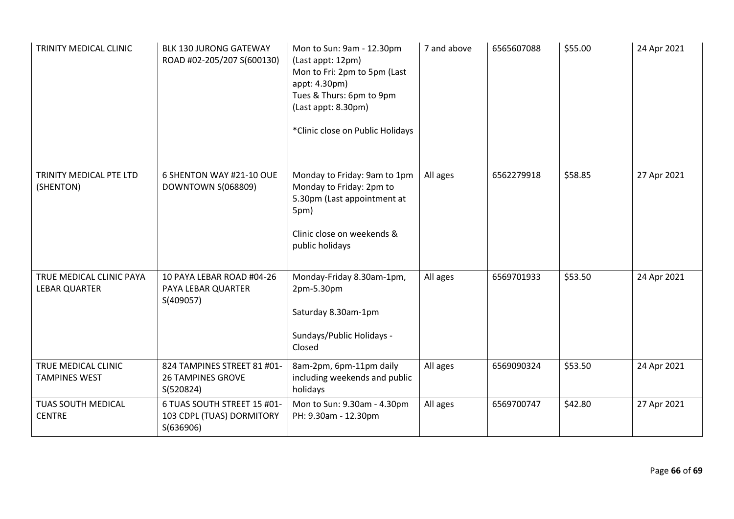| TRINITY MEDICAL CLINIC                           | <b>BLK 130 JURONG GATEWAY</b><br>ROAD #02-205/207 S(600130)           | Mon to Sun: 9am - 12.30pm<br>(Last appt: 12pm)<br>Mon to Fri: 2pm to 5pm (Last<br>appt: 4.30pm)<br>Tues & Thurs: 6pm to 9pm<br>(Last appt: 8.30pm)<br>*Clinic close on Public Holidays | 7 and above | 6565607088 | \$55.00 | 24 Apr 2021 |
|--------------------------------------------------|-----------------------------------------------------------------------|----------------------------------------------------------------------------------------------------------------------------------------------------------------------------------------|-------------|------------|---------|-------------|
| TRINITY MEDICAL PTE LTD<br>(SHENTON)             | 6 SHENTON WAY #21-10 OUE<br><b>DOWNTOWN S(068809)</b>                 | Monday to Friday: 9am to 1pm<br>Monday to Friday: 2pm to<br>5.30pm (Last appointment at<br>5pm)<br>Clinic close on weekends &<br>public holidays                                       | All ages    | 6562279918 | \$58.85 | 27 Apr 2021 |
| TRUE MEDICAL CLINIC PAYA<br><b>LEBAR QUARTER</b> | 10 PAYA LEBAR ROAD #04-26<br>PAYA LEBAR QUARTER<br>S(409057)          | Monday-Friday 8.30am-1pm,<br>2pm-5.30pm<br>Saturday 8.30am-1pm<br>Sundays/Public Holidays -<br>Closed                                                                                  | All ages    | 6569701933 | \$53.50 | 24 Apr 2021 |
| TRUE MEDICAL CLINIC<br><b>TAMPINES WEST</b>      | 824 TAMPINES STREET 81 #01-<br><b>26 TAMPINES GROVE</b><br>S(520824)  | 8am-2pm, 6pm-11pm daily<br>including weekends and public<br>holidays                                                                                                                   | All ages    | 6569090324 | \$53.50 | 24 Apr 2021 |
| TUAS SOUTH MEDICAL<br><b>CENTRE</b>              | 6 TUAS SOUTH STREET 15 #01-<br>103 CDPL (TUAS) DORMITORY<br>S(636906) | Mon to Sun: 9.30am - 4.30pm<br>PH: 9.30am - 12.30pm                                                                                                                                    | All ages    | 6569700747 | \$42.80 | 27 Apr 2021 |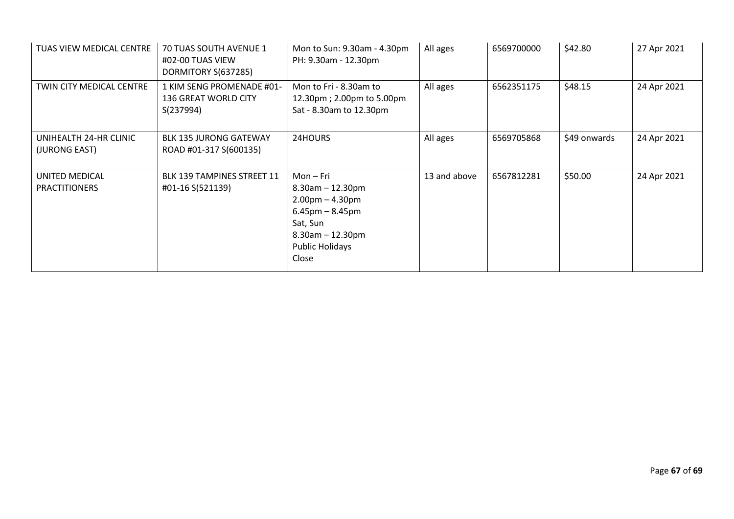| TUAS VIEW MEDICAL CENTRE                | 70 TUAS SOUTH AVENUE 1<br>#02-00 TUAS VIEW<br>DORMITORY S(637285) | Mon to Sun: 9.30am - 4.30pm<br>PH: 9.30am - 12.30pm                                                                                                        | All ages     | 6569700000 | \$42.80      | 27 Apr 2021 |
|-----------------------------------------|-------------------------------------------------------------------|------------------------------------------------------------------------------------------------------------------------------------------------------------|--------------|------------|--------------|-------------|
| TWIN CITY MEDICAL CENTRE                | 1 KIM SENG PROMENADE #01-<br>136 GREAT WORLD CITY<br>S(237994)    | Mon to Fri - 8.30am to<br>12.30pm; 2.00pm to 5.00pm<br>Sat - 8.30am to 12.30pm                                                                             | All ages     | 6562351175 | \$48.15      | 24 Apr 2021 |
| UNIHEALTH 24-HR CLINIC<br>(JURONG EAST) | <b>BLK 135 JURONG GATEWAY</b><br>ROAD #01-317 S(600135)           | 24HOURS                                                                                                                                                    | All ages     | 6569705868 | \$49 onwards | 24 Apr 2021 |
| UNITED MEDICAL<br><b>PRACTITIONERS</b>  | BLK 139 TAMPINES STREET 11<br>#01-16 S(521139)                    | Mon – Fri<br>$8.30$ am $- 12.30$ pm<br>$2.00pm - 4.30pm$<br>$6.45$ pm $- 8.45$ pm<br>Sat, Sun<br>$8.30$ am $- 12.30$ pm<br><b>Public Holidays</b><br>Close | 13 and above | 6567812281 | \$50.00      | 24 Apr 2021 |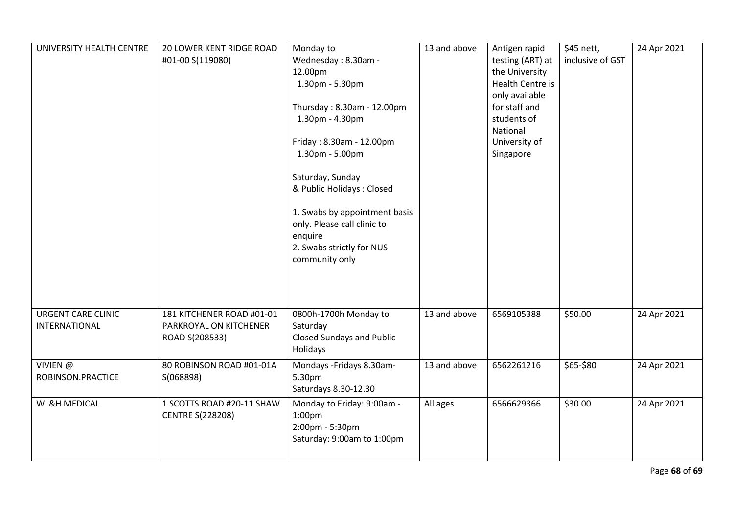| UNIVERSITY HEALTH CENTRE                   | 20 LOWER KENT RIDGE ROAD<br>#01-00 S(119080)                          | Monday to<br>Wednesday: 8.30am -<br>12.00pm<br>1.30pm - 5.30pm<br>Thursday: 8.30am - 12.00pm<br>1.30pm - 4.30pm<br>Friday: 8.30am - 12.00pm<br>1.30pm - 5.00pm<br>Saturday, Sunday<br>& Public Holidays: Closed<br>1. Swabs by appointment basis<br>only. Please call clinic to<br>enquire<br>2. Swabs strictly for NUS<br>community only | 13 and above | Antigen rapid<br>testing (ART) at<br>the University<br>Health Centre is<br>only available<br>for staff and<br>students of<br>National<br>University of<br>Singapore | \$45 nett,<br>inclusive of GST | 24 Apr 2021 |
|--------------------------------------------|-----------------------------------------------------------------------|-------------------------------------------------------------------------------------------------------------------------------------------------------------------------------------------------------------------------------------------------------------------------------------------------------------------------------------------|--------------|---------------------------------------------------------------------------------------------------------------------------------------------------------------------|--------------------------------|-------------|
| <b>URGENT CARE CLINIC</b><br>INTERNATIONAL | 181 KITCHENER ROAD #01-01<br>PARKROYAL ON KITCHENER<br>ROAD S(208533) | 0800h-1700h Monday to<br>Saturday<br><b>Closed Sundays and Public</b><br>Holidays                                                                                                                                                                                                                                                         | 13 and above | 6569105388                                                                                                                                                          | \$50.00                        | 24 Apr 2021 |
| VIVIEN @<br>ROBINSON.PRACTICE              | 80 ROBINSON ROAD #01-01A<br>S(068898)                                 | Mondays - Fridays 8.30am-<br>5.30pm<br>Saturdays 8.30-12.30                                                                                                                                                                                                                                                                               | 13 and above | 6562261216                                                                                                                                                          | \$65-\$80                      | 24 Apr 2021 |
| <b>WL&amp;H MEDICAL</b>                    | 1 SCOTTS ROAD #20-11 SHAW<br><b>CENTRE S(228208)</b>                  | Monday to Friday: 9:00am -<br>1:00 <sub>pm</sub><br>2:00pm - 5:30pm<br>Saturday: 9:00am to 1:00pm                                                                                                                                                                                                                                         | All ages     | 6566629366                                                                                                                                                          | \$30.00                        | 24 Apr 2021 |